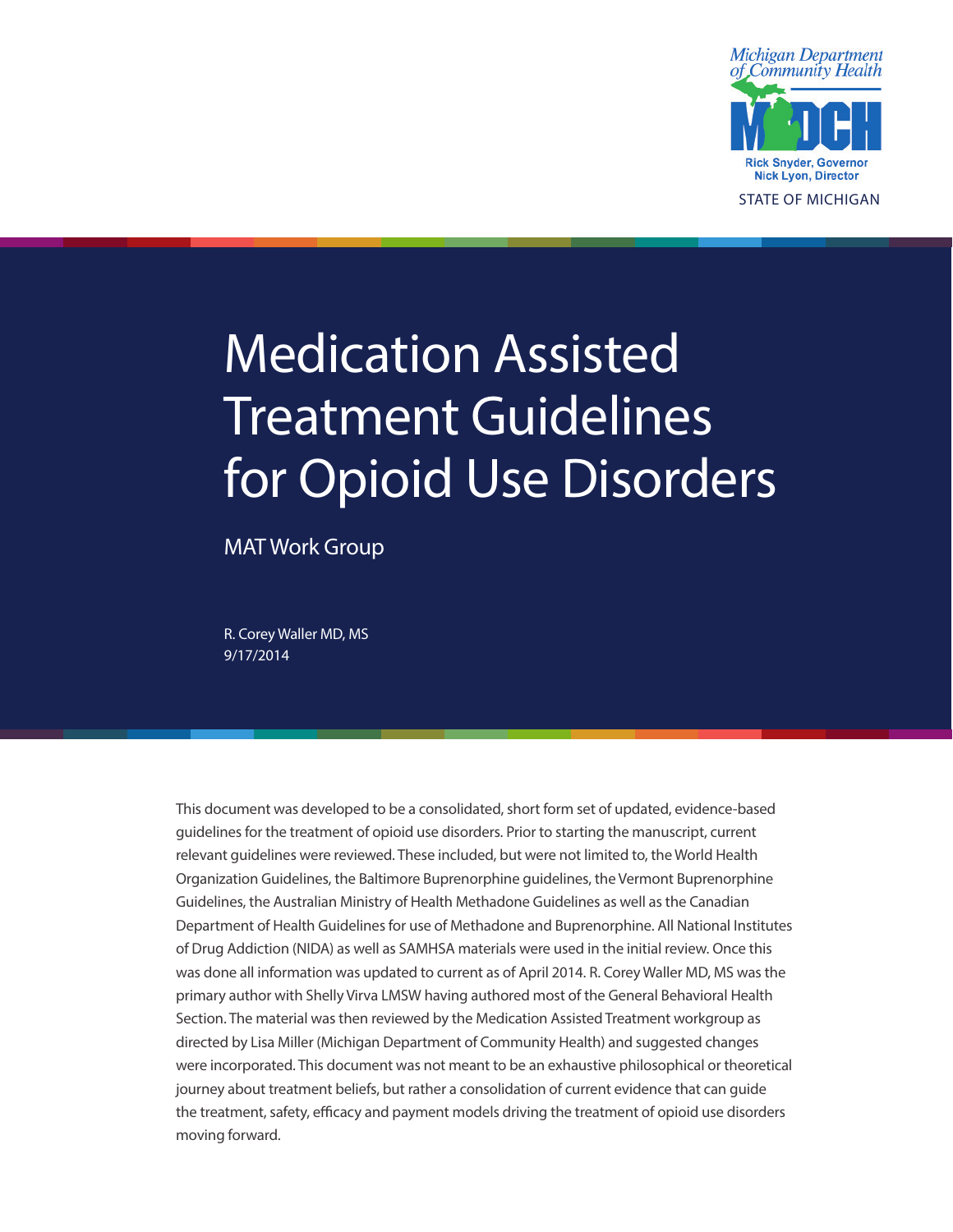

Medication Assisted Treatment Guidelines for Opioid Use Disorders

MAT Work Group

R. Corey Waller MD, MS 9/17/2014

This document was developed to be a consolidated, short form set of updated, evidence-based guidelines for the treatment of opioid use disorders. Prior to starting the manuscript, current relevant guidelines were reviewed. These included, but were not limited to, the World Health Organization Guidelines, the Baltimore Buprenorphine guidelines, the Vermont Buprenorphine Guidelines, the Australian Ministry of Health Methadone Guidelines as well as the Canadian Department of Health Guidelines for use of Methadone and Buprenorphine. All National Institutes of Drug Addiction (NIDA) as well as SAMHSA materials were used in the initial review. Once this was done all information was updated to current as of April 2014. R. Corey Waller MD, MS was the primary author with Shelly Virva LMSW having authored most of the General Behavioral Health Section. The material was then reviewed by the Medication Assisted Treatment workgroup as directed by Lisa Miller (Michigan Department of Community Health) and suggested changes were incorporated. This document was not meant to be an exhaustive philosophical or theoretical journey about treatment beliefs, but rather a consolidation of current evidence that can guide the treatment, safety, efficacy and payment models driving the treatment of opioid use disorders moving forward.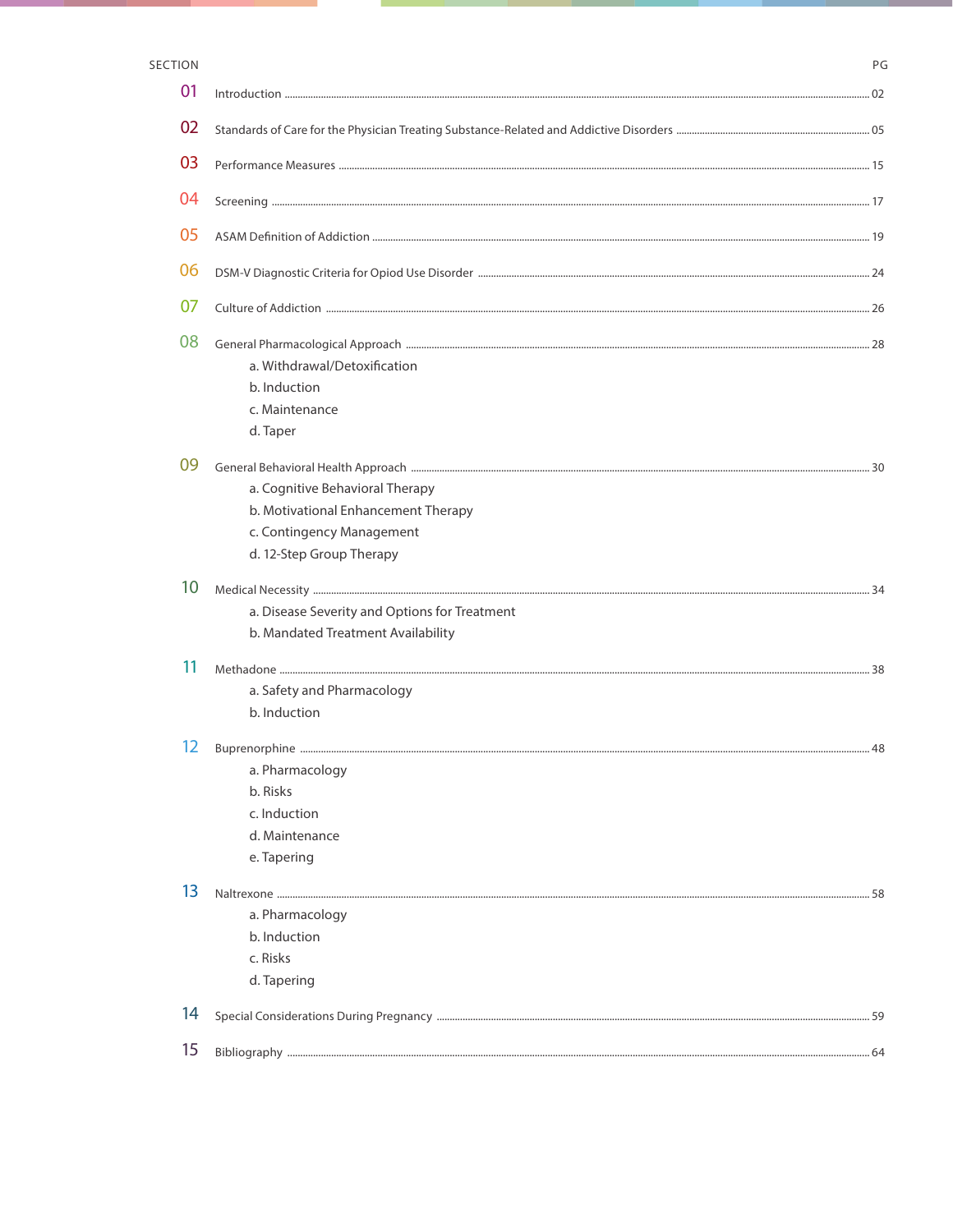### SECTION

| 01 |                                                                                                                                 |  |
|----|---------------------------------------------------------------------------------------------------------------------------------|--|
| 02 |                                                                                                                                 |  |
| 03 |                                                                                                                                 |  |
| 04 |                                                                                                                                 |  |
| 05 |                                                                                                                                 |  |
| 06 |                                                                                                                                 |  |
| 07 |                                                                                                                                 |  |
| 08 | a. Withdrawal/Detoxification<br>b. Induction<br>c. Maintenance<br>d. Taper                                                      |  |
| 09 | a. Cognitive Behavioral Therapy<br>b. Motivational Enhancement Therapy<br>c. Contingency Management<br>d. 12-Step Group Therapy |  |
| 10 | a. Disease Severity and Options for Treatment<br>b. Mandated Treatment Availability                                             |  |
| 11 | a. Safety and Pharmacology<br>b. Induction                                                                                      |  |
| 12 | a. Pharmacology<br>b. Risks<br>c. Induction<br>d. Maintenance<br>e. Tapering                                                    |  |
| 13 | a. Pharmacology<br>b. Induction<br>c. Risks<br>d. Tapering                                                                      |  |
| 14 |                                                                                                                                 |  |
| 15 |                                                                                                                                 |  |

 $\mathsf{PG}$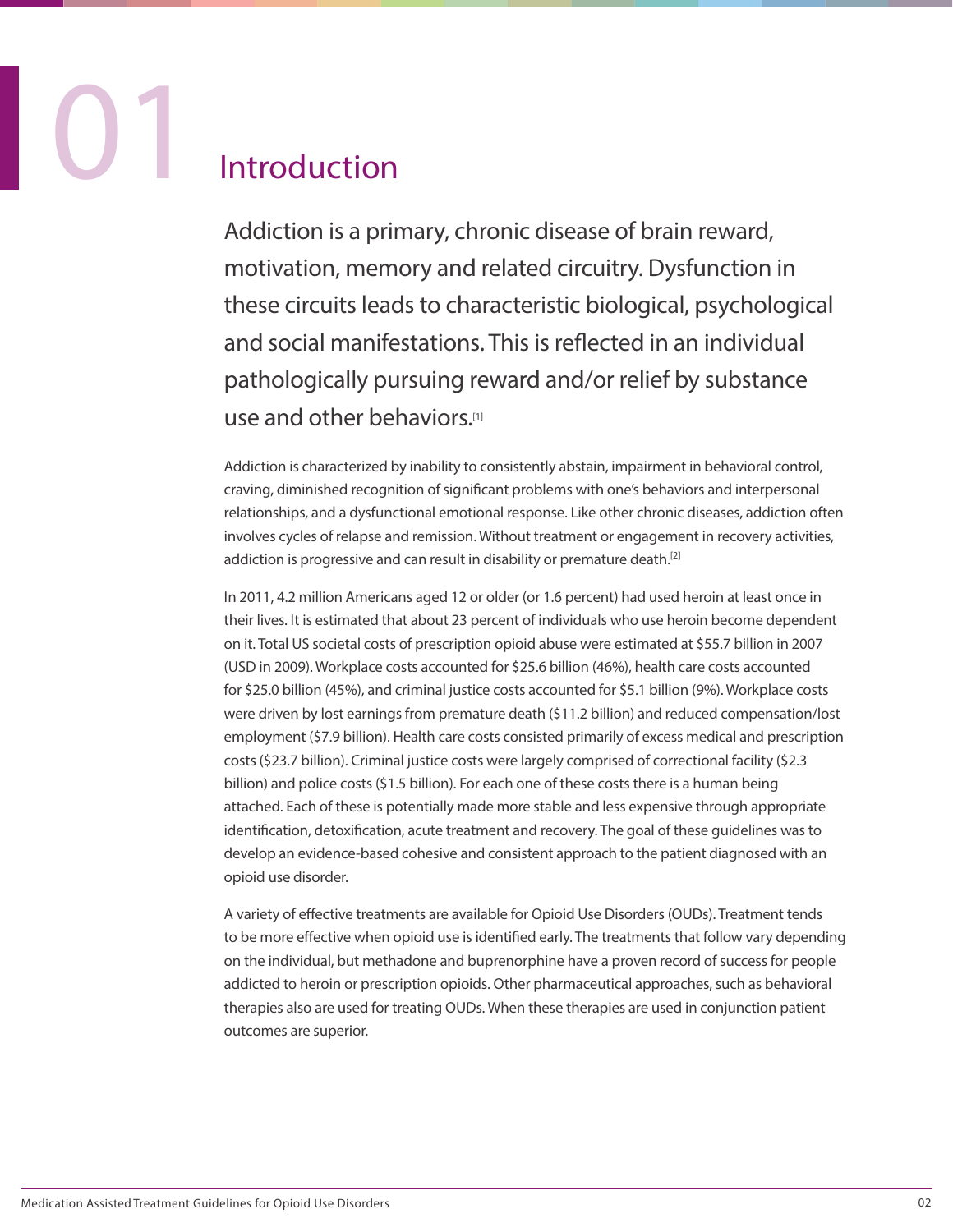## **Introduction**

Addiction is a primary, chronic disease of brain reward, motivation, memory and related circuitry. Dysfunction in these circuits leads to characteristic biological, psychological and social manifestations. This is reflected in an individual pathologically pursuing reward and/or relief by substance use and other behaviors.[1]

Addiction is characterized by inability to consistently abstain, impairment in behavioral control, craving, diminished recognition of significant problems with one's behaviors and interpersonal relationships, and a dysfunctional emotional response. Like other chronic diseases, addiction often involves cycles of relapse and remission. Without treatment or engagement in recovery activities, addiction is progressive and can result in disability or premature death.<sup>[2]</sup>

In 2011, 4.2 million Americans aged 12 or older (or 1.6 percent) had used heroin at least once in their lives. It is estimated that about 23 percent of individuals who use heroin become dependent on it. Total US societal costs of prescription opioid abuse were estimated at \$55.7 billion in 2007 (USD in 2009). Workplace costs accounted for \$25.6 billion (46%), health care costs accounted for \$25.0 billion (45%), and criminal justice costs accounted for \$5.1 billion (9%). Workplace costs were driven by lost earnings from premature death (\$11.2 billion) and reduced compensation/lost employment (\$7.9 billion). Health care costs consisted primarily of excess medical and prescription costs (\$23.7 billion). Criminal justice costs were largely comprised of correctional facility (\$2.3 billion) and police costs (\$1.5 billion). For each one of these costs there is a human being attached. Each of these is potentially made more stable and less expensive through appropriate identification, detoxification, acute treatment and recovery. The goal of these guidelines was to develop an evidence-based cohesive and consistent approach to the patient diagnosed with an opioid use disorder.

A variety of effective treatments are available for Opioid Use Disorders (OUDs). Treatment tends to be more effective when opioid use is identified early. The treatments that follow vary depending on the individual, but methadone and buprenorphine have a proven record of success for people addicted to heroin or prescription opioids. Other pharmaceutical approaches, such as behavioral therapies also are used for treating OUDs. When these therapies are used in conjunction patient outcomes are superior.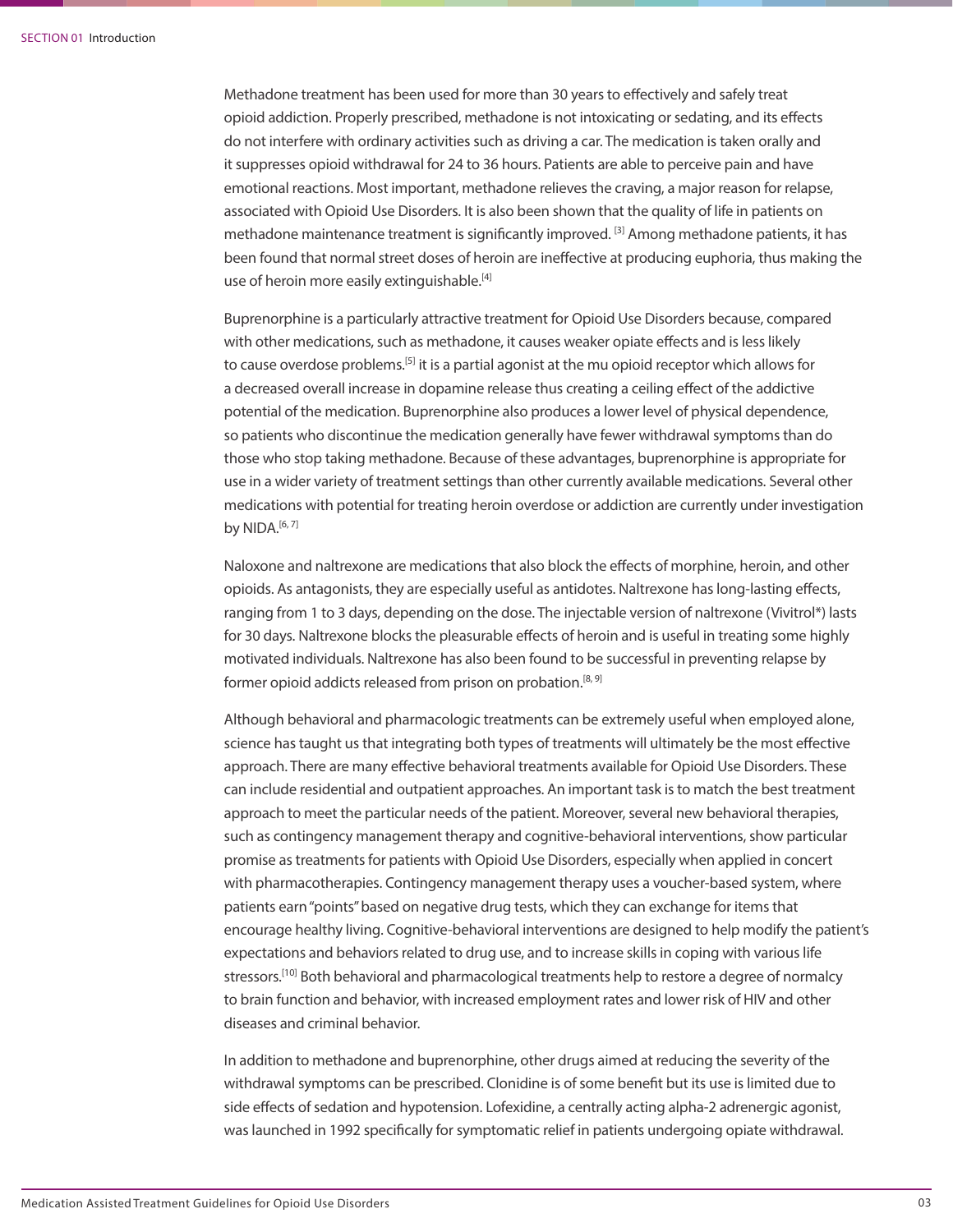Methadone treatment has been used for more than 30 years to effectively and safely treat opioid addiction. Properly prescribed, methadone is not intoxicating or sedating, and its effects do not interfere with ordinary activities such as driving a car. The medication is taken orally and it suppresses opioid withdrawal for 24 to 36 hours. Patients are able to perceive pain and have emotional reactions. Most important, methadone relieves the craving, a major reason for relapse, associated with Opioid Use Disorders. It is also been shown that the quality of life in patients on methadone maintenance treatment is significantly improved. <sup>[3]</sup> Among methadone patients, it has been found that normal street doses of heroin are ineffective at producing euphoria, thus making the use of heroin more easily extinguishable.<sup>[4]</sup>

Buprenorphine is a particularly attractive treatment for Opioid Use Disorders because, compared with other medications, such as methadone, it causes weaker opiate effects and is less likely to cause overdose problems.<sup>[5]</sup> it is a partial agonist at the mu opioid receptor which allows for a decreased overall increase in dopamine release thus creating a ceiling effect of the addictive potential of the medication. Buprenorphine also produces a lower level of physical dependence, so patients who discontinue the medication generally have fewer withdrawal symptoms than do those who stop taking methadone. Because of these advantages, buprenorphine is appropriate for use in a wider variety of treatment settings than other currently available medications. Several other medications with potential for treating heroin overdose or addiction are currently under investigation by NIDA. $[6, 7]$ 

Naloxone and naltrexone are medications that also block the effects of morphine, heroin, and other opioids. As antagonists, they are especially useful as antidotes. Naltrexone has long-lasting effects, ranging from 1 to 3 days, depending on the dose. The injectable version of naltrexone (Vivitrol\*) lasts for 30 days. Naltrexone blocks the pleasurable effects of heroin and is useful in treating some highly motivated individuals. Naltrexone has also been found to be successful in preventing relapse by former opioid addicts released from prison on probation.<sup>[8, 9]</sup>

Although behavioral and pharmacologic treatments can be extremely useful when employed alone, science has taught us that integrating both types of treatments will ultimately be the most effective approach. There are many effective behavioral treatments available for Opioid Use Disorders. These can include residential and outpatient approaches. An important task is to match the best treatment approach to meet the particular needs of the patient. Moreover, several new behavioral therapies, such as contingency management therapy and cognitive-behavioral interventions, show particular promise as treatments for patients with Opioid Use Disorders, especially when applied in concert with pharmacotherapies. Contingency management therapy uses a voucher-based system, where patients earn "points" based on negative drug tests, which they can exchange for items that encourage healthy living. Cognitive-behavioral interventions are designed to help modify the patient's expectations and behaviors related to drug use, and to increase skills in coping with various life stressors.<sup>[10]</sup> Both behavioral and pharmacological treatments help to restore a degree of normalcy to brain function and behavior, with increased employment rates and lower risk of HIV and other diseases and criminal behavior.

In addition to methadone and buprenorphine, other drugs aimed at reducing the severity of the withdrawal symptoms can be prescribed. Clonidine is of some benefit but its use is limited due to side effects of sedation and hypotension. Lofexidine, a centrally acting alpha-2 adrenergic agonist, was launched in 1992 specifically for symptomatic relief in patients undergoing opiate withdrawal.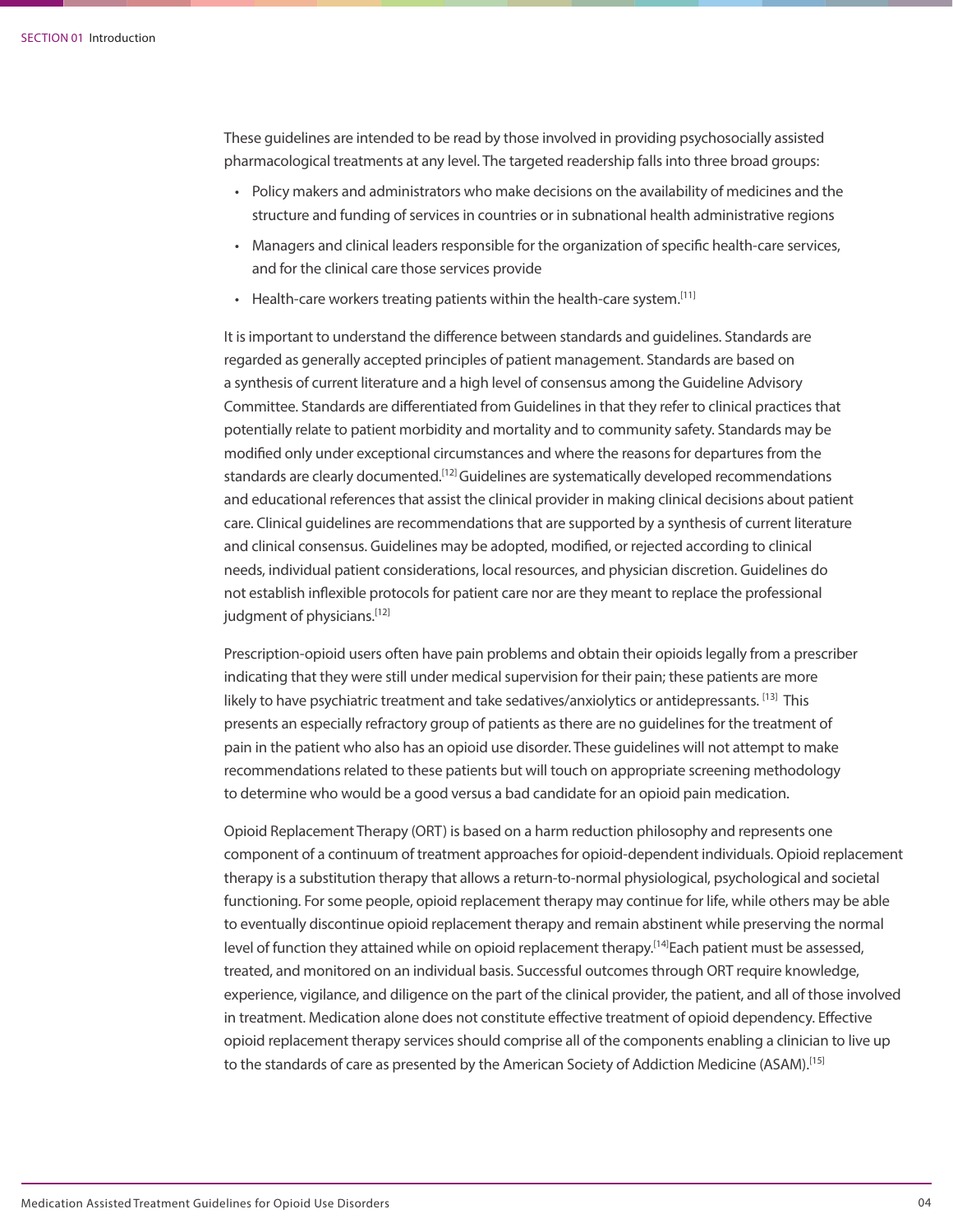These guidelines are intended to be read by those involved in providing psychosocially assisted pharmacological treatments at any level. The targeted readership falls into three broad groups:

- Policy makers and administrators who make decisions on the availability of medicines and the structure and funding of services in countries or in subnational health administrative regions
- Managers and clinical leaders responsible for the organization of specific health-care services, and for the clinical care those services provide
- Health-care workers treating patients within the health-care system.<sup>[11]</sup>

It is important to understand the difference between standards and guidelines. Standards are regarded as generally accepted principles of patient management. Standards are based on a synthesis of current literature and a high level of consensus among the Guideline Advisory Committee. Standards are differentiated from Guidelines in that they refer to clinical practices that potentially relate to patient morbidity and mortality and to community safety. Standards may be modified only under exceptional circumstances and where the reasons for departures from the standards are clearly documented.<sup>[12]</sup> Guidelines are systematically developed recommendations and educational references that assist the clinical provider in making clinical decisions about patient care. Clinical guidelines are recommendations that are supported by a synthesis of current literature and clinical consensus. Guidelines may be adopted, modified, or rejected according to clinical needs, individual patient considerations, local resources, and physician discretion. Guidelines do not establish inflexible protocols for patient care nor are they meant to replace the professional judgment of physicians.[12]

Prescription-opioid users often have pain problems and obtain their opioids legally from a prescriber indicating that they were still under medical supervision for their pain; these patients are more likely to have psychiatric treatment and take sedatives/anxiolytics or antidepressants. [13] This presents an especially refractory group of patients as there are no guidelines for the treatment of pain in the patient who also has an opioid use disorder. These guidelines will not attempt to make recommendations related to these patients but will touch on appropriate screening methodology to determine who would be a good versus a bad candidate for an opioid pain medication.

Opioid Replacement Therapy (ORT) is based on a harm reduction philosophy and represents one component of a continuum of treatment approaches for opioid-dependent individuals. Opioid replacement therapy is a substitution therapy that allows a return-to-normal physiological, psychological and societal functioning. For some people, opioid replacement therapy may continue for life, while others may be able to eventually discontinue opioid replacement therapy and remain abstinent while preserving the normal level of function they attained while on opioid replacement therapy.<sup>[14]</sup>Each patient must be assessed, treated, and monitored on an individual basis. Successful outcomes through ORT require knowledge, experience, vigilance, and diligence on the part of the clinical provider, the patient, and all of those involved in treatment. Medication alone does not constitute effective treatment of opioid dependency. Effective opioid replacement therapy services should comprise all of the components enabling a clinician to live up to the standards of care as presented by the American Society of Addiction Medicine (ASAM).<sup>[15]</sup>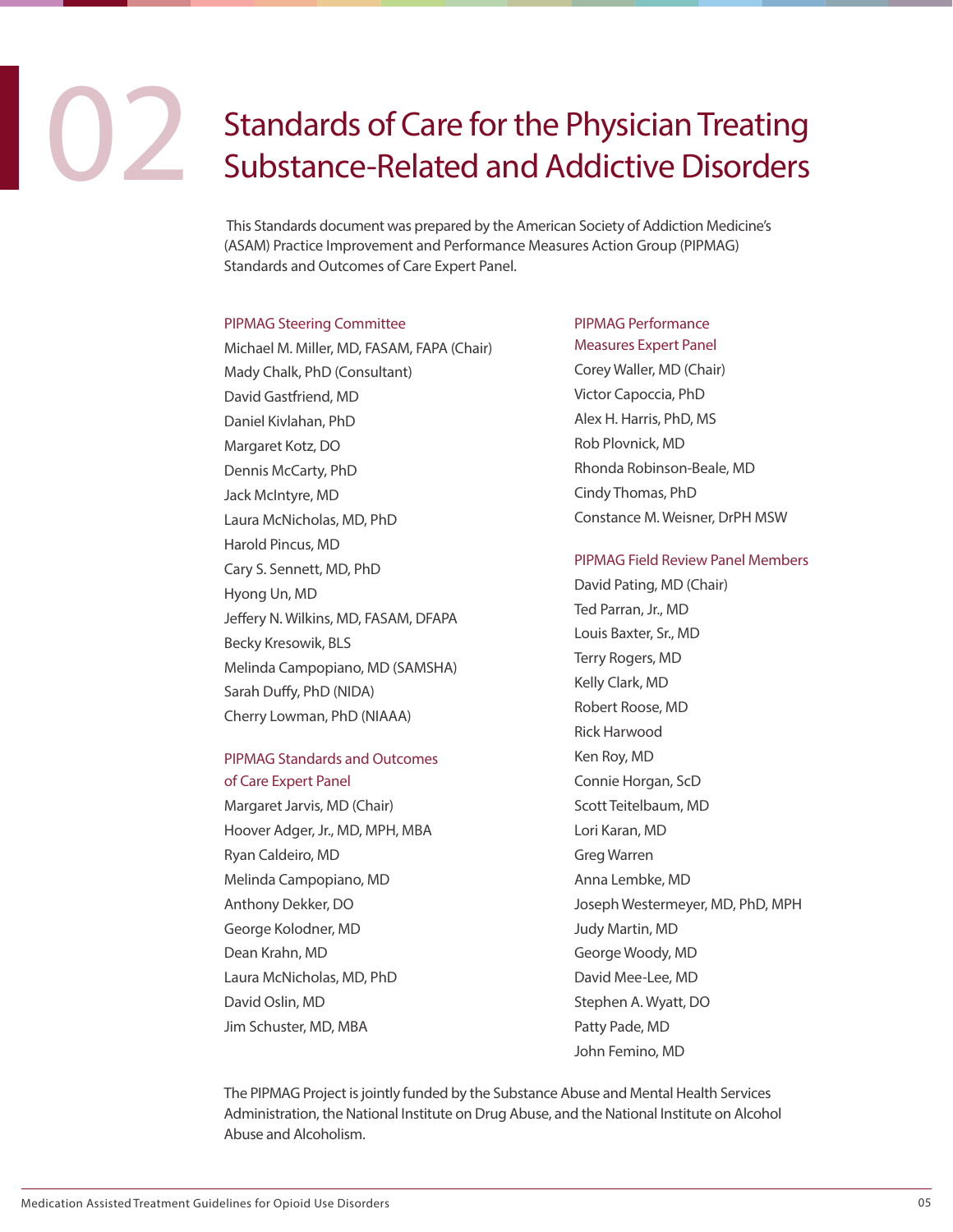### **CONS** Standards of Care for the Physician Treating<br>Substance-Related and Addictive Disorders Substance-Related and Addictive Disorders

 This Standards document was prepared by the American Society of Addiction Medicine's (ASAM) Practice Improvement and Performance Measures Action Group (PIPMAG) Standards and Outcomes of Care Expert Panel.

### PIPMAG Steering Committee

Michael M. Miller, MD, FASAM, FAPA (Chair) Mady Chalk, PhD (Consultant) David Gastfriend, MD Daniel Kivlahan, PhD Margaret Kotz, DO Dennis McCarty, PhD Jack McIntyre, MD Laura McNicholas, MD, PhD Harold Pincus, MD Cary S. Sennett, MD, PhD Hyong Un, MD Jeffery N. Wilkins, MD, FASAM, DFAPA Becky Kresowik, BLS Melinda Campopiano, MD (SAMSHA) Sarah Duffy, PhD (NIDA) Cherry Lowman, PhD (NIAAA)

### PIPMAG Standards and Outcomes of Care Expert Panel

Margaret Jarvis, MD (Chair) Hoover Adger, Jr., MD, MPH, MBA Ryan Caldeiro, MD Melinda Campopiano, MD Anthony Dekker, DO George Kolodner, MD Dean Krahn, MD Laura McNicholas, MD, PhD David Oslin, MD Jim Schuster, MD, MBA

### PIPMAG Performance Measures Expert Panel

Corey Waller, MD (Chair) Victor Capoccia, PhD Alex H. Harris, PhD, MS Rob Plovnick, MD Rhonda Robinson-Beale, MD Cindy Thomas, PhD Constance M. Weisner, DrPH MSW

### PIPMAG Field Review Panel Members

David Pating, MD (Chair) Ted Parran, Jr., MD Louis Baxter, Sr., MD Terry Rogers, MD Kelly Clark, MD Robert Roose, MD Rick Harwood Ken Roy, MD Connie Horgan, ScD Scott Teitelbaum, MD Lori Karan, MD Greg Warren Anna Lembke, MD Joseph Westermeyer, MD, PhD, MPH Judy Martin, MD George Woody, MD David Mee-Lee, MD Stephen A. Wyatt, DO Patty Pade, MD John Femino, MD

The PIPMAG Project is jointly funded by the Substance Abuse and Mental Health Services Administration, the National Institute on Drug Abuse, and the National Institute on Alcohol Abuse and Alcoholism.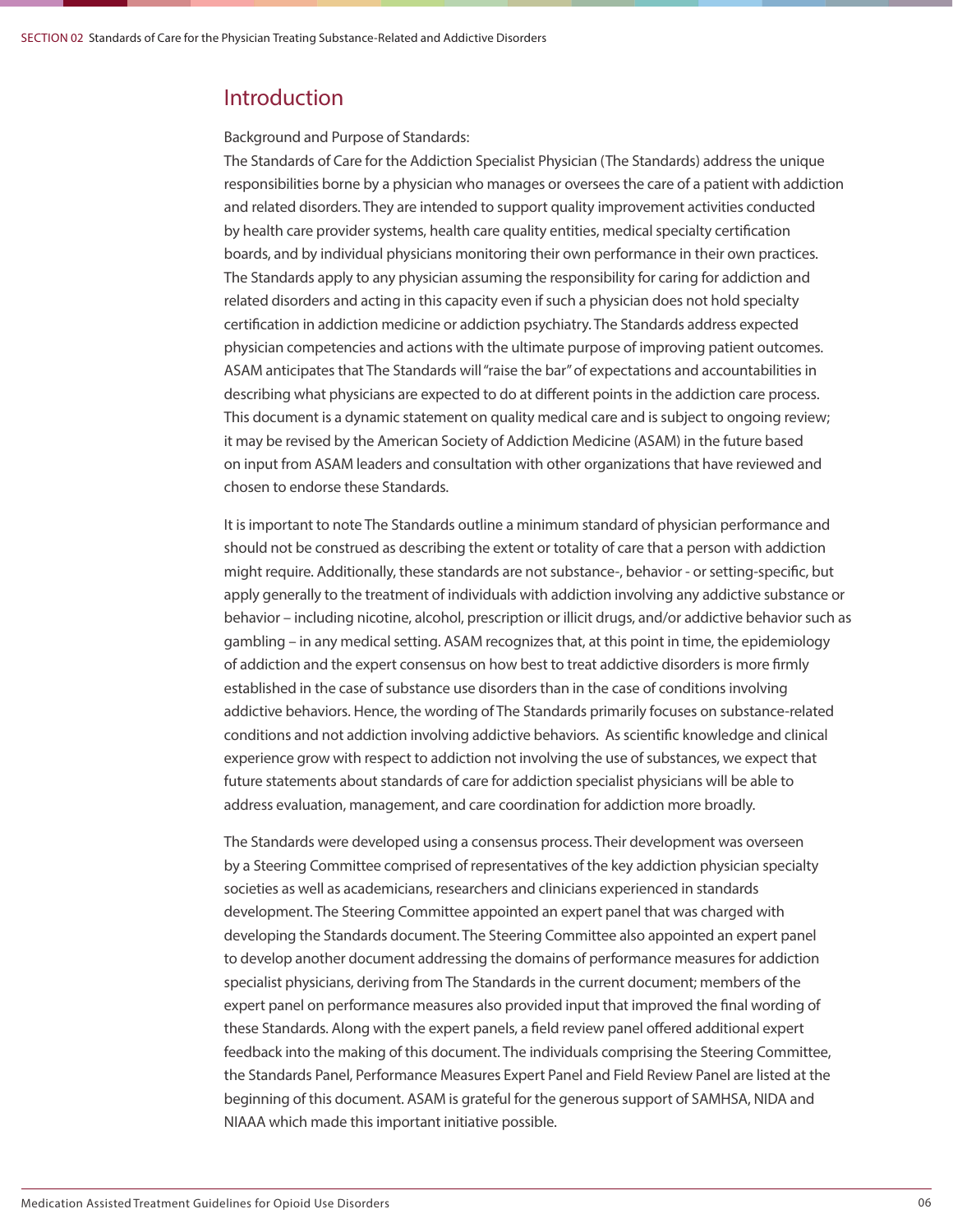### Introduction

Background and Purpose of Standards:

The Standards of Care for the Addiction Specialist Physician (The Standards) address the unique responsibilities borne by a physician who manages or oversees the care of a patient with addiction and related disorders. They are intended to support quality improvement activities conducted by health care provider systems, health care quality entities, medical specialty certification boards, and by individual physicians monitoring their own performance in their own practices. The Standards apply to any physician assuming the responsibility for caring for addiction and related disorders and acting in this capacity even if such a physician does not hold specialty certification in addiction medicine or addiction psychiatry. The Standards address expected physician competencies and actions with the ultimate purpose of improving patient outcomes. ASAM anticipates that The Standards will "raise the bar" of expectations and accountabilities in describing what physicians are expected to do at different points in the addiction care process. This document is a dynamic statement on quality medical care and is subject to ongoing review; it may be revised by the American Society of Addiction Medicine (ASAM) in the future based on input from ASAM leaders and consultation with other organizations that have reviewed and chosen to endorse these Standards.

It is important to note The Standards outline a minimum standard of physician performance and should not be construed as describing the extent or totality of care that a person with addiction might require. Additionally, these standards are not substance-, behavior - or setting-specific, but apply generally to the treatment of individuals with addiction involving any addictive substance or behavior – including nicotine, alcohol, prescription or illicit drugs, and/or addictive behavior such as gambling – in any medical setting. ASAM recognizes that, at this point in time, the epidemiology of addiction and the expert consensus on how best to treat addictive disorders is more firmly established in the case of substance use disorders than in the case of conditions involving addictive behaviors. Hence, the wording of The Standards primarily focuses on substance-related conditions and not addiction involving addictive behaviors. As scientific knowledge and clinical experience grow with respect to addiction not involving the use of substances, we expect that future statements about standards of care for addiction specialist physicians will be able to address evaluation, management, and care coordination for addiction more broadly.

The Standards were developed using a consensus process. Their development was overseen by a Steering Committee comprised of representatives of the key addiction physician specialty societies as well as academicians, researchers and clinicians experienced in standards development. The Steering Committee appointed an expert panel that was charged with developing the Standards document. The Steering Committee also appointed an expert panel to develop another document addressing the domains of performance measures for addiction specialist physicians, deriving from The Standards in the current document; members of the expert panel on performance measures also provided input that improved the final wording of these Standards. Along with the expert panels, a field review panel offered additional expert feedback into the making of this document. The individuals comprising the Steering Committee, the Standards Panel, Performance Measures Expert Panel and Field Review Panel are listed at the beginning of this document. ASAM is grateful for the generous support of SAMHSA, NIDA and NIAAA which made this important initiative possible.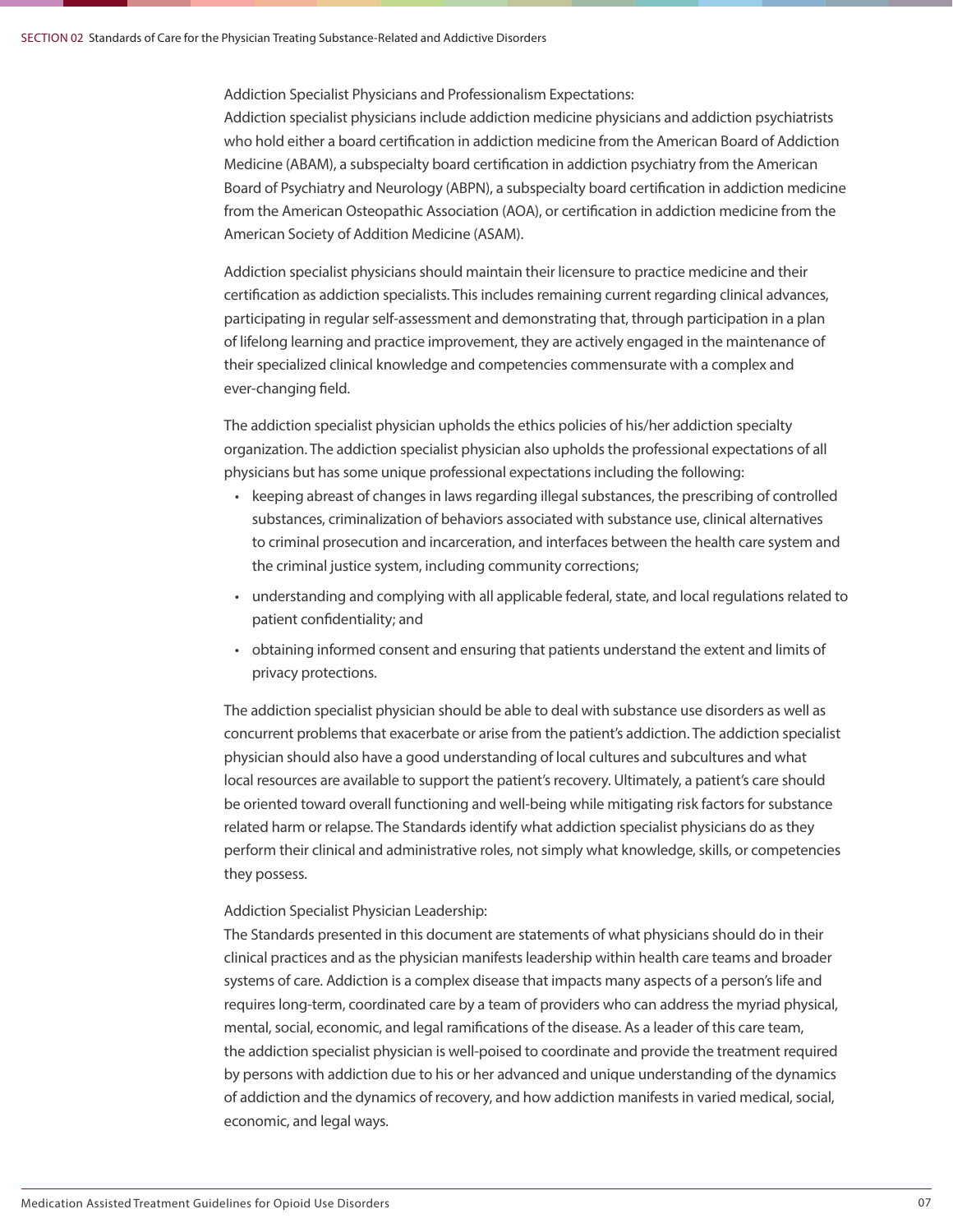Addiction Specialist Physicians and Professionalism Expectations:

Addiction specialist physicians include addiction medicine physicians and addiction psychiatrists who hold either a board certification in addiction medicine from the American Board of Addiction Medicine (ABAM), a subspecialty board certification in addiction psychiatry from the American Board of Psychiatry and Neurology (ABPN), a subspecialty board certification in addiction medicine from the American Osteopathic Association (AOA), or certification in addiction medicine from the American Society of Addition Medicine (ASAM).

Addiction specialist physicians should maintain their licensure to practice medicine and their certification as addiction specialists. This includes remaining current regarding clinical advances, participating in regular self-assessment and demonstrating that, through participation in a plan of lifelong learning and practice improvement, they are actively engaged in the maintenance of their specialized clinical knowledge and competencies commensurate with a complex and ever-changing field.

The addiction specialist physician upholds the ethics policies of his/her addiction specialty organization. The addiction specialist physician also upholds the professional expectations of all physicians but has some unique professional expectations including the following:

- keeping abreast of changes in laws regarding illegal substances, the prescribing of controlled substances, criminalization of behaviors associated with substance use, clinical alternatives to criminal prosecution and incarceration, and interfaces between the health care system and the criminal justice system, including community corrections;
- understanding and complying with all applicable federal, state, and local regulations related to patient confidentiality; and
- obtaining informed consent and ensuring that patients understand the extent and limits of privacy protections.

The addiction specialist physician should be able to deal with substance use disorders as well as concurrent problems that exacerbate or arise from the patient's addiction. The addiction specialist physician should also have a good understanding of local cultures and subcultures and what local resources are available to support the patient's recovery. Ultimately, a patient's care should be oriented toward overall functioning and well-being while mitigating risk factors for substance related harm or relapse. The Standards identify what addiction specialist physicians do as they perform their clinical and administrative roles, not simply what knowledge, skills, or competencies they possess.

### Addiction Specialist Physician Leadership:

The Standards presented in this document are statements of what physicians should do in their clinical practices and as the physician manifests leadership within health care teams and broader systems of care. Addiction is a complex disease that impacts many aspects of a person's life and requires long-term, coordinated care by a team of providers who can address the myriad physical, mental, social, economic, and legal ramifications of the disease. As a leader of this care team, the addiction specialist physician is well-poised to coordinate and provide the treatment required by persons with addiction due to his or her advanced and unique understanding of the dynamics of addiction and the dynamics of recovery, and how addiction manifests in varied medical, social, economic, and legal ways.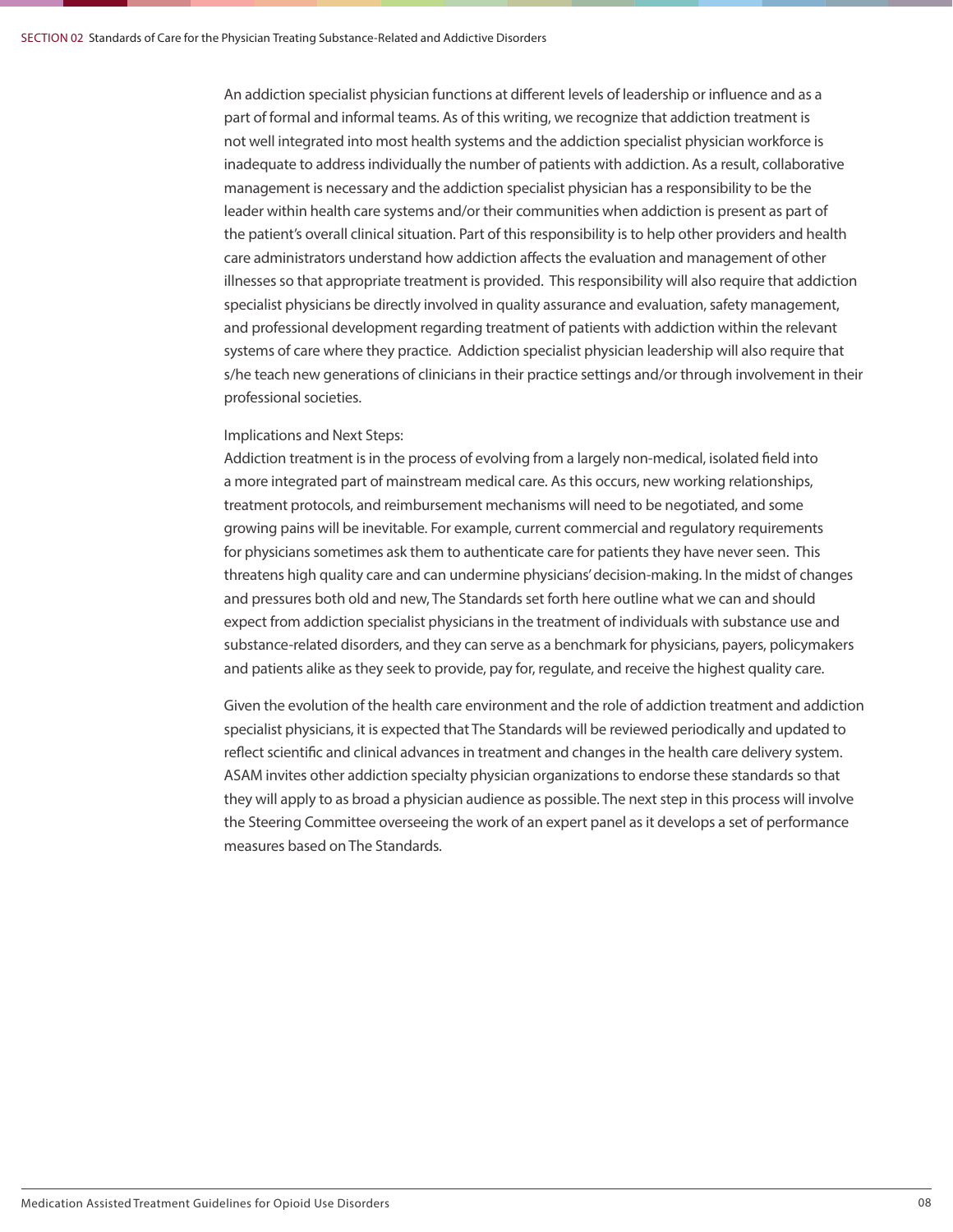An addiction specialist physician functions at different levels of leadership or influence and as a part of formal and informal teams. As of this writing, we recognize that addiction treatment is not well integrated into most health systems and the addiction specialist physician workforce is inadequate to address individually the number of patients with addiction. As a result, collaborative management is necessary and the addiction specialist physician has a responsibility to be the leader within health care systems and/or their communities when addiction is present as part of the patient's overall clinical situation. Part of this responsibility is to help other providers and health care administrators understand how addiction affects the evaluation and management of other illnesses so that appropriate treatment is provided. This responsibility will also require that addiction specialist physicians be directly involved in quality assurance and evaluation, safety management, and professional development regarding treatment of patients with addiction within the relevant systems of care where they practice. Addiction specialist physician leadership will also require that s/he teach new generations of clinicians in their practice settings and/or through involvement in their professional societies.

### Implications and Next Steps:

Addiction treatment is in the process of evolving from a largely non-medical, isolated field into a more integrated part of mainstream medical care. As this occurs, new working relationships, treatment protocols, and reimbursement mechanisms will need to be negotiated, and some growing pains will be inevitable. For example, current commercial and regulatory requirements for physicians sometimes ask them to authenticate care for patients they have never seen. This threatens high quality care and can undermine physicians' decision-making. In the midst of changes and pressures both old and new, The Standards set forth here outline what we can and should expect from addiction specialist physicians in the treatment of individuals with substance use and substance-related disorders, and they can serve as a benchmark for physicians, payers, policymakers and patients alike as they seek to provide, pay for, regulate, and receive the highest quality care.

Given the evolution of the health care environment and the role of addiction treatment and addiction specialist physicians, it is expected that The Standards will be reviewed periodically and updated to reflect scientific and clinical advances in treatment and changes in the health care delivery system. ASAM invites other addiction specialty physician organizations to endorse these standards so that they will apply to as broad a physician audience as possible. The next step in this process will involve the Steering Committee overseeing the work of an expert panel as it develops a set of performance measures based on The Standards.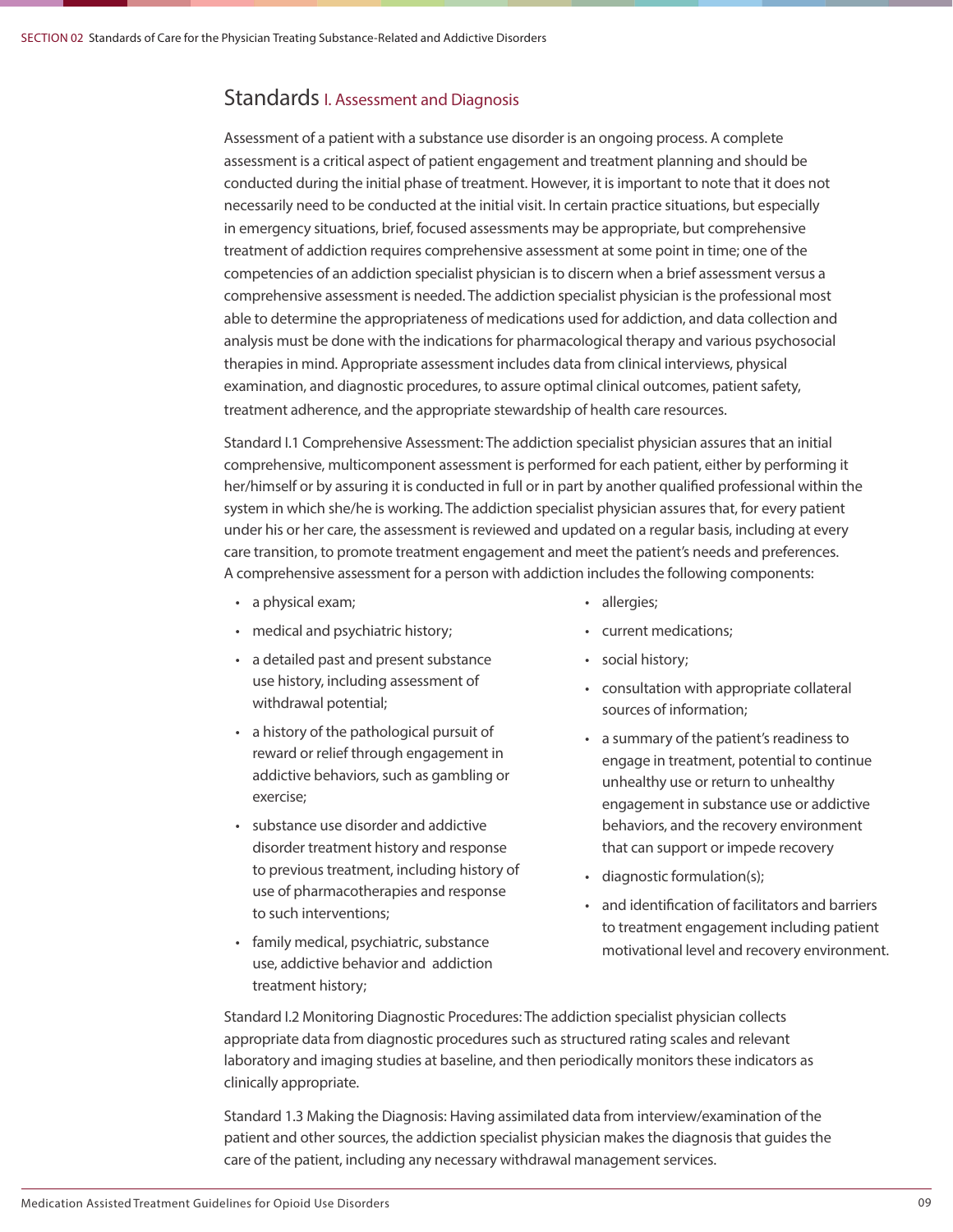### Standards I. Assessment and Diagnosis

Assessment of a patient with a substance use disorder is an ongoing process. A complete assessment is a critical aspect of patient engagement and treatment planning and should be conducted during the initial phase of treatment. However, it is important to note that it does not necessarily need to be conducted at the initial visit. In certain practice situations, but especially in emergency situations, brief, focused assessments may be appropriate, but comprehensive treatment of addiction requires comprehensive assessment at some point in time; one of the competencies of an addiction specialist physician is to discern when a brief assessment versus a comprehensive assessment is needed. The addiction specialist physician is the professional most able to determine the appropriateness of medications used for addiction, and data collection and analysis must be done with the indications for pharmacological therapy and various psychosocial therapies in mind. Appropriate assessment includes data from clinical interviews, physical examination, and diagnostic procedures, to assure optimal clinical outcomes, patient safety, treatment adherence, and the appropriate stewardship of health care resources.

Standard I.1 Comprehensive Assessment: The addiction specialist physician assures that an initial comprehensive, multicomponent assessment is performed for each patient, either by performing it her/himself or by assuring it is conducted in full or in part by another qualified professional within the system in which she/he is working. The addiction specialist physician assures that, for every patient under his or her care, the assessment is reviewed and updated on a regular basis, including at every care transition, to promote treatment engagement and meet the patient's needs and preferences. A comprehensive assessment for a person with addiction includes the following components:

- a physical exam;
- medical and psychiatric history;
- a detailed past and present substance use history, including assessment of withdrawal potential;
- a history of the pathological pursuit of reward or relief through engagement in addictive behaviors, such as gambling or exercise;
- substance use disorder and addictive disorder treatment history and response to previous treatment, including history of use of pharmacotherapies and response to such interventions;
- family medical, psychiatric, substance use, addictive behavior and addiction treatment history;
- allergies;
- current medications;
- social history;
- consultation with appropriate collateral sources of information;
- a summary of the patient's readiness to engage in treatment, potential to continue unhealthy use or return to unhealthy engagement in substance use or addictive behaviors, and the recovery environment that can support or impede recovery
- diagnostic formulation(s);
- and identification of facilitators and barriers to treatment engagement including patient motivational level and recovery environment.

Standard I.2 Monitoring Diagnostic Procedures: The addiction specialist physician collects appropriate data from diagnostic procedures such as structured rating scales and relevant laboratory and imaging studies at baseline, and then periodically monitors these indicators as clinically appropriate.

Standard 1.3 Making the Diagnosis: Having assimilated data from interview/examination of the patient and other sources, the addiction specialist physician makes the diagnosis that guides the care of the patient, including any necessary withdrawal management services.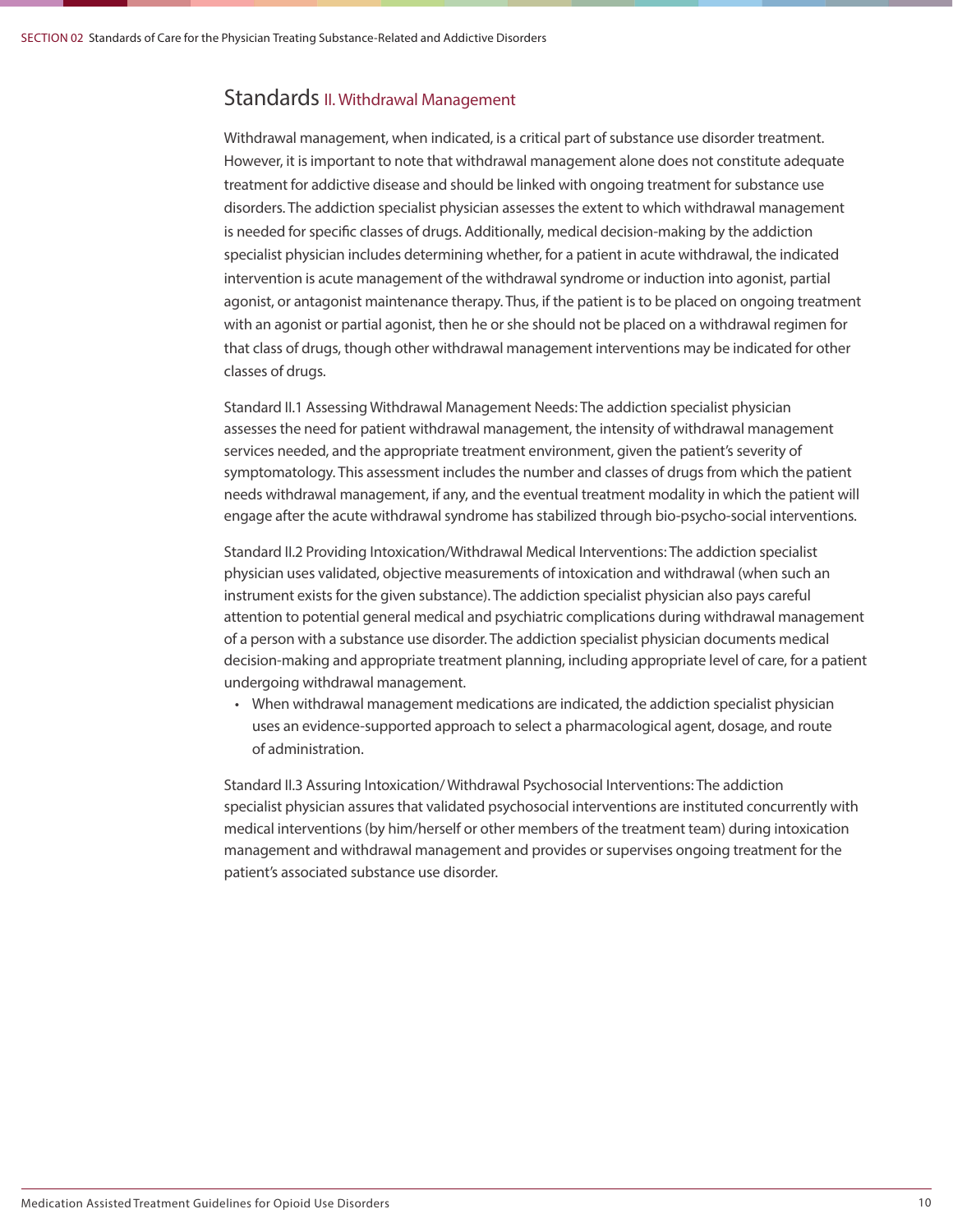### Standards II. Withdrawal Management

Withdrawal management, when indicated, is a critical part of substance use disorder treatment. However, it is important to note that withdrawal management alone does not constitute adequate treatment for addictive disease and should be linked with ongoing treatment for substance use disorders. The addiction specialist physician assesses the extent to which withdrawal management is needed for specific classes of drugs. Additionally, medical decision-making by the addiction specialist physician includes determining whether, for a patient in acute withdrawal, the indicated intervention is acute management of the withdrawal syndrome or induction into agonist, partial agonist, or antagonist maintenance therapy. Thus, if the patient is to be placed on ongoing treatment with an agonist or partial agonist, then he or she should not be placed on a withdrawal regimen for that class of drugs, though other withdrawal management interventions may be indicated for other classes of drugs.

Standard II.1 Assessing Withdrawal Management Needs: The addiction specialist physician assesses the need for patient withdrawal management, the intensity of withdrawal management services needed, and the appropriate treatment environment, given the patient's severity of symptomatology. This assessment includes the number and classes of drugs from which the patient needs withdrawal management, if any, and the eventual treatment modality in which the patient will engage after the acute withdrawal syndrome has stabilized through bio-psycho-social interventions.

Standard II.2 Providing Intoxication/Withdrawal Medical Interventions: The addiction specialist physician uses validated, objective measurements of intoxication and withdrawal (when such an instrument exists for the given substance). The addiction specialist physician also pays careful attention to potential general medical and psychiatric complications during withdrawal management of a person with a substance use disorder. The addiction specialist physician documents medical decision-making and appropriate treatment planning, including appropriate level of care, for a patient undergoing withdrawal management.

• When withdrawal management medications are indicated, the addiction specialist physician uses an evidence-supported approach to select a pharmacological agent, dosage, and route of administration.

Standard II.3 Assuring Intoxication/ Withdrawal Psychosocial Interventions: The addiction specialist physician assures that validated psychosocial interventions are instituted concurrently with medical interventions (by him/herself or other members of the treatment team) during intoxication management and withdrawal management and provides or supervises ongoing treatment for the patient's associated substance use disorder.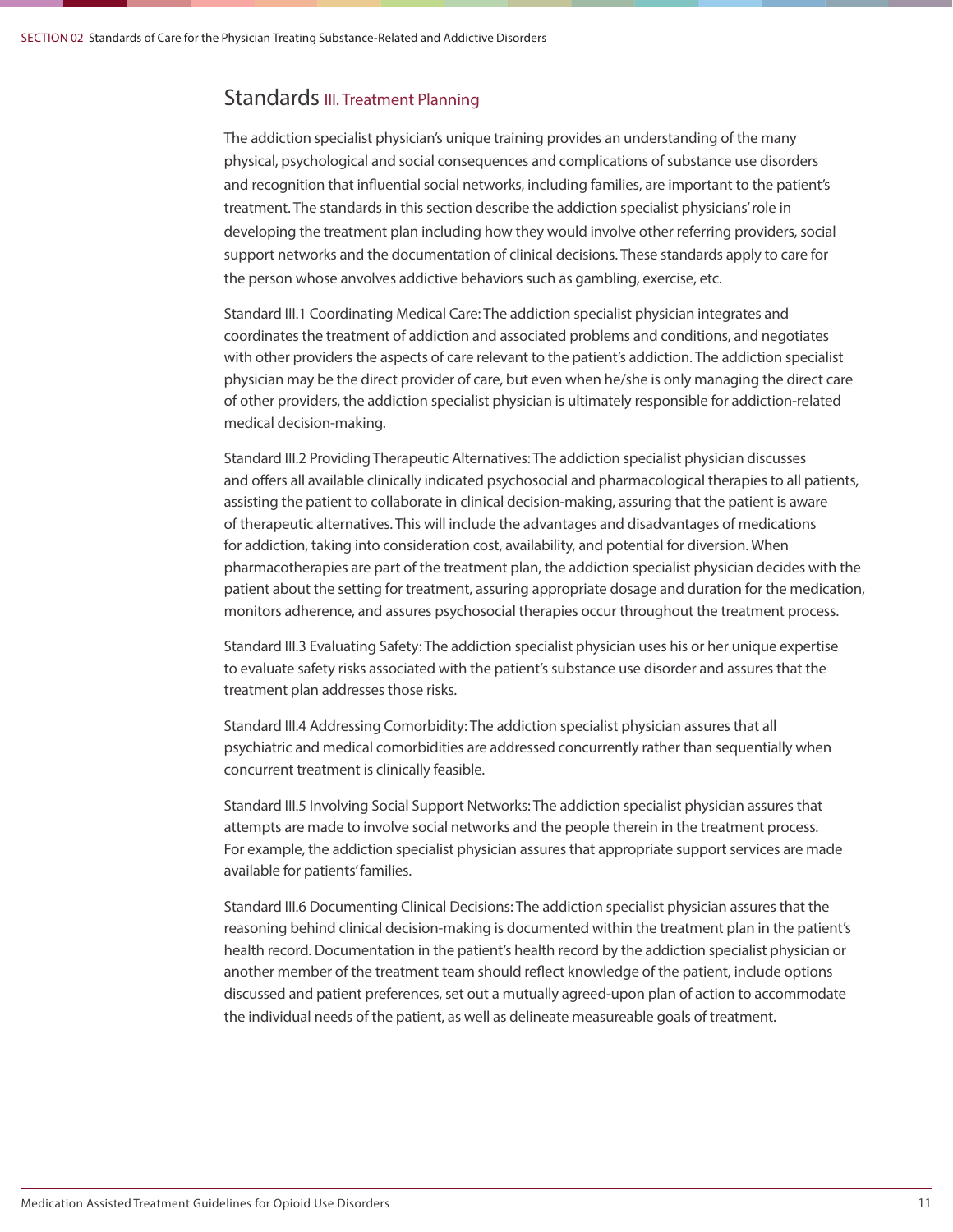### Standards III. Treatment Planning

The addiction specialist physician's unique training provides an understanding of the many physical, psychological and social consequences and complications of substance use disorders and recognition that influential social networks, including families, are important to the patient's treatment. The standards in this section describe the addiction specialist physicians' role in developing the treatment plan including how they would involve other referring providers, social support networks and the documentation of clinical decisions. These standards apply to care for the person whose anvolves addictive behaviors such as gambling, exercise, etc.

Standard III.1 Coordinating Medical Care: The addiction specialist physician integrates and coordinates the treatment of addiction and associated problems and conditions, and negotiates with other providers the aspects of care relevant to the patient's addiction. The addiction specialist physician may be the direct provider of care, but even when he/she is only managing the direct care of other providers, the addiction specialist physician is ultimately responsible for addiction-related medical decision-making.

Standard III.2 Providing Therapeutic Alternatives: The addiction specialist physician discusses and offers all available clinically indicated psychosocial and pharmacological therapies to all patients, assisting the patient to collaborate in clinical decision-making, assuring that the patient is aware of therapeutic alternatives. This will include the advantages and disadvantages of medications for addiction, taking into consideration cost, availability, and potential for diversion. When pharmacotherapies are part of the treatment plan, the addiction specialist physician decides with the patient about the setting for treatment, assuring appropriate dosage and duration for the medication, monitors adherence, and assures psychosocial therapies occur throughout the treatment process.

Standard III.3 Evaluating Safety: The addiction specialist physician uses his or her unique expertise to evaluate safety risks associated with the patient's substance use disorder and assures that the treatment plan addresses those risks.

Standard III.4 Addressing Comorbidity: The addiction specialist physician assures that all psychiatric and medical comorbidities are addressed concurrently rather than sequentially when concurrent treatment is clinically feasible.

Standard III.5 Involving Social Support Networks: The addiction specialist physician assures that attempts are made to involve social networks and the people therein in the treatment process. For example, the addiction specialist physician assures that appropriate support services are made available for patients' families.

Standard III.6 Documenting Clinical Decisions: The addiction specialist physician assures that the reasoning behind clinical decision-making is documented within the treatment plan in the patient's health record. Documentation in the patient's health record by the addiction specialist physician or another member of the treatment team should reflect knowledge of the patient, include options discussed and patient preferences, set out a mutually agreed-upon plan of action to accommodate the individual needs of the patient, as well as delineate measureable goals of treatment.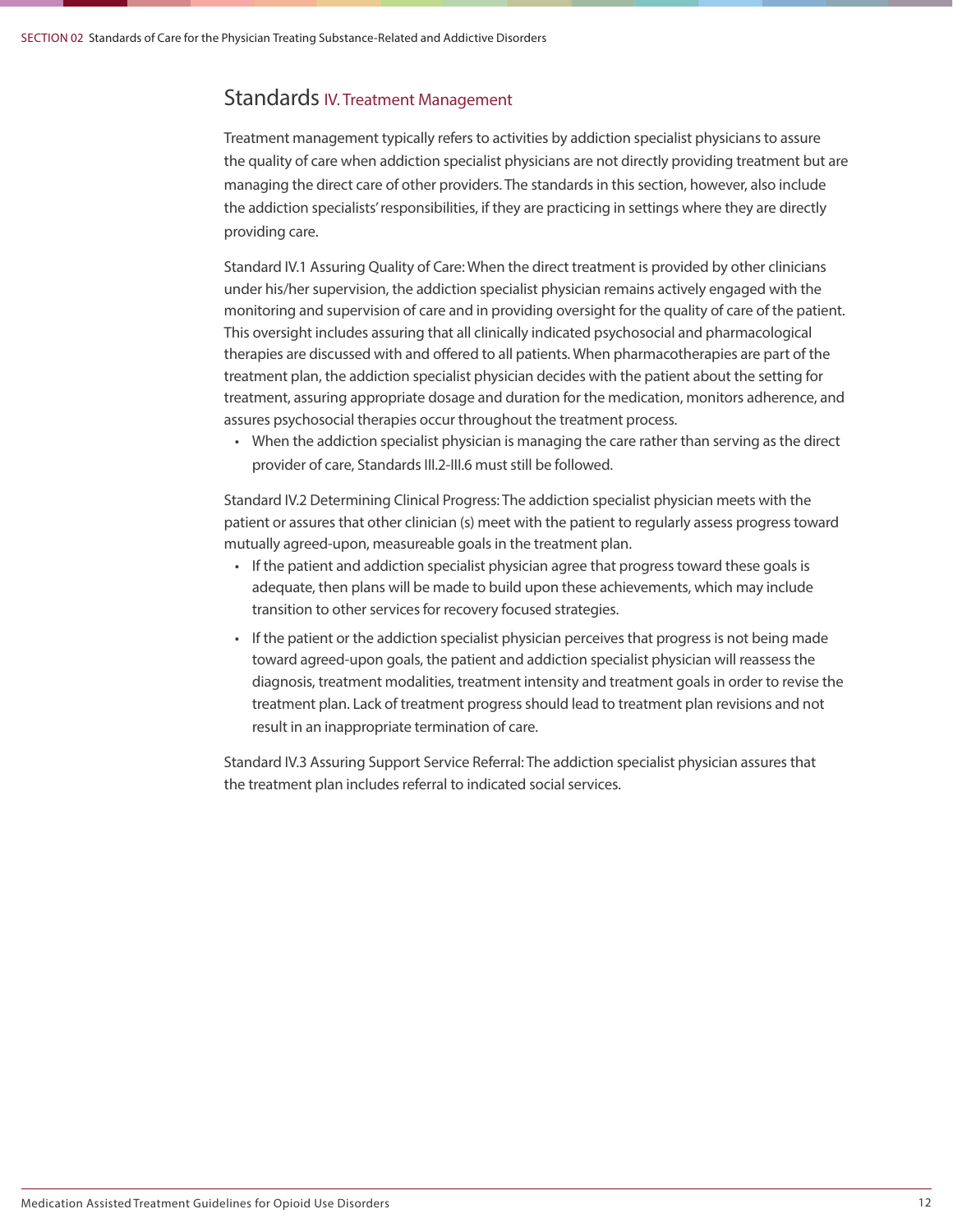### Standards IV. Treatment Management

Treatment management typically refers to activities by addiction specialist physicians to assure the quality of care when addiction specialist physicians are not directly providing treatment but are managing the direct care of other providers. The standards in this section, however, also include the addiction specialists' responsibilities, if they are practicing in settings where they are directly providing care.

Standard IV.1 Assuring Quality of Care: When the direct treatment is provided by other clinicians under his/her supervision, the addiction specialist physician remains actively engaged with the monitoring and supervision of care and in providing oversight for the quality of care of the patient. This oversight includes assuring that all clinically indicated psychosocial and pharmacological therapies are discussed with and offered to all patients. When pharmacotherapies are part of the treatment plan, the addiction specialist physician decides with the patient about the setting for treatment, assuring appropriate dosage and duration for the medication, monitors adherence, and assures psychosocial therapies occur throughout the treatment process.

• When the addiction specialist physician is managing the care rather than serving as the direct provider of care, Standards III.2-III.6 must still be followed.

Standard IV.2 Determining Clinical Progress: The addiction specialist physician meets with the patient or assures that other clinician (s) meet with the patient to regularly assess progress toward mutually agreed-upon, measureable goals in the treatment plan.

- If the patient and addiction specialist physician agree that progress toward these goals is adequate, then plans will be made to build upon these achievements, which may include transition to other services for recovery focused strategies.
- If the patient or the addiction specialist physician perceives that progress is not being made toward agreed-upon goals, the patient and addiction specialist physician will reassess the diagnosis, treatment modalities, treatment intensity and treatment goals in order to revise the treatment plan. Lack of treatment progress should lead to treatment plan revisions and not result in an inappropriate termination of care.

Standard IV.3 Assuring Support Service Referral: The addiction specialist physician assures that the treatment plan includes referral to indicated social services.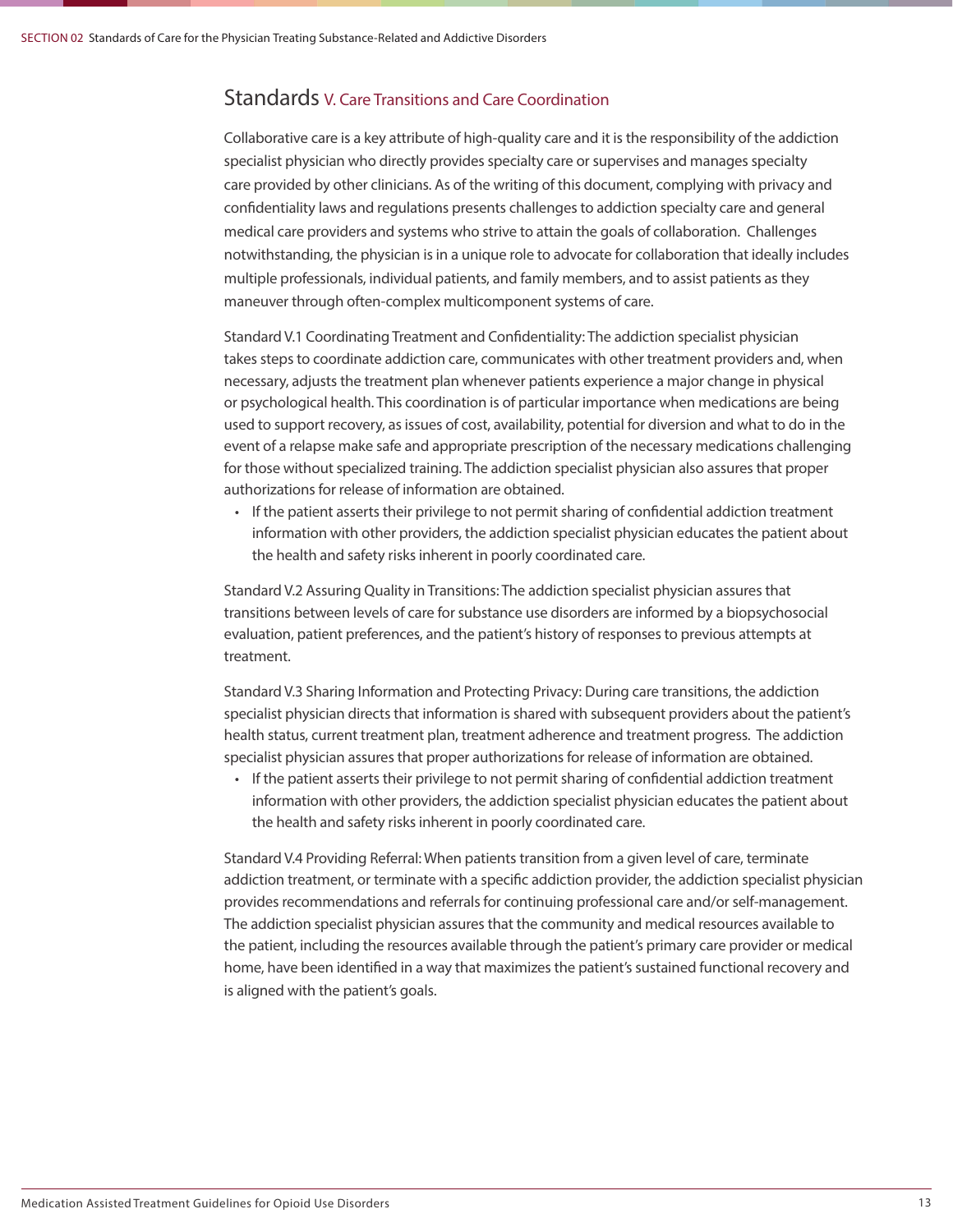### Standards V. Care Transitions and Care Coordination

Collaborative care is a key attribute of high-quality care and it is the responsibility of the addiction specialist physician who directly provides specialty care or supervises and manages specialty care provided by other clinicians. As of the writing of this document, complying with privacy and confidentiality laws and regulations presents challenges to addiction specialty care and general medical care providers and systems who strive to attain the goals of collaboration. Challenges notwithstanding, the physician is in a unique role to advocate for collaboration that ideally includes multiple professionals, individual patients, and family members, and to assist patients as they maneuver through often-complex multicomponent systems of care.

Standard V.1 Coordinating Treatment and Confidentiality: The addiction specialist physician takes steps to coordinate addiction care, communicates with other treatment providers and, when necessary, adjusts the treatment plan whenever patients experience a major change in physical or psychological health. This coordination is of particular importance when medications are being used to support recovery, as issues of cost, availability, potential for diversion and what to do in the event of a relapse make safe and appropriate prescription of the necessary medications challenging for those without specialized training. The addiction specialist physician also assures that proper authorizations for release of information are obtained.

• If the patient asserts their privilege to not permit sharing of confidential addiction treatment information with other providers, the addiction specialist physician educates the patient about the health and safety risks inherent in poorly coordinated care.

Standard V.2 Assuring Quality in Transitions: The addiction specialist physician assures that transitions between levels of care for substance use disorders are informed by a biopsychosocial evaluation, patient preferences, and the patient's history of responses to previous attempts at treatment.

Standard V.3 Sharing Information and Protecting Privacy: During care transitions, the addiction specialist physician directs that information is shared with subsequent providers about the patient's health status, current treatment plan, treatment adherence and treatment progress. The addiction specialist physician assures that proper authorizations for release of information are obtained.

• If the patient asserts their privilege to not permit sharing of confidential addiction treatment information with other providers, the addiction specialist physician educates the patient about the health and safety risks inherent in poorly coordinated care.

Standard V.4 Providing Referral: When patients transition from a given level of care, terminate addiction treatment, or terminate with a specific addiction provider, the addiction specialist physician provides recommendations and referrals for continuing professional care and/or self-management. The addiction specialist physician assures that the community and medical resources available to the patient, including the resources available through the patient's primary care provider or medical home, have been identified in a way that maximizes the patient's sustained functional recovery and is aligned with the patient's goals.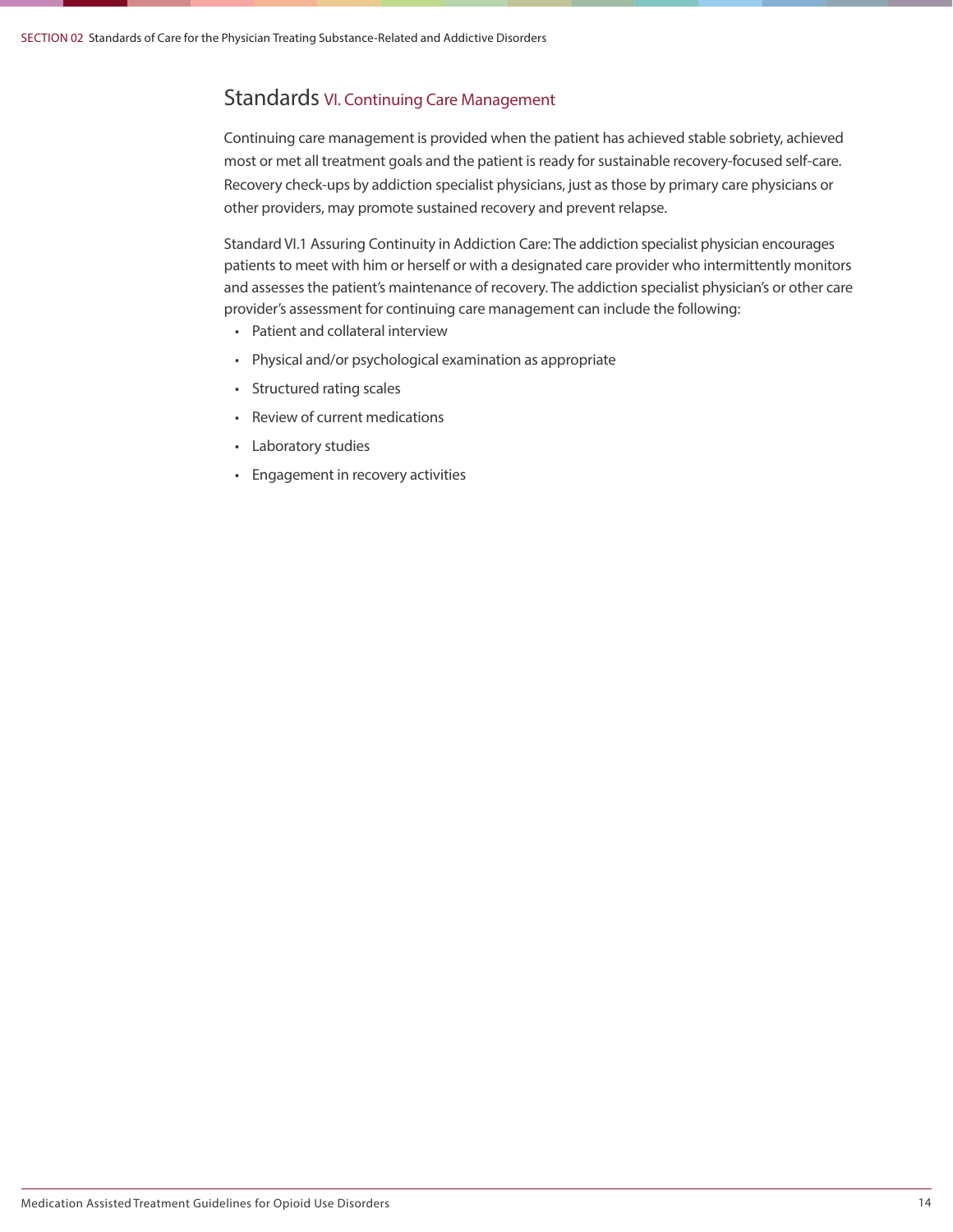### Standards VI. Continuing Care Management

Continuing care management is provided when the patient has achieved stable sobriety, achieved most or met all treatment goals and the patient is ready for sustainable recovery-focused self-care. Recovery check-ups by addiction specialist physicians, just as those by primary care physicians or other providers, may promote sustained recovery and prevent relapse.

Standard VI.1 Assuring Continuity in Addiction Care: The addiction specialist physician encourages patients to meet with him or herself or with a designated care provider who intermittently monitors and assesses the patient's maintenance of recovery. The addiction specialist physician's or other care provider's assessment for continuing care management can include the following:

- Patient and collateral interview
- Physical and/or psychological examination as appropriate
- Structured rating scales
- Review of current medications
- Laboratory studies
- Engagement in recovery activities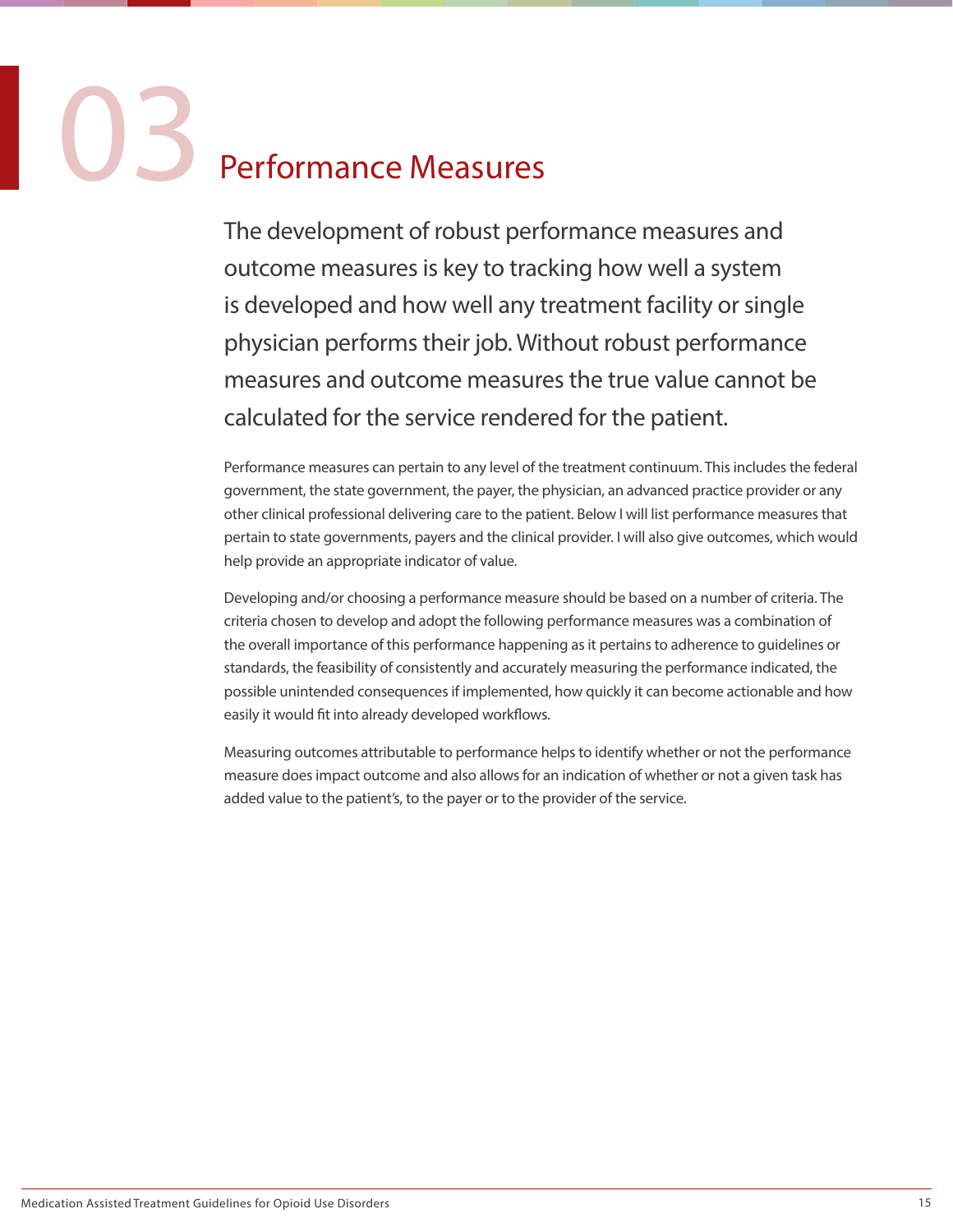### Performance Measures

The development of robust performance measures and outcome measures is key to tracking how well a system is developed and how well any treatment facility or single physician performs their job. Without robust performance measures and outcome measures the true value cannot be calculated for the service rendered for the patient.

Performance measures can pertain to any level of the treatment continuum. This includes the federal government, the state government, the payer, the physician, an advanced practice provider or any other clinical professional delivering care to the patient. Below I will list performance measures that pertain to state governments, payers and the clinical provider. I will also give outcomes, which would help provide an appropriate indicator of value.

Developing and/or choosing a performance measure should be based on a number of criteria. The criteria chosen to develop and adopt the following performance measures was a combination of the overall importance of this performance happening as it pertains to adherence to guidelines or standards, the feasibility of consistently and accurately measuring the performance indicated, the possible unintended consequences if implemented, how quickly it can become actionable and how easily it would fit into already developed workflows.

Measuring outcomes attributable to performance helps to identify whether or not the performance measure does impact outcome and also allows for an indication of whether or not a given task has added value to the patient's, to the payer or to the provider of the service.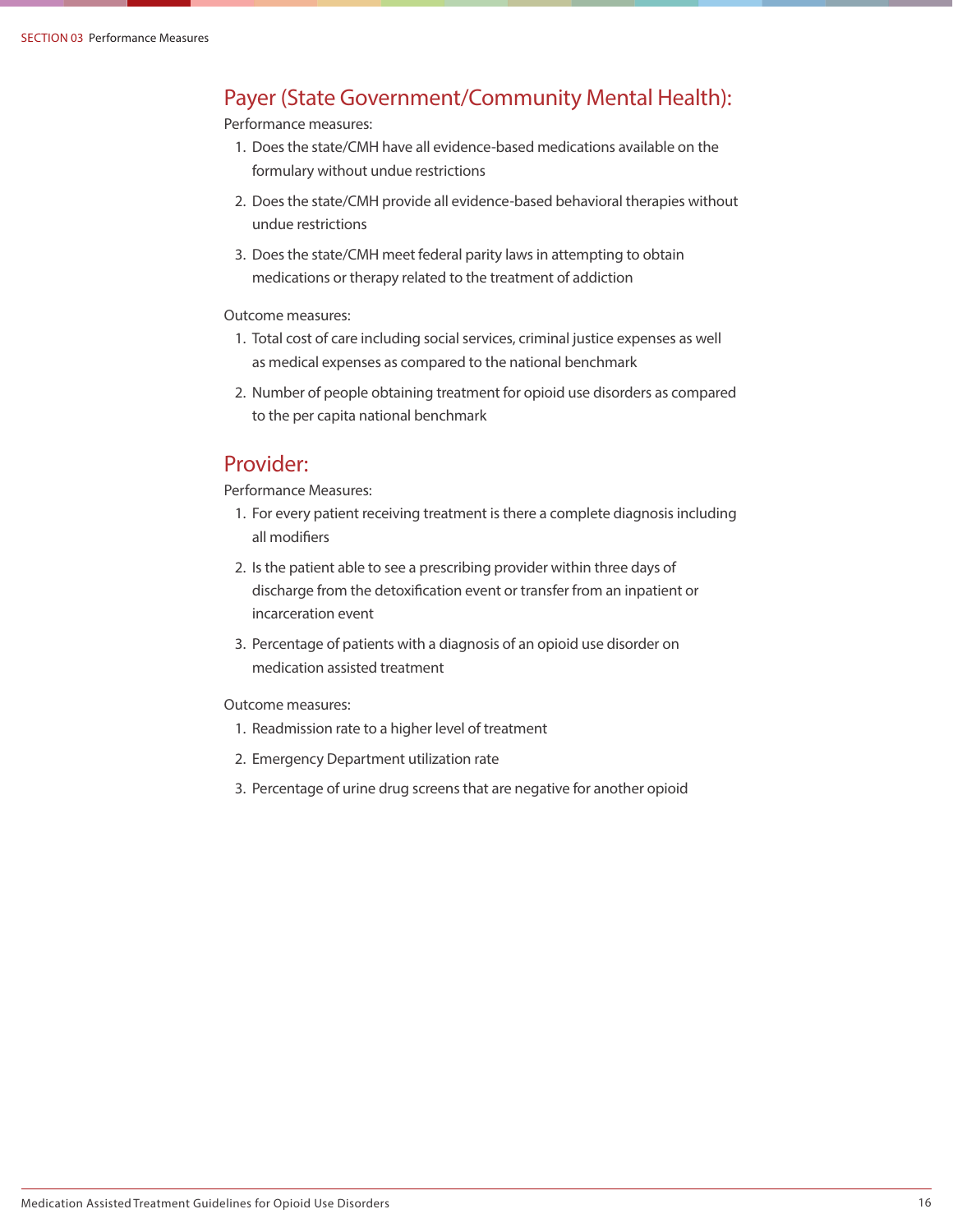### Payer (State Government/Community Mental Health):

Performance measures:

- 1. Does the state/CMH have all evidence-based medications available on the formulary without undue restrictions
- 2. Does the state/CMH provide all evidence-based behavioral therapies without undue restrictions
- 3. Does the state/CMH meet federal parity laws in attempting to obtain medications or therapy related to the treatment of addiction

### Outcome measures:

- 1. Total cost of care including social services, criminal justice expenses as well as medical expenses as compared to the national benchmark
- 2. Number of people obtaining treatment for opioid use disorders as compared to the per capita national benchmark

### Provider:

Performance Measures:

- 1. For every patient receiving treatment is there a complete diagnosis including all modifiers
- 2. Is the patient able to see a prescribing provider within three days of discharge from the detoxification event or transfer from an inpatient or incarceration event
- 3. Percentage of patients with a diagnosis of an opioid use disorder on medication assisted treatment

### Outcome measures:

- 1. Readmission rate to a higher level of treatment
- 2. Emergency Department utilization rate
- 3. Percentage of urine drug screens that are negative for another opioid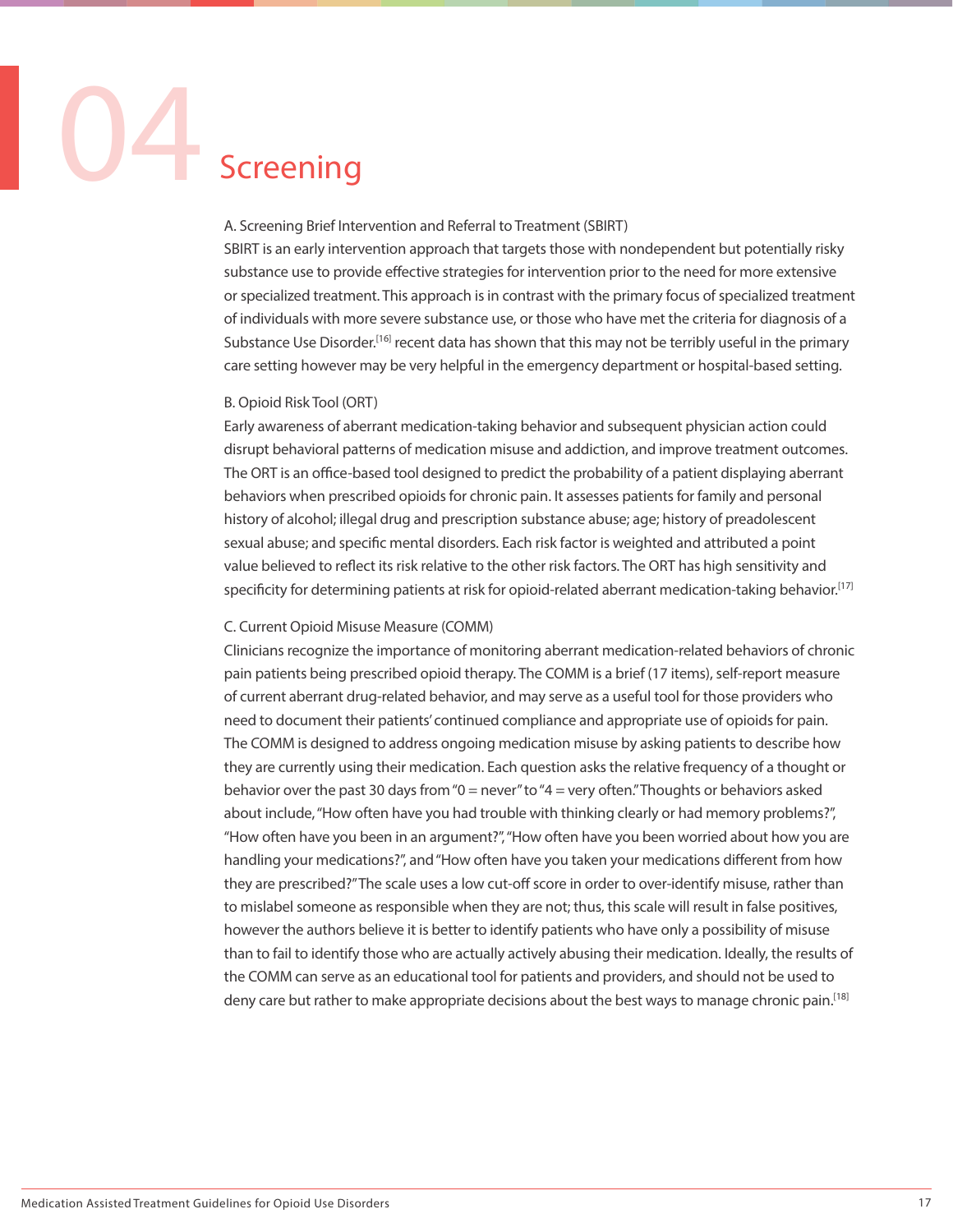## Screening

### A. Screening Brief Intervention and Referral to Treatment (SBIRT)

SBIRT is an early intervention approach that targets those with nondependent but potentially risky substance use to provide effective strategies for intervention prior to the need for more extensive or specialized treatment. This approach is in contrast with the primary focus of specialized treatment of individuals with more severe substance use, or those who have met the criteria for diagnosis of a Substance Use Disorder.<sup>[16]</sup> recent data has shown that this may not be terribly useful in the primary care setting however may be very helpful in the emergency department or hospital-based setting.

### B. Opioid Risk Tool (ORT)

Early awareness of aberrant medication-taking behavior and subsequent physician action could disrupt behavioral patterns of medication misuse and addiction, and improve treatment outcomes. The ORT is an office-based tool designed to predict the probability of a patient displaying aberrant behaviors when prescribed opioids for chronic pain. It assesses patients for family and personal history of alcohol; illegal drug and prescription substance abuse; age; history of preadolescent sexual abuse; and specific mental disorders. Each risk factor is weighted and attributed a point value believed to reflect its risk relative to the other risk factors. The ORT has high sensitivity and specificity for determining patients at risk for opioid-related aberrant medication-taking behavior.<sup>[17]</sup>

### C. Current Opioid Misuse Measure (COMM)

Clinicians recognize the importance of monitoring aberrant medication-related behaviors of chronic pain patients being prescribed opioid therapy. The COMM is a brief (17 items), self-report measure of current aberrant drug-related behavior, and may serve as a useful tool for those providers who need to document their patients' continued compliance and appropriate use of opioids for pain. The COMM is designed to address ongoing medication misuse by asking patients to describe how they are currently using their medication. Each question asks the relative frequency of a thought or behavior over the past 30 days from "0 = never" to "4 = very often." Thoughts or behaviors asked about include, "How often have you had trouble with thinking clearly or had memory problems?", "How often have you been in an argument?", "How often have you been worried about how you are handling your medications?", and "How often have you taken your medications different from how they are prescribed?" The scale uses a low cut-off score in order to over-identify misuse, rather than to mislabel someone as responsible when they are not; thus, this scale will result in false positives, however the authors believe it is better to identify patients who have only a possibility of misuse than to fail to identify those who are actually actively abusing their medication. Ideally, the results of the COMM can serve as an educational tool for patients and providers, and should not be used to deny care but rather to make appropriate decisions about the best ways to manage chronic pain.<sup>[18]</sup>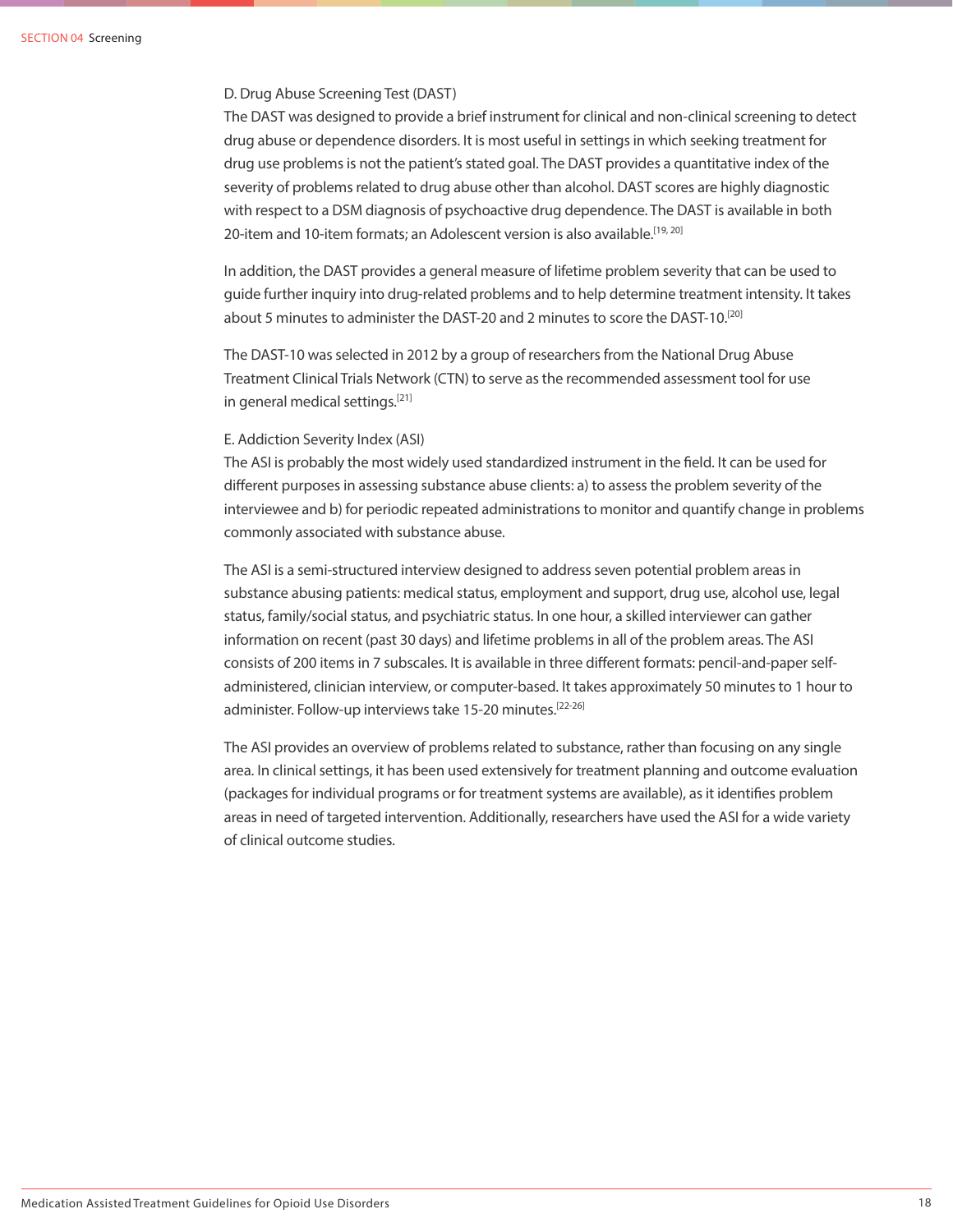### D. Drug Abuse Screening Test (DAST)

The DAST was designed to provide a brief instrument for clinical and non-clinical screening to detect drug abuse or dependence disorders. It is most useful in settings in which seeking treatment for drug use problems is not the patient's stated goal. The DAST provides a quantitative index of the severity of problems related to drug abuse other than alcohol. DAST scores are highly diagnostic with respect to a DSM diagnosis of psychoactive drug dependence. The DAST is available in both 20-item and 10-item formats; an Adolescent version is also available.<sup>[19, 20]</sup>

In addition, the DAST provides a general measure of lifetime problem severity that can be used to guide further inquiry into drug-related problems and to help determine treatment intensity. It takes about 5 minutes to administer the DAST-20 and 2 minutes to score the DAST-10.<sup>[20]</sup>

The DAST-10 was selected in 2012 by a group of researchers from the National Drug Abuse Treatment Clinical Trials Network (CTN) to serve as the recommended assessment tool for use in general medical settings.[21]

### E. Addiction Severity Index (ASI)

The ASI is probably the most widely used standardized instrument in the field. It can be used for different purposes in assessing substance abuse clients: a) to assess the problem severity of the interviewee and b) for periodic repeated administrations to monitor and quantify change in problems commonly associated with substance abuse.

The ASI is a semi-structured interview designed to address seven potential problem areas in substance abusing patients: medical status, employment and support, drug use, alcohol use, legal status, family/social status, and psychiatric status. In one hour, a skilled interviewer can gather information on recent (past 30 days) and lifetime problems in all of the problem areas. The ASI consists of 200 items in 7 subscales. It is available in three different formats: pencil-and-paper selfadministered, clinician interview, or computer-based. It takes approximately 50 minutes to 1 hour to administer. Follow-up interviews take 15-20 minutes.<sup>[22-26]</sup>

The ASI provides an overview of problems related to substance, rather than focusing on any single area. In clinical settings, it has been used extensively for treatment planning and outcome evaluation (packages for individual programs or for treatment systems are available), as it identifies problem areas in need of targeted intervention. Additionally, researchers have used the ASI for a wide variety of clinical outcome studies.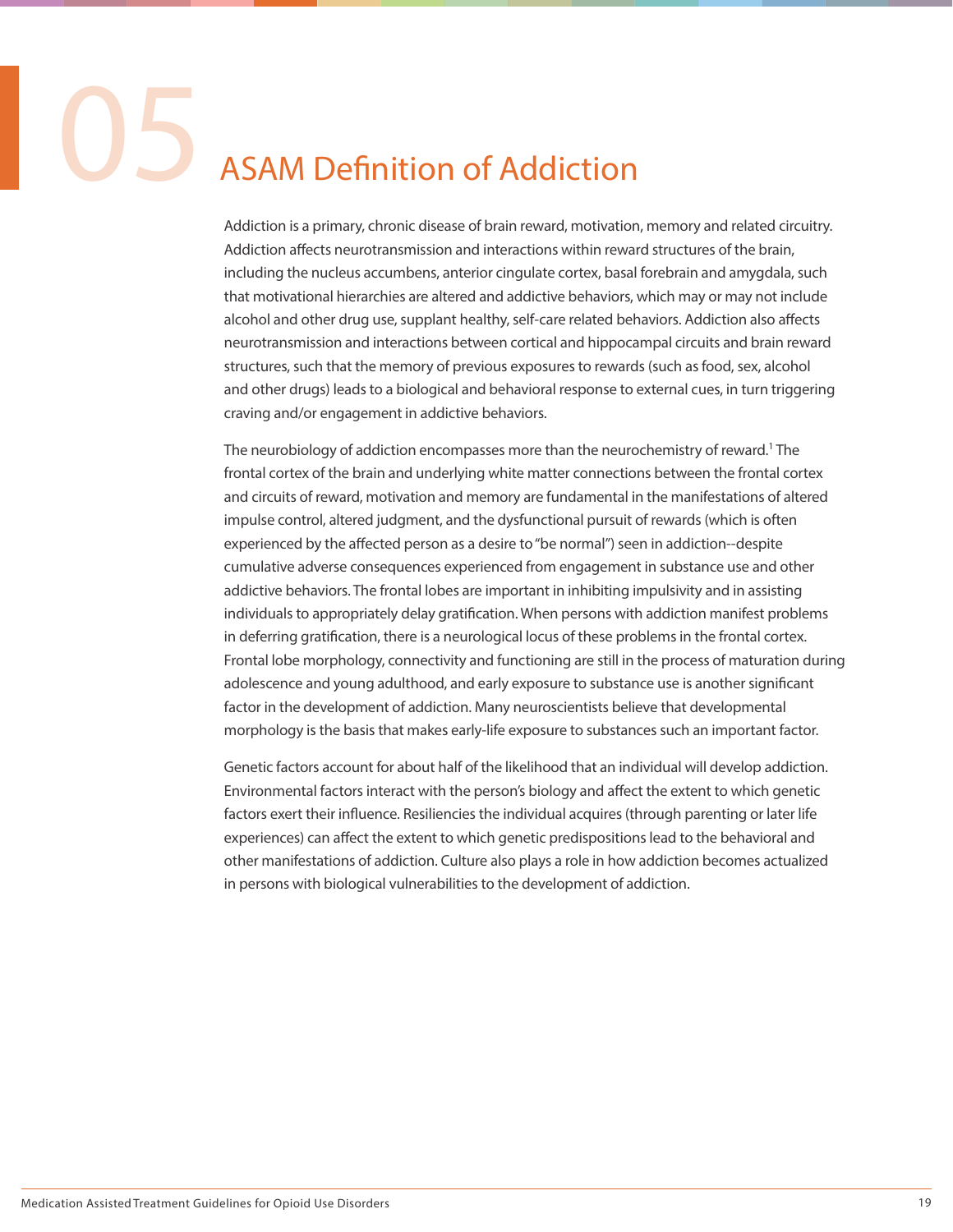### **ASAM Definition of Addiction**

Addiction is a primary, chronic disease of brain reward, motivation, memory and related circuitry. Addiction affects neurotransmission and interactions within reward structures of the brain, including the nucleus accumbens, anterior cingulate cortex, basal forebrain and amygdala, such that motivational hierarchies are altered and addictive behaviors, which may or may not include alcohol and other drug use, supplant healthy, self-care related behaviors. Addiction also affects neurotransmission and interactions between cortical and hippocampal circuits and brain reward structures, such that the memory of previous exposures to rewards (such as food, sex, alcohol and other drugs) leads to a biological and behavioral response to external cues, in turn triggering craving and/or engagement in addictive behaviors.

The neurobiology of addiction encompasses more than the neurochemistry of reward.<sup>1</sup> The frontal cortex of the brain and underlying white matter connections between the frontal cortex and circuits of reward, motivation and memory are fundamental in the manifestations of altered impulse control, altered judgment, and the dysfunctional pursuit of rewards (which is often experienced by the affected person as a desire to "be normal") seen in addiction--despite cumulative adverse consequences experienced from engagement in substance use and other addictive behaviors. The frontal lobes are important in inhibiting impulsivity and in assisting individuals to appropriately delay gratification. When persons with addiction manifest problems in deferring gratification, there is a neurological locus of these problems in the frontal cortex. Frontal lobe morphology, connectivity and functioning are still in the process of maturation during adolescence and young adulthood, and early exposure to substance use is another significant factor in the development of addiction. Many neuroscientists believe that developmental morphology is the basis that makes early-life exposure to substances such an important factor.

Genetic factors account for about half of the likelihood that an individual will develop addiction. Environmental factors interact with the person's biology and affect the extent to which genetic factors exert their influence. Resiliencies the individual acquires (through parenting or later life experiences) can affect the extent to which genetic predispositions lead to the behavioral and other manifestations of addiction. Culture also plays a role in how addiction becomes actualized in persons with biological vulnerabilities to the development of addiction.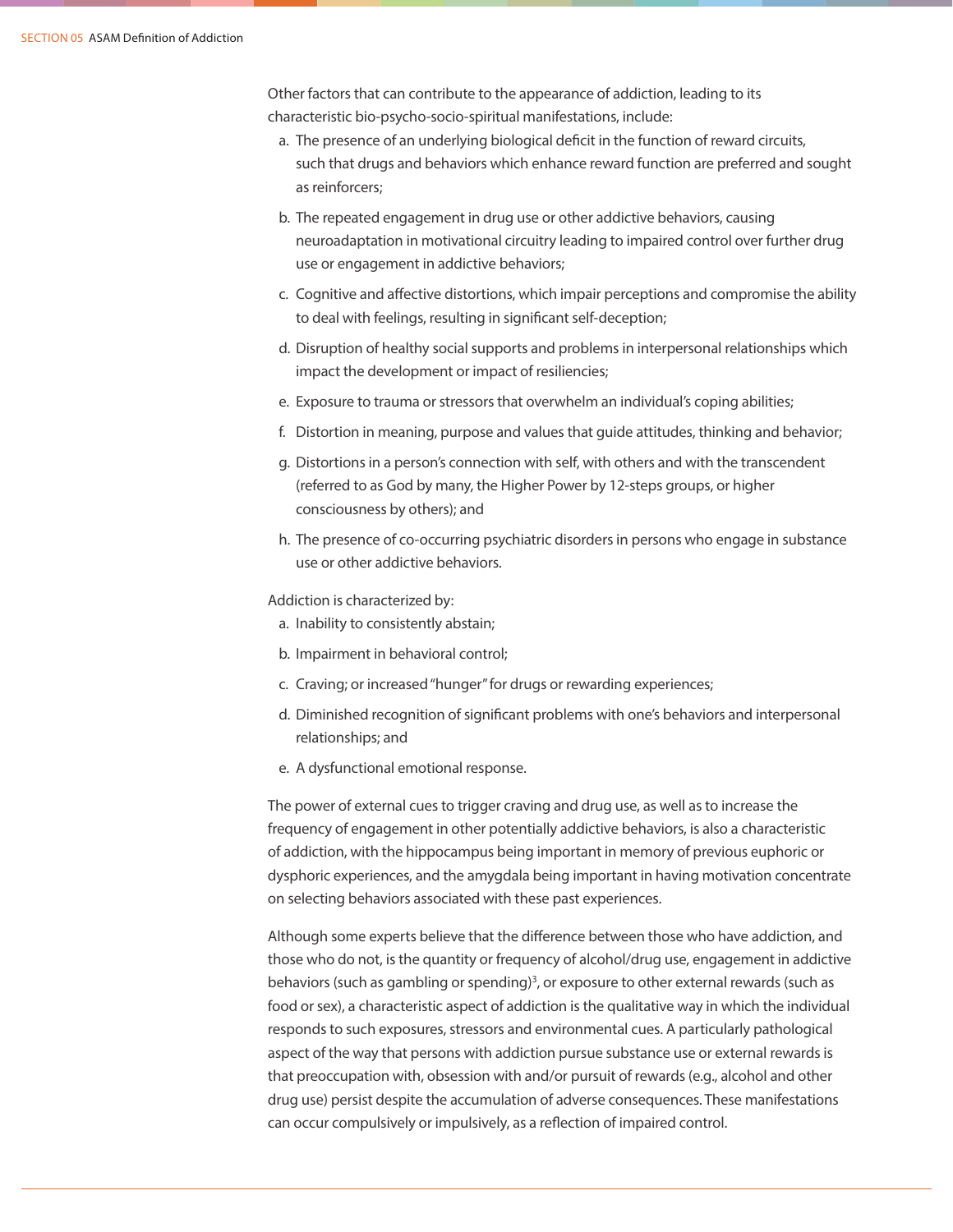Other factors that can contribute to the appearance of addiction, leading to its characteristic bio-psycho-socio-spiritual manifestations, include:

- a. The presence of an underlying biological deficit in the function of reward circuits, such that drugs and behaviors which enhance reward function are preferred and sought as reinforcers;
- b. The repeated engagement in drug use or other addictive behaviors, causing neuroadaptation in motivational circuitry leading to impaired control over further drug use or engagement in addictive behaviors;
- c. Cognitive and affective distortions, which impair perceptions and compromise the ability to deal with feelings, resulting in significant self-deception;
- d. Disruption of healthy social supports and problems in interpersonal relationships which impact the development or impact of resiliencies;
- e. Exposure to trauma or stressors that overwhelm an individual's coping abilities;
- f. Distortion in meaning, purpose and values that guide attitudes, thinking and behavior;
- g. Distortions in a person's connection with self, with others and with the transcendent (referred to as God by many, the Higher Power by 12-steps groups, or higher consciousness by others); and
- h. The presence of co-occurring psychiatric disorders in persons who engage in substance use or other addictive behaviors.

Addiction is characterized by:

- a. Inability to consistently abstain;
- b. Impairment in behavioral control;
- c. Craving; or increased "hunger" for drugs or rewarding experiences;
- d. Diminished recognition of significant problems with one's behaviors and interpersonal relationships; and
- e. A dysfunctional emotional response.

The power of external cues to trigger craving and drug use, as well as to increase the frequency of engagement in other potentially addictive behaviors, is also a characteristic of addiction, with the hippocampus being important in memory of previous euphoric or dysphoric experiences, and the amygdala being important in having motivation concentrate on selecting behaviors associated with these past experiences.

Although some experts believe that the difference between those who have addiction, and those who do not, is the quantity or frequency of alcohol/drug use, engagement in addictive behaviors (such as gambling or spending)<sup>3</sup>, or exposure to other external rewards (such as food or sex), a characteristic aspect of addiction is the qualitative way in which the individual responds to such exposures, stressors and environmental cues. A particularly pathological aspect of the way that persons with addiction pursue substance use or external rewards is that preoccupation with, obsession with and/or pursuit of rewards (e.g., alcohol and other drug use) persist despite the accumulation of adverse consequences. These manifestations can occur compulsively or impulsively, as a reflection of impaired control.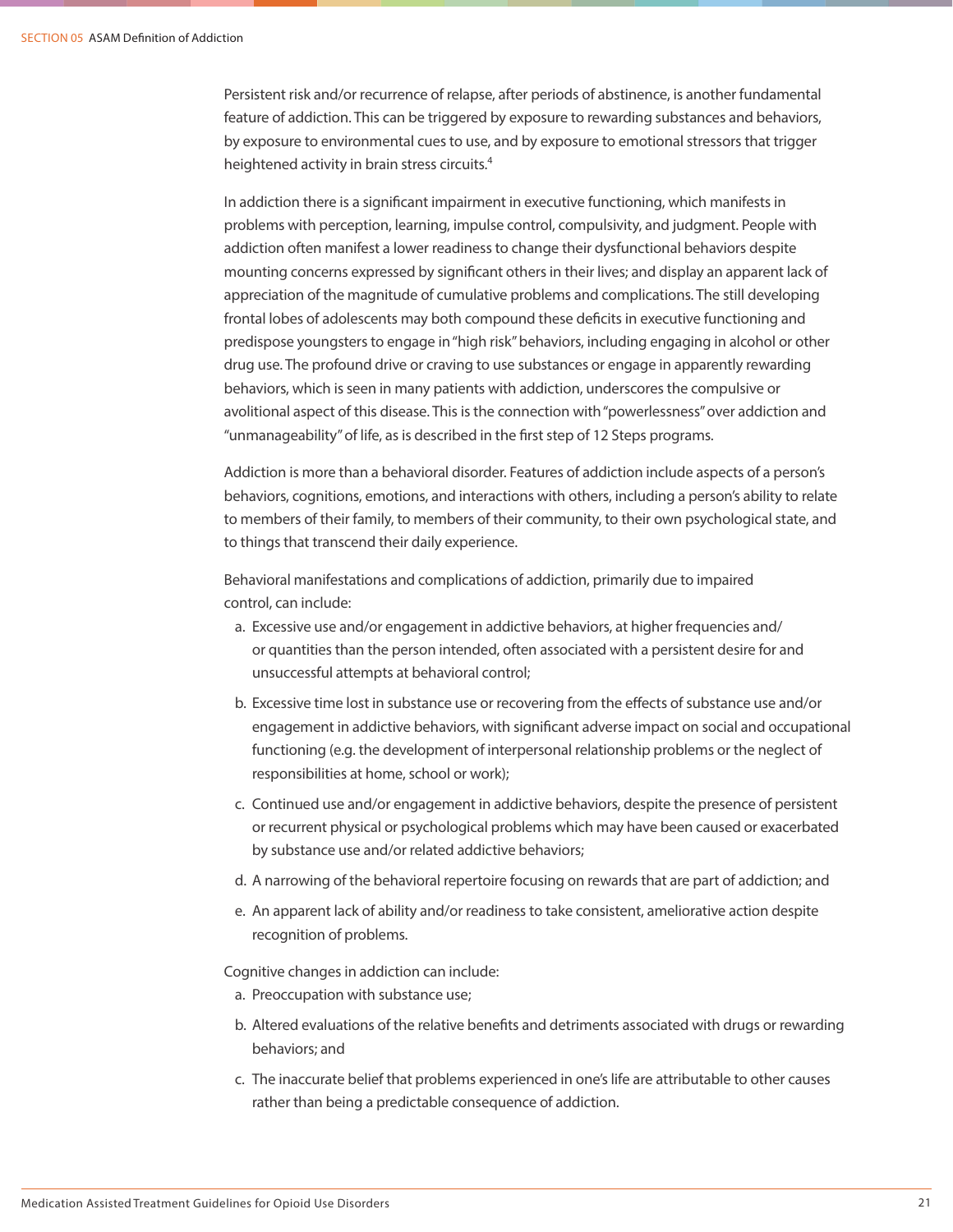Persistent risk and/or recurrence of relapse, after periods of abstinence, is another fundamental feature of addiction. This can be triggered by exposure to rewarding substances and behaviors, by exposure to environmental cues to use, and by exposure to emotional stressors that trigger heightened activity in brain stress circuits.<sup>4</sup>

In addiction there is a significant impairment in executive functioning, which manifests in problems with perception, learning, impulse control, compulsivity, and judgment. People with addiction often manifest a lower readiness to change their dysfunctional behaviors despite mounting concerns expressed by significant others in their lives; and display an apparent lack of appreciation of the magnitude of cumulative problems and complications. The still developing frontal lobes of adolescents may both compound these deficits in executive functioning and predispose youngsters to engage in "high risk" behaviors, including engaging in alcohol or other drug use. The profound drive or craving to use substances or engage in apparently rewarding behaviors, which is seen in many patients with addiction, underscores the compulsive or avolitional aspect of this disease. This is the connection with "powerlessness" over addiction and "unmanageability" of life, as is described in the first step of 12 Steps programs.

Addiction is more than a behavioral disorder. Features of addiction include aspects of a person's behaviors, cognitions, emotions, and interactions with others, including a person's ability to relate to members of their family, to members of their community, to their own psychological state, and to things that transcend their daily experience.

Behavioral manifestations and complications of addiction, primarily due to impaired control, can include:

- a. Excessive use and/or engagement in addictive behaviors, at higher frequencies and/ or quantities than the person intended, often associated with a persistent desire for and unsuccessful attempts at behavioral control;
- b. Excessive time lost in substance use or recovering from the effects of substance use and/or engagement in addictive behaviors, with significant adverse impact on social and occupational functioning (e.g. the development of interpersonal relationship problems or the neglect of responsibilities at home, school or work);
- c. Continued use and/or engagement in addictive behaviors, despite the presence of persistent or recurrent physical or psychological problems which may have been caused or exacerbated by substance use and/or related addictive behaviors;
- d. A narrowing of the behavioral repertoire focusing on rewards that are part of addiction; and
- e. An apparent lack of ability and/or readiness to take consistent, ameliorative action despite recognition of problems.

Cognitive changes in addiction can include:

- a. Preoccupation with substance use;
- b. Altered evaluations of the relative benefits and detriments associated with drugs or rewarding behaviors; and
- c. The inaccurate belief that problems experienced in one's life are attributable to other causes rather than being a predictable consequence of addiction.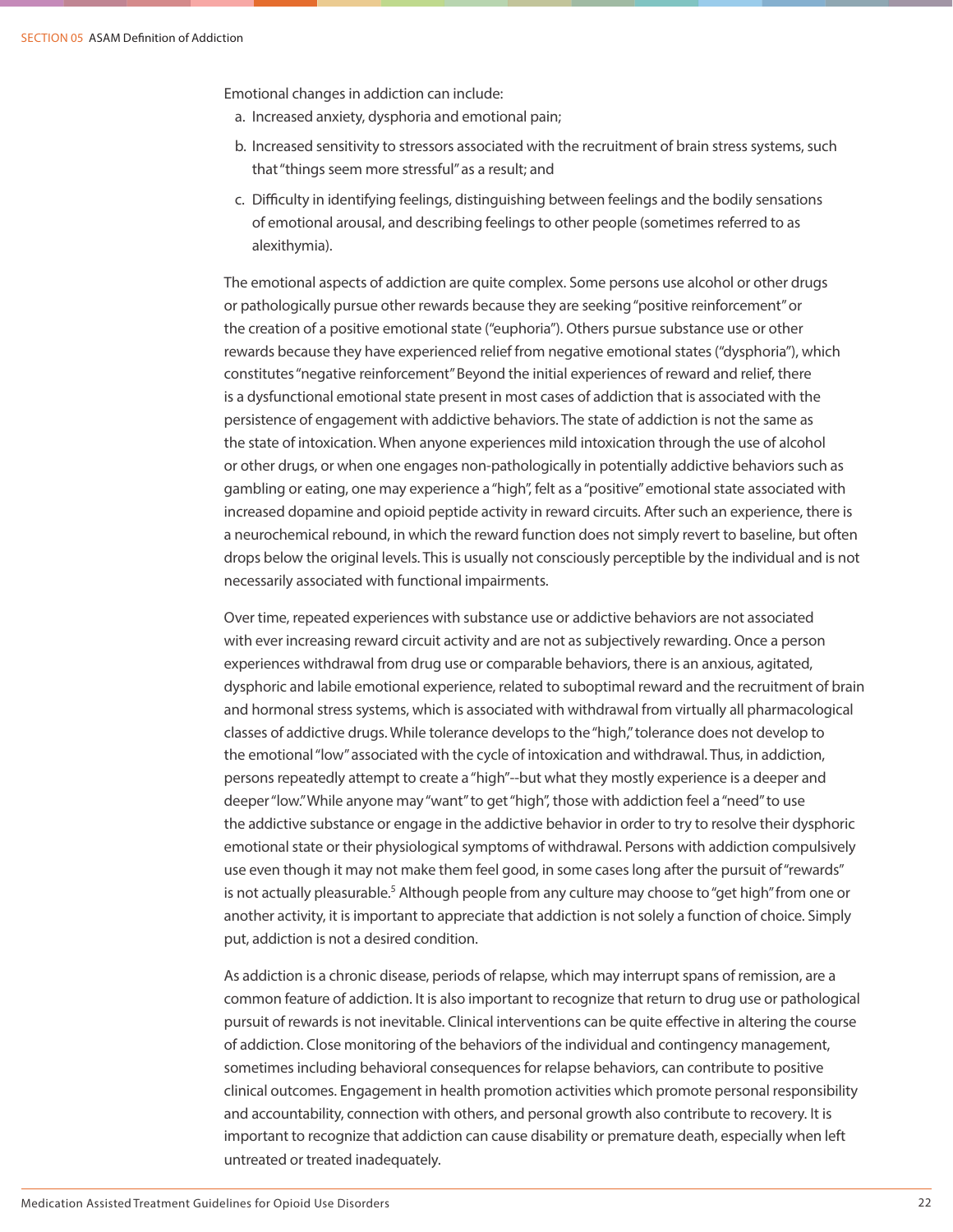Emotional changes in addiction can include:

- a. Increased anxiety, dysphoria and emotional pain;
- b. Increased sensitivity to stressors associated with the recruitment of brain stress systems, such that "things seem more stressful" as a result; and
- c. Difficulty in identifying feelings, distinguishing between feelings and the bodily sensations of emotional arousal, and describing feelings to other people (sometimes referred to as alexithymia).

The emotional aspects of addiction are quite complex. Some persons use alcohol or other drugs or pathologically pursue other rewards because they are seeking "positive reinforcement" or the creation of a positive emotional state ("euphoria"). Others pursue substance use or other rewards because they have experienced relief from negative emotional states ("dysphoria"), which constitutes "negative reinforcement" Beyond the initial experiences of reward and relief, there is a dysfunctional emotional state present in most cases of addiction that is associated with the persistence of engagement with addictive behaviors. The state of addiction is not the same as the state of intoxication. When anyone experiences mild intoxication through the use of alcohol or other drugs, or when one engages non-pathologically in potentially addictive behaviors such as gambling or eating, one may experience a "high", felt as a "positive" emotional state associated with increased dopamine and opioid peptide activity in reward circuits. After such an experience, there is a neurochemical rebound, in which the reward function does not simply revert to baseline, but often drops below the original levels. This is usually not consciously perceptible by the individual and is not necessarily associated with functional impairments.

Over time, repeated experiences with substance use or addictive behaviors are not associated with ever increasing reward circuit activity and are not as subjectively rewarding. Once a person experiences withdrawal from drug use or comparable behaviors, there is an anxious, agitated, dysphoric and labile emotional experience, related to suboptimal reward and the recruitment of brain and hormonal stress systems, which is associated with withdrawal from virtually all pharmacological classes of addictive drugs. While tolerance develops to the "high," tolerance does not develop to the emotional "low" associated with the cycle of intoxication and withdrawal. Thus, in addiction, persons repeatedly attempt to create a "high"--but what they mostly experience is a deeper and deeper "low." While anyone may "want" to get "high", those with addiction feel a "need" to use the addictive substance or engage in the addictive behavior in order to try to resolve their dysphoric emotional state or their physiological symptoms of withdrawal. Persons with addiction compulsively use even though it may not make them feel good, in some cases long after the pursuit of "rewards" is not actually pleasurable.<sup>5</sup> Although people from any culture may choose to "get high" from one or another activity, it is important to appreciate that addiction is not solely a function of choice. Simply put, addiction is not a desired condition.

As addiction is a chronic disease, periods of relapse, which may interrupt spans of remission, are a common feature of addiction. It is also important to recognize that return to drug use or pathological pursuit of rewards is not inevitable. Clinical interventions can be quite effective in altering the course of addiction. Close monitoring of the behaviors of the individual and contingency management, sometimes including behavioral consequences for relapse behaviors, can contribute to positive clinical outcomes. Engagement in health promotion activities which promote personal responsibility and accountability, connection with others, and personal growth also contribute to recovery. It is important to recognize that addiction can cause disability or premature death, especially when left untreated or treated inadequately.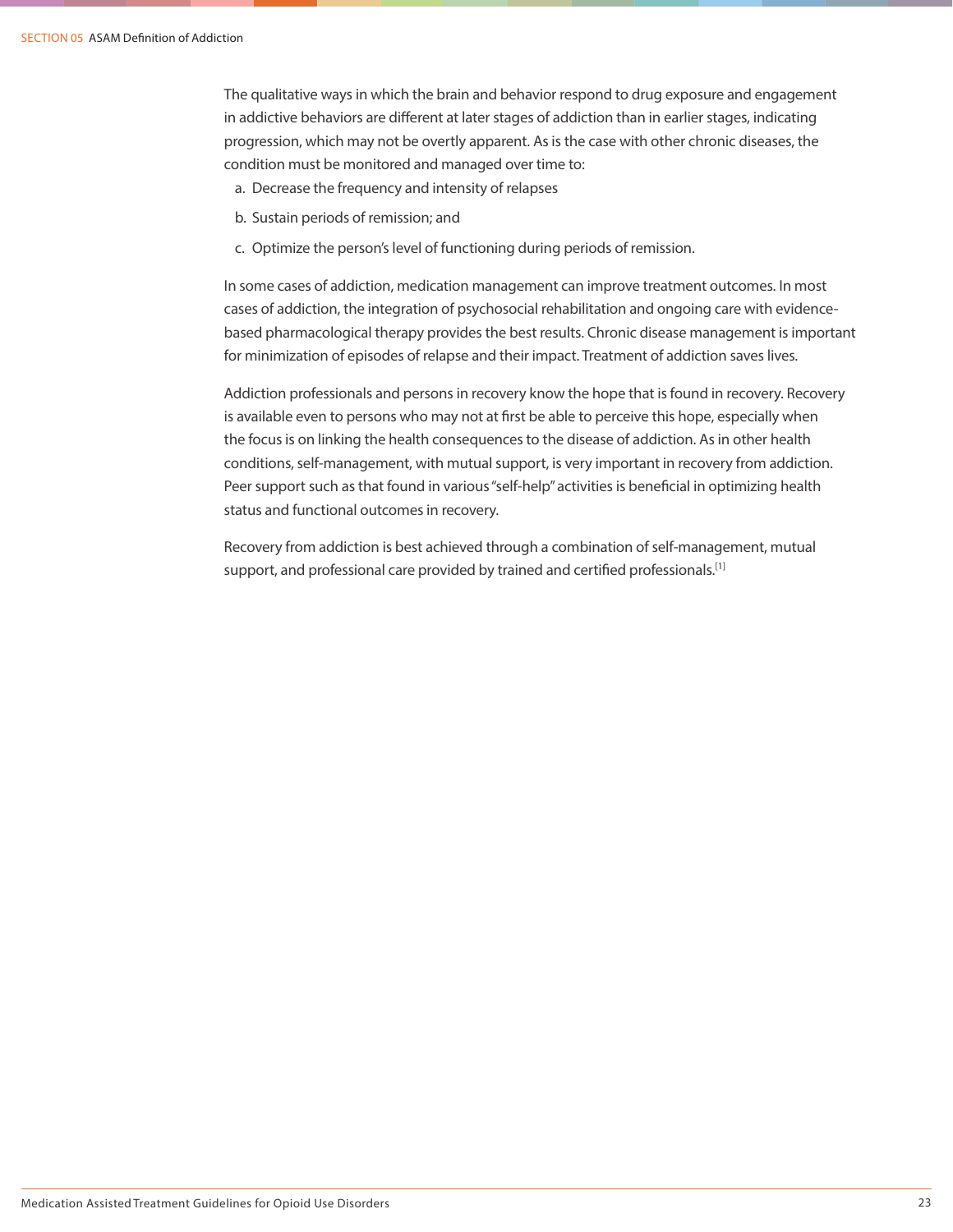The qualitative ways in which the brain and behavior respond to drug exposure and engagement in addictive behaviors are different at later stages of addiction than in earlier stages, indicating progression, which may not be overtly apparent. As is the case with other chronic diseases, the condition must be monitored and managed over time to:

- a. Decrease the frequency and intensity of relapses
- b. Sustain periods of remission; and
- c. Optimize the person's level of functioning during periods of remission.

In some cases of addiction, medication management can improve treatment outcomes. In most cases of addiction, the integration of psychosocial rehabilitation and ongoing care with evidencebased pharmacological therapy provides the best results. Chronic disease management is important for minimization of episodes of relapse and their impact. Treatment of addiction saves lives.

Addiction professionals and persons in recovery know the hope that is found in recovery. Recovery is available even to persons who may not at first be able to perceive this hope, especially when the focus is on linking the health consequences to the disease of addiction. As in other health conditions, self-management, with mutual support, is very important in recovery from addiction. Peer support such as that found in various "self-help" activities is beneficial in optimizing health status and functional outcomes in recovery.

Recovery from addiction is best achieved through a combination of self-management, mutual support, and professional care provided by trained and certified professionals.<sup>[1]</sup>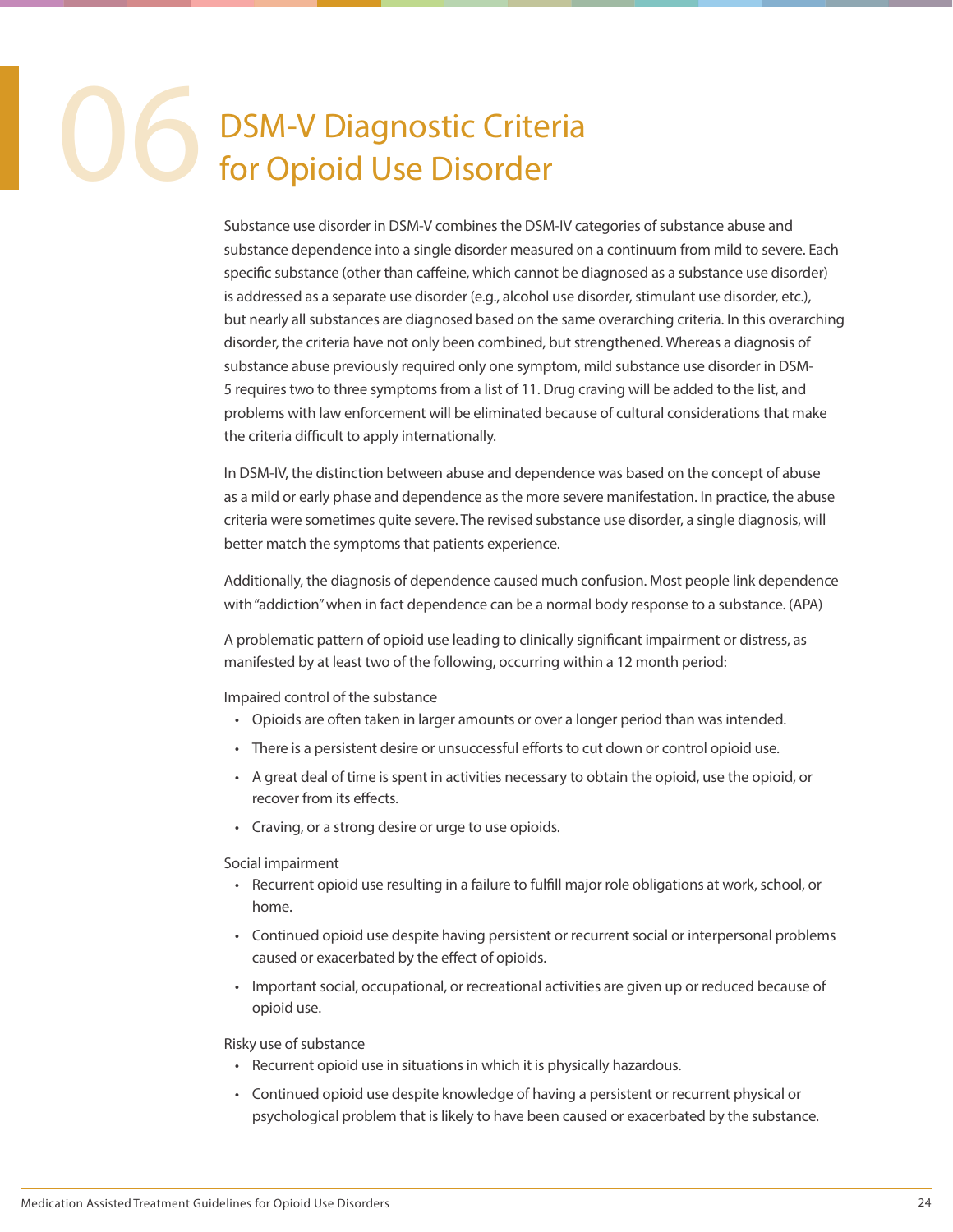### DSM-V Diagnostic Criteria for Opioid Use Disorder

Substance use disorder in DSM-V combines the DSM-IV categories of substance abuse and substance dependence into a single disorder measured on a continuum from mild to severe. Each specific substance (other than caffeine, which cannot be diagnosed as a substance use disorder) is addressed as a separate use disorder (e.g., alcohol use disorder, stimulant use disorder, etc.), but nearly all substances are diagnosed based on the same overarching criteria. In this overarching disorder, the criteria have not only been combined, but strengthened. Whereas a diagnosis of substance abuse previously required only one symptom, mild substance use disorder in DSM-5 requires two to three symptoms from a list of 11. Drug craving will be added to the list, and problems with law enforcement will be eliminated because of cultural considerations that make the criteria difficult to apply internationally.

In DSM-IV, the distinction between abuse and dependence was based on the concept of abuse as a mild or early phase and dependence as the more severe manifestation. In practice, the abuse criteria were sometimes quite severe. The revised substance use disorder, a single diagnosis, will better match the symptoms that patients experience.

Additionally, the diagnosis of dependence caused much confusion. Most people link dependence with "addiction" when in fact dependence can be a normal body response to a substance. (APA)

A problematic pattern of opioid use leading to clinically significant impairment or distress, as manifested by at least two of the following, occurring within a 12 month period:

Impaired control of the substance

- Opioids are often taken in larger amounts or over a longer period than was intended.
- There is a persistent desire or unsuccessful efforts to cut down or control opioid use.
- A great deal of time is spent in activities necessary to obtain the opioid, use the opioid, or recover from its effects.
- Craving, or a strong desire or urge to use opioids.

Social impairment

- Recurrent opioid use resulting in a failure to fulfill major role obligations at work, school, or home.
- Continued opioid use despite having persistent or recurrent social or interpersonal problems caused or exacerbated by the effect of opioids.
- Important social, occupational, or recreational activities are given up or reduced because of opioid use.

Risky use of substance

- Recurrent opioid use in situations in which it is physically hazardous.
- Continued opioid use despite knowledge of having a persistent or recurrent physical or psychological problem that is likely to have been caused or exacerbated by the substance.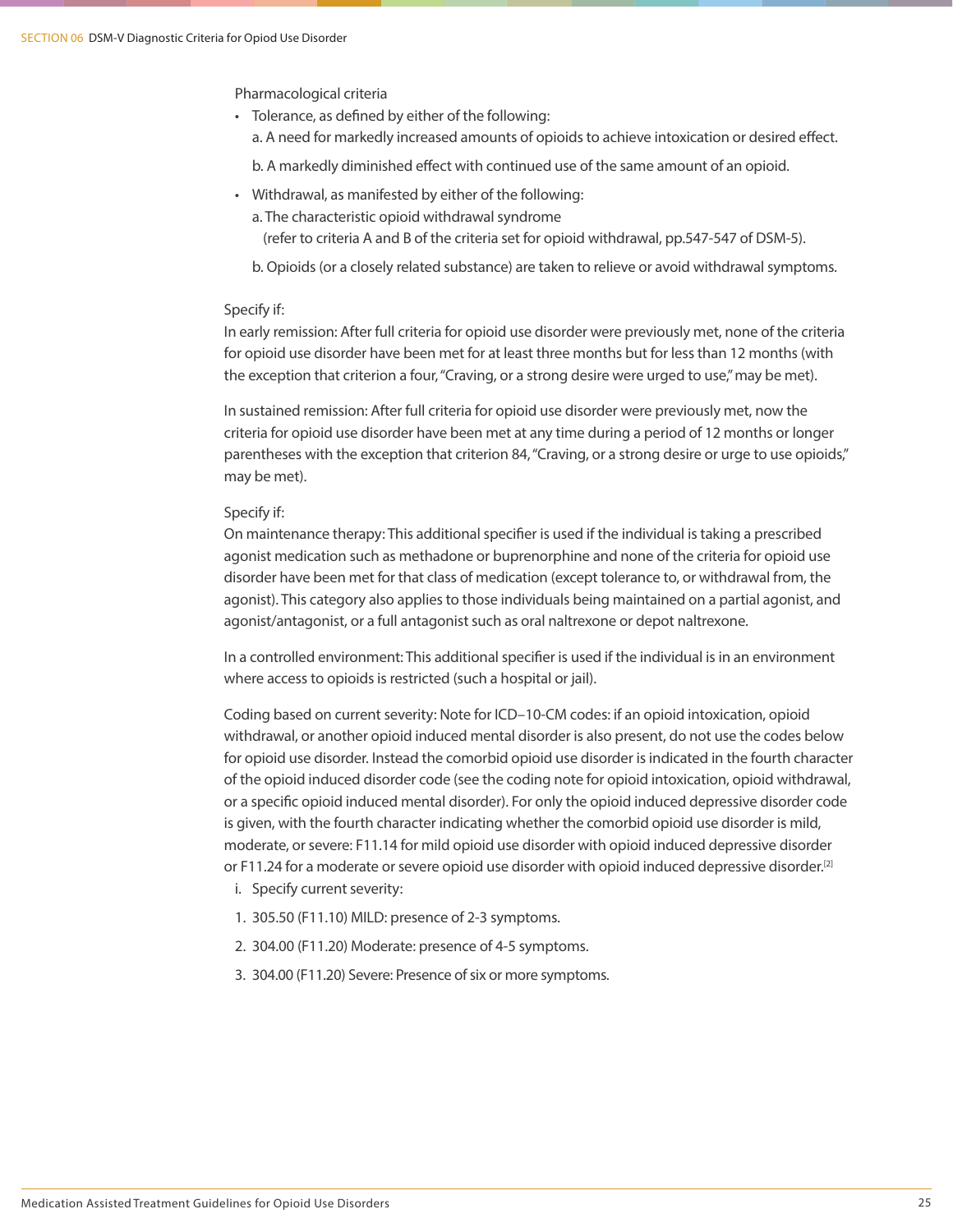Pharmacological criteria

- Tolerance, as defined by either of the following:
	- a. A need for markedly increased amounts of opioids to achieve intoxication or desired effect.

b. A markedly diminished effect with continued use of the same amount of an opioid.

- Withdrawal, as manifested by either of the following:
	- a. The characteristic opioid withdrawal syndrome
		- (refer to criteria A and B of the criteria set for opioid withdrawal, pp.547-547 of DSM-5).
	- b. Opioids (or a closely related substance) are taken to relieve or avoid withdrawal symptoms.

### Specify if:

In early remission: After full criteria for opioid use disorder were previously met, none of the criteria for opioid use disorder have been met for at least three months but for less than 12 months (with the exception that criterion a four, "Craving, or a strong desire were urged to use," may be met).

In sustained remission: After full criteria for opioid use disorder were previously met, now the criteria for opioid use disorder have been met at any time during a period of 12 months or longer parentheses with the exception that criterion 84, "Craving, or a strong desire or urge to use opioids," may be met).

### Specify if:

On maintenance therapy: This additional specifier is used if the individual is taking a prescribed agonist medication such as methadone or buprenorphine and none of the criteria for opioid use disorder have been met for that class of medication (except tolerance to, or withdrawal from, the agonist). This category also applies to those individuals being maintained on a partial agonist, and agonist/antagonist, or a full antagonist such as oral naltrexone or depot naltrexone.

In a controlled environment: This additional specifier is used if the individual is in an environment where access to opioids is restricted (such a hospital or jail).

Coding based on current severity: Note for ICD–10-CM codes: if an opioid intoxication, opioid withdrawal, or another opioid induced mental disorder is also present, do not use the codes below for opioid use disorder. Instead the comorbid opioid use disorder is indicated in the fourth character of the opioid induced disorder code (see the coding note for opioid intoxication, opioid withdrawal, or a specific opioid induced mental disorder). For only the opioid induced depressive disorder code is given, with the fourth character indicating whether the comorbid opioid use disorder is mild, moderate, or severe: F11.14 for mild opioid use disorder with opioid induced depressive disorder or F11.24 for a moderate or severe opioid use disorder with opioid induced depressive disorder.<sup>[2]</sup>

- i. Specify current severity:
- 1. 305.50 (F11.10) MILD: presence of 2-3 symptoms.
- 2. 304.00 (F11.20) Moderate: presence of 4-5 symptoms.
- 3. 304.00 (F11.20) Severe: Presence of six or more symptoms.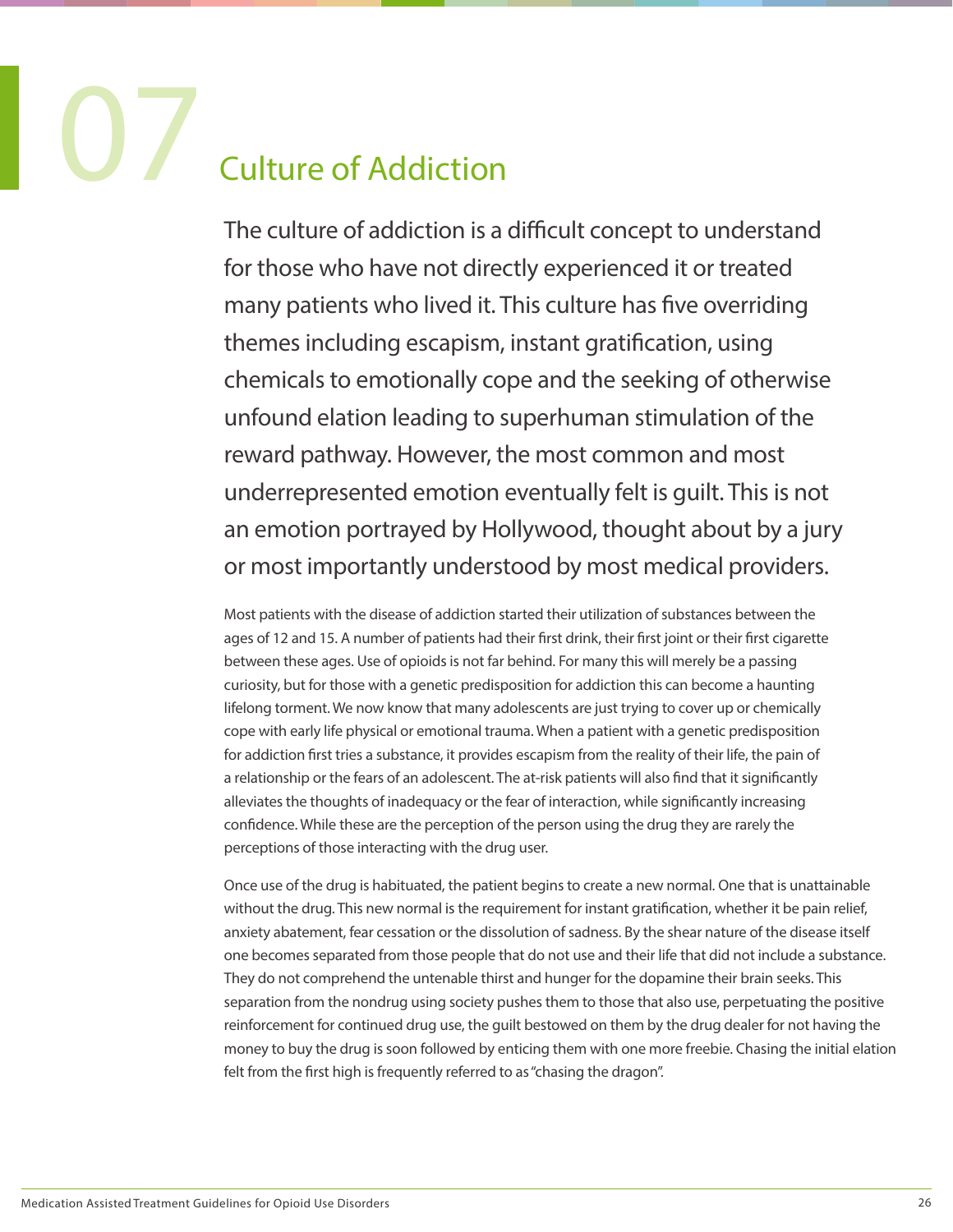### **Culture of Addiction**

The culture of addiction is a difficult concept to understand for those who have not directly experienced it or treated many patients who lived it. This culture has five overriding themes including escapism, instant gratification, using chemicals to emotionally cope and the seeking of otherwise unfound elation leading to superhuman stimulation of the reward pathway. However, the most common and most underrepresented emotion eventually felt is guilt. This is not an emotion portrayed by Hollywood, thought about by a jury or most importantly understood by most medical providers.

Most patients with the disease of addiction started their utilization of substances between the ages of 12 and 15. A number of patients had their first drink, their first joint or their first cigarette between these ages. Use of opioids is not far behind. For many this will merely be a passing curiosity, but for those with a genetic predisposition for addiction this can become a haunting lifelong torment. We now know that many adolescents are just trying to cover up or chemically cope with early life physical or emotional trauma. When a patient with a genetic predisposition for addiction first tries a substance, it provides escapism from the reality of their life, the pain of a relationship or the fears of an adolescent. The at-risk patients will also find that it significantly alleviates the thoughts of inadequacy or the fear of interaction, while significantly increasing confidence. While these are the perception of the person using the drug they are rarely the perceptions of those interacting with the drug user.

Once use of the drug is habituated, the patient begins to create a new normal. One that is unattainable without the drug. This new normal is the requirement for instant gratification, whether it be pain relief, anxiety abatement, fear cessation or the dissolution of sadness. By the shear nature of the disease itself one becomes separated from those people that do not use and their life that did not include a substance. They do not comprehend the untenable thirst and hunger for the dopamine their brain seeks. This separation from the nondrug using society pushes them to those that also use, perpetuating the positive reinforcement for continued drug use, the guilt bestowed on them by the drug dealer for not having the money to buy the drug is soon followed by enticing them with one more freebie. Chasing the initial elation felt from the first high is frequently referred to as "chasing the dragon".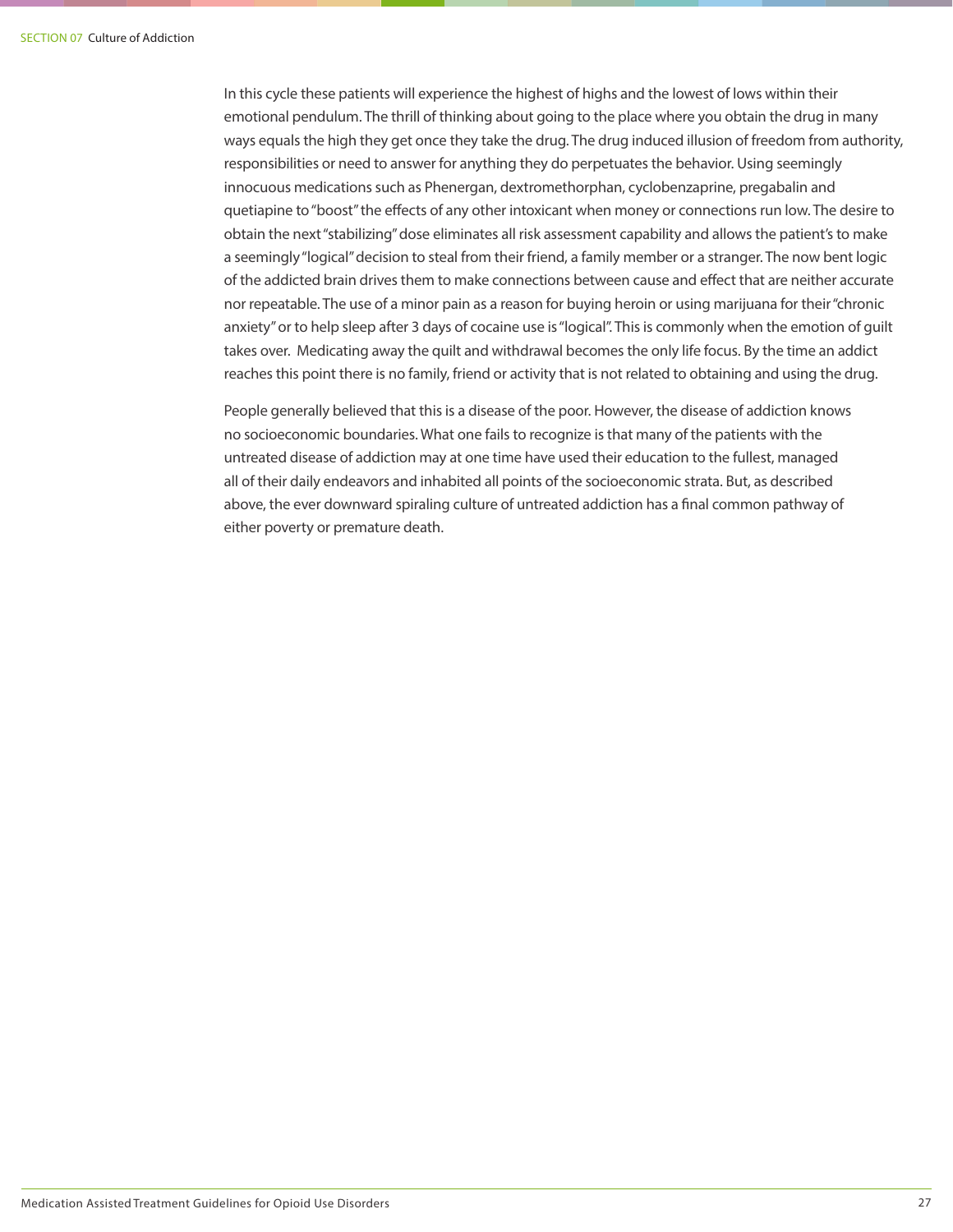In this cycle these patients will experience the highest of highs and the lowest of lows within their emotional pendulum. The thrill of thinking about going to the place where you obtain the drug in many ways equals the high they get once they take the drug. The drug induced illusion of freedom from authority, responsibilities or need to answer for anything they do perpetuates the behavior. Using seemingly innocuous medications such as Phenergan, dextromethorphan, cyclobenzaprine, pregabalin and quetiapine to "boost" the effects of any other intoxicant when money or connections run low. The desire to obtain the next "stabilizing" dose eliminates all risk assessment capability and allows the patient's to make a seemingly "logical" decision to steal from their friend, a family member or a stranger. The now bent logic of the addicted brain drives them to make connections between cause and effect that are neither accurate nor repeatable. The use of a minor pain as a reason for buying heroin or using marijuana for their "chronic anxiety" or to help sleep after 3 days of cocaine use is "logical". This is commonly when the emotion of guilt takes over. Medicating away the quilt and withdrawal becomes the only life focus. By the time an addict reaches this point there is no family, friend or activity that is not related to obtaining and using the drug.

People generally believed that this is a disease of the poor. However, the disease of addiction knows no socioeconomic boundaries. What one fails to recognize is that many of the patients with the untreated disease of addiction may at one time have used their education to the fullest, managed all of their daily endeavors and inhabited all points of the socioeconomic strata. But, as described above, the ever downward spiraling culture of untreated addiction has a final common pathway of either poverty or premature death.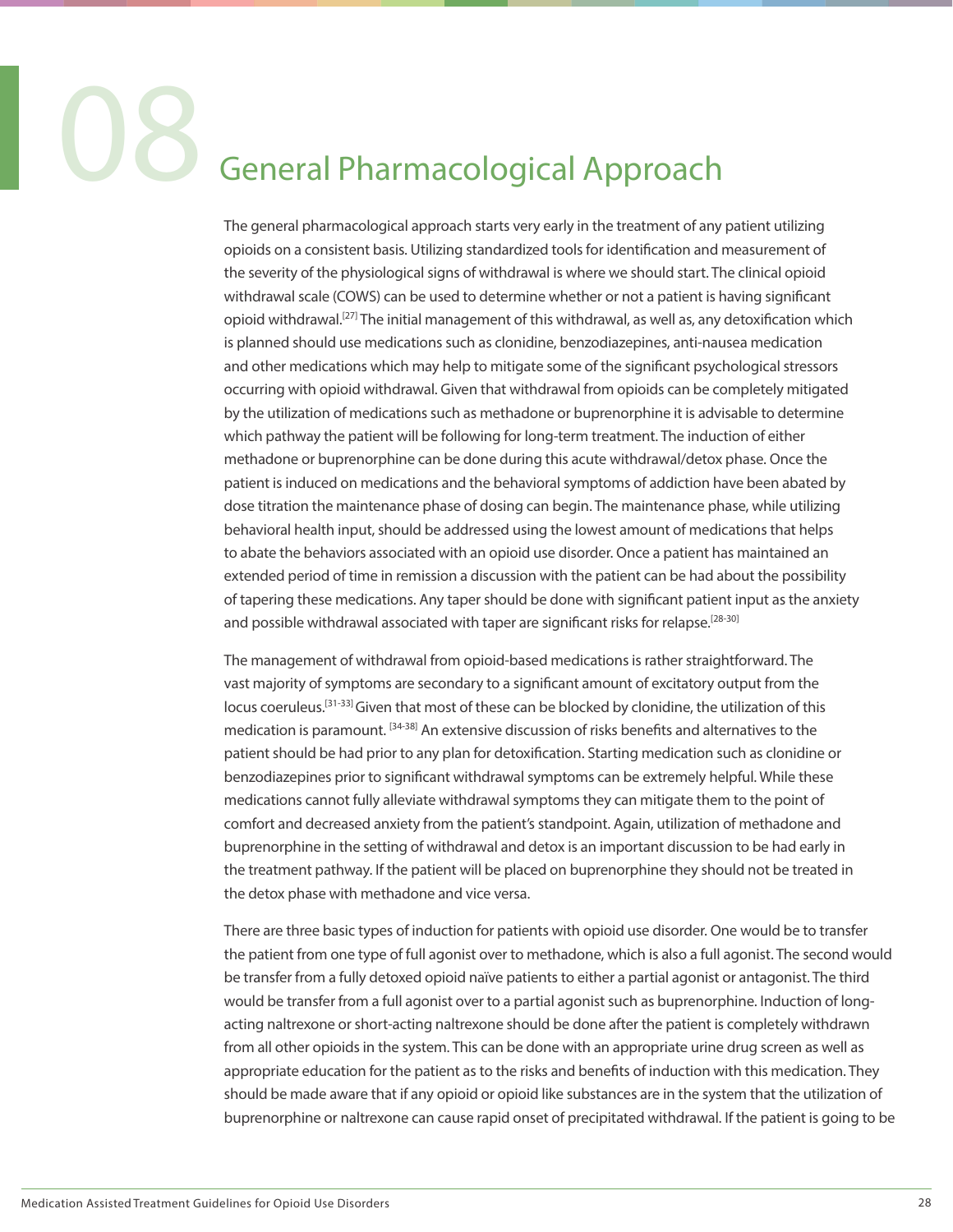### General Pharmacological Approach

The general pharmacological approach starts very early in the treatment of any patient utilizing opioids on a consistent basis. Utilizing standardized tools for identification and measurement of the severity of the physiological signs of withdrawal is where we should start. The clinical opioid withdrawal scale (COWS) can be used to determine whether or not a patient is having significant opioid withdrawal.[27] The initial management of this withdrawal, as well as, any detoxification which is planned should use medications such as clonidine, benzodiazepines, anti-nausea medication and other medications which may help to mitigate some of the significant psychological stressors occurring with opioid withdrawal. Given that withdrawal from opioids can be completely mitigated by the utilization of medications such as methadone or buprenorphine it is advisable to determine which pathway the patient will be following for long-term treatment. The induction of either methadone or buprenorphine can be done during this acute withdrawal/detox phase. Once the patient is induced on medications and the behavioral symptoms of addiction have been abated by dose titration the maintenance phase of dosing can begin. The maintenance phase, while utilizing behavioral health input, should be addressed using the lowest amount of medications that helps to abate the behaviors associated with an opioid use disorder. Once a patient has maintained an extended period of time in remission a discussion with the patient can be had about the possibility of tapering these medications. Any taper should be done with significant patient input as the anxiety and possible withdrawal associated with taper are significant risks for relapse.<sup>[28-30]</sup>

The management of withdrawal from opioid-based medications is rather straightforward. The vast majority of symptoms are secondary to a significant amount of excitatory output from the locus coeruleus.<sup>[31-33]</sup> Given that most of these can be blocked by clonidine, the utilization of this medication is paramount. <sup>[34-38]</sup> An extensive discussion of risks benefits and alternatives to the patient should be had prior to any plan for detoxification. Starting medication such as clonidine or benzodiazepines prior to significant withdrawal symptoms can be extremely helpful. While these medications cannot fully alleviate withdrawal symptoms they can mitigate them to the point of comfort and decreased anxiety from the patient's standpoint. Again, utilization of methadone and buprenorphine in the setting of withdrawal and detox is an important discussion to be had early in the treatment pathway. If the patient will be placed on buprenorphine they should not be treated in the detox phase with methadone and vice versa.

There are three basic types of induction for patients with opioid use disorder. One would be to transfer the patient from one type of full agonist over to methadone, which is also a full agonist. The second would be transfer from a fully detoxed opioid naïve patients to either a partial agonist or antagonist. The third would be transfer from a full agonist over to a partial agonist such as buprenorphine. Induction of longacting naltrexone or short-acting naltrexone should be done after the patient is completely withdrawn from all other opioids in the system. This can be done with an appropriate urine drug screen as well as appropriate education for the patient as to the risks and benefits of induction with this medication. They should be made aware that if any opioid or opioid like substances are in the system that the utilization of buprenorphine or naltrexone can cause rapid onset of precipitated withdrawal. If the patient is going to be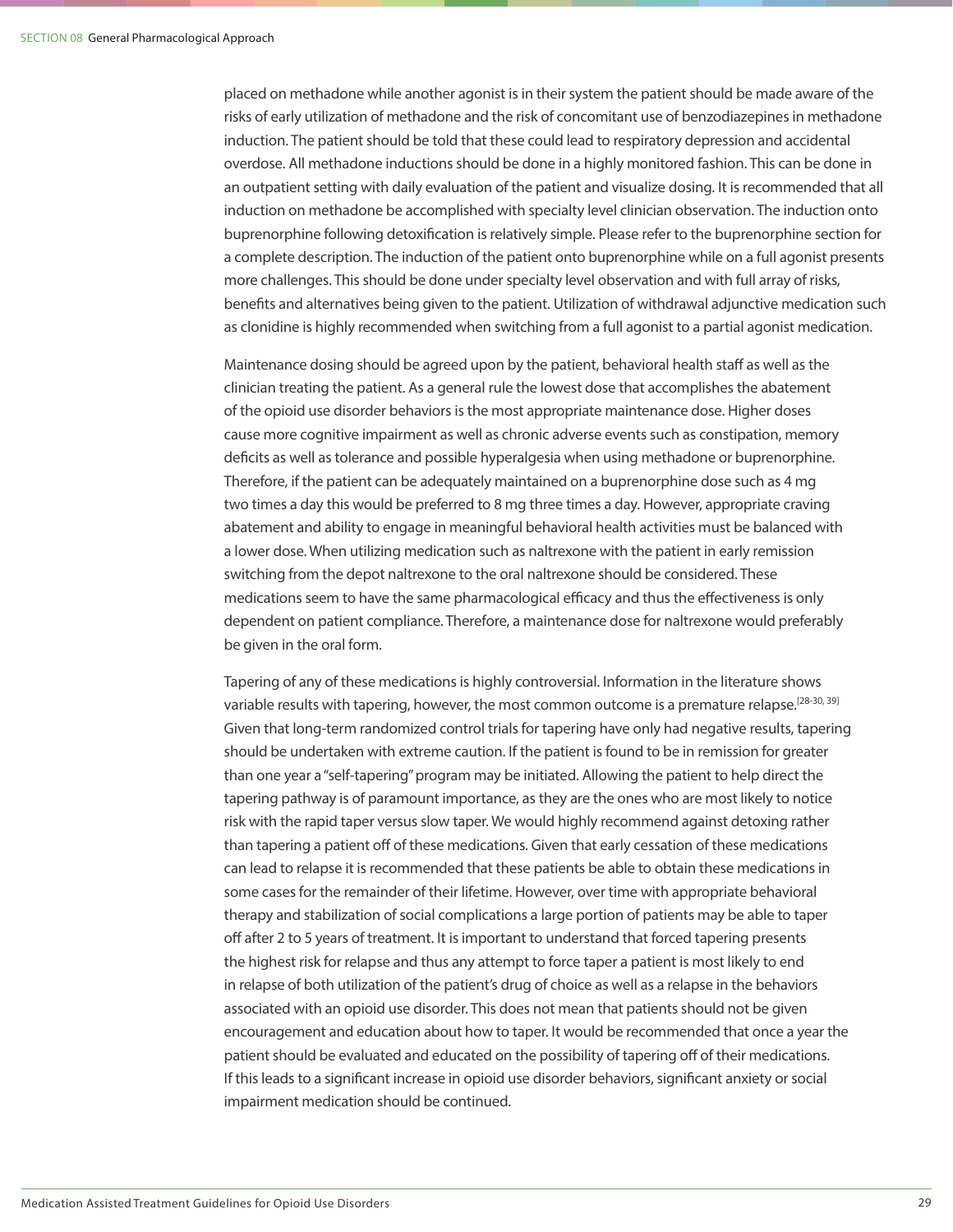placed on methadone while another agonist is in their system the patient should be made aware of the risks of early utilization of methadone and the risk of concomitant use of benzodiazepines in methadone induction. The patient should be told that these could lead to respiratory depression and accidental overdose. All methadone inductions should be done in a highly monitored fashion. This can be done in an outpatient setting with daily evaluation of the patient and visualize dosing. It is recommended that all induction on methadone be accomplished with specialty level clinician observation. The induction onto buprenorphine following detoxification is relatively simple. Please refer to the buprenorphine section for a complete description. The induction of the patient onto buprenorphine while on a full agonist presents more challenges. This should be done under specialty level observation and with full array of risks, benefits and alternatives being given to the patient. Utilization of withdrawal adjunctive medication such as clonidine is highly recommended when switching from a full agonist to a partial agonist medication.

Maintenance dosing should be agreed upon by the patient, behavioral health staff as well as the clinician treating the patient. As a general rule the lowest dose that accomplishes the abatement of the opioid use disorder behaviors is the most appropriate maintenance dose. Higher doses cause more cognitive impairment as well as chronic adverse events such as constipation, memory deficits as well as tolerance and possible hyperalgesia when using methadone or buprenorphine. Therefore, if the patient can be adequately maintained on a buprenorphine dose such as 4 mg two times a day this would be preferred to 8 mg three times a day. However, appropriate craving abatement and ability to engage in meaningful behavioral health activities must be balanced with a lower dose. When utilizing medication such as naltrexone with the patient in early remission switching from the depot naltrexone to the oral naltrexone should be considered. These medications seem to have the same pharmacological efficacy and thus the effectiveness is only dependent on patient compliance. Therefore, a maintenance dose for naltrexone would preferably be given in the oral form.

Tapering of any of these medications is highly controversial. Information in the literature shows variable results with tapering, however, the most common outcome is a premature relapse.<sup>[28-30, 39]</sup> Given that long-term randomized control trials for tapering have only had negative results, tapering should be undertaken with extreme caution. If the patient is found to be in remission for greater than one year a "self-tapering" program may be initiated. Allowing the patient to help direct the tapering pathway is of paramount importance, as they are the ones who are most likely to notice risk with the rapid taper versus slow taper. We would highly recommend against detoxing rather than tapering a patient off of these medications. Given that early cessation of these medications can lead to relapse it is recommended that these patients be able to obtain these medications in some cases for the remainder of their lifetime. However, over time with appropriate behavioral therapy and stabilization of social complications a large portion of patients may be able to taper off after 2 to 5 years of treatment. It is important to understand that forced tapering presents the highest risk for relapse and thus any attempt to force taper a patient is most likely to end in relapse of both utilization of the patient's drug of choice as well as a relapse in the behaviors associated with an opioid use disorder. This does not mean that patients should not be given encouragement and education about how to taper. It would be recommended that once a year the patient should be evaluated and educated on the possibility of tapering off of their medications. If this leads to a significant increase in opioid use disorder behaviors, significant anxiety or social impairment medication should be continued.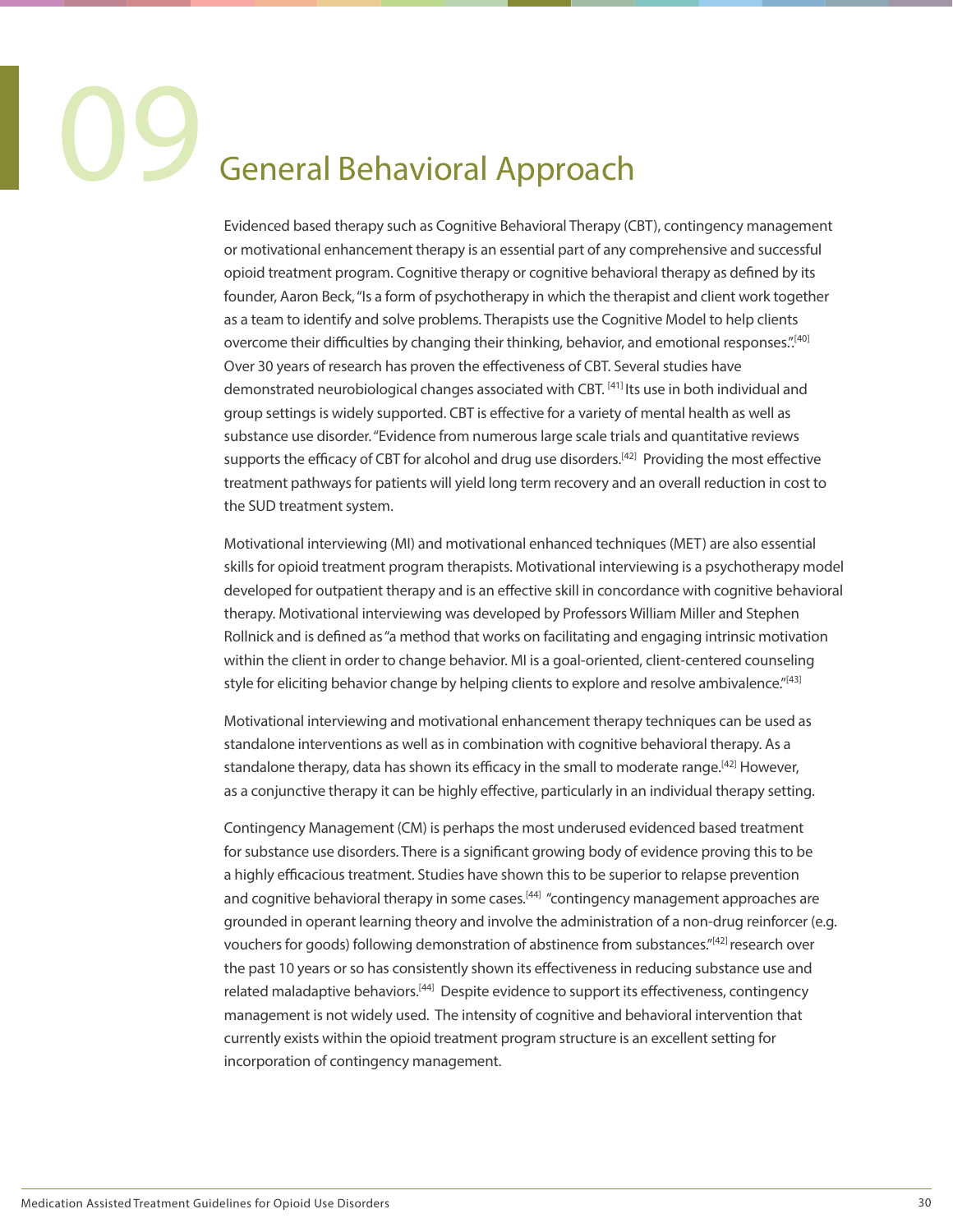### **General Behavioral Approach**

Evidenced based therapy such as Cognitive Behavioral Therapy (CBT), contingency management or motivational enhancement therapy is an essential part of any comprehensive and successful opioid treatment program. Cognitive therapy or cognitive behavioral therapy as defined by its founder, Aaron Beck, "Is a form of psychotherapy in which the therapist and client work together as a team to identify and solve problems. Therapists use the Cognitive Model to help clients overcome their difficulties by changing their thinking, behavior, and emotional responses.".<sup>[40]</sup> Over 30 years of research has proven the effectiveness of CBT. Several studies have demonstrated neurobiological changes associated with CBT. [41] Its use in both individual and group settings is widely supported. CBT is effective for a variety of mental health as well as substance use disorder. "Evidence from numerous large scale trials and quantitative reviews supports the efficacy of CBT for alcohol and drug use disorders.<sup>[42]</sup> Providing the most effective treatment pathways for patients will yield long term recovery and an overall reduction in cost to the SUD treatment system.

Motivational interviewing (MI) and motivational enhanced techniques (MET) are also essential skills for opioid treatment program therapists. Motivational interviewing is a psychotherapy model developed for outpatient therapy and is an effective skill in concordance with cognitive behavioral therapy. Motivational interviewing was developed by Professors William Miller and Stephen Rollnick and is defined as "a method that works on facilitating and engaging intrinsic motivation within the client in order to change behavior. MI is a goal-oriented, client-centered counseling style for eliciting behavior change by helping clients to explore and resolve ambivalence."<sup>[43]</sup>

Motivational interviewing and motivational enhancement therapy techniques can be used as standalone interventions as well as in combination with cognitive behavioral therapy. As a standalone therapy, data has shown its efficacy in the small to moderate range.<sup>[42]</sup> However, as a conjunctive therapy it can be highly effective, particularly in an individual therapy setting.

Contingency Management (CM) is perhaps the most underused evidenced based treatment for substance use disorders. There is a significant growing body of evidence proving this to be a highly efficacious treatment. Studies have shown this to be superior to relapse prevention and cognitive behavioral therapy in some cases.<sup>[44]</sup> "contingency management approaches are grounded in operant learning theory and involve the administration of a non-drug reinforcer (e.g. vouchers for goods) following demonstration of abstinence from substances."[42] research over the past 10 years or so has consistently shown its effectiveness in reducing substance use and related maladaptive behaviors.[44] Despite evidence to support its effectiveness, contingency management is not widely used. The intensity of cognitive and behavioral intervention that currently exists within the opioid treatment program structure is an excellent setting for incorporation of contingency management.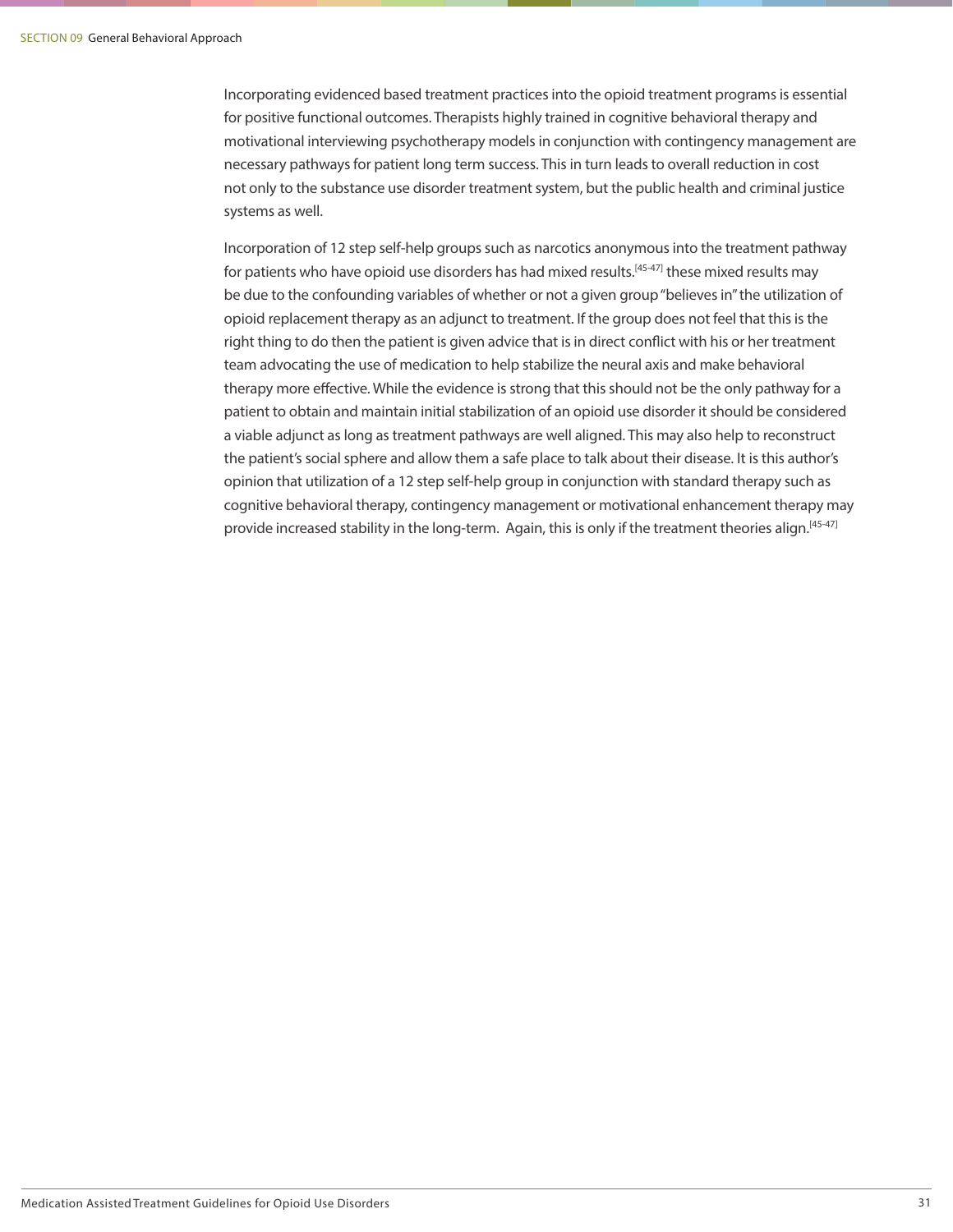Incorporating evidenced based treatment practices into the opioid treatment programs is essential for positive functional outcomes. Therapists highly trained in cognitive behavioral therapy and motivational interviewing psychotherapy models in conjunction with contingency management are necessary pathways for patient long term success. This in turn leads to overall reduction in cost not only to the substance use disorder treatment system, but the public health and criminal justice systems as well.

Incorporation of 12 step self-help groups such as narcotics anonymous into the treatment pathway for patients who have opioid use disorders has had mixed results.<sup>[45-47]</sup> these mixed results may be due to the confounding variables of whether or not a given group "believes in" the utilization of opioid replacement therapy as an adjunct to treatment. If the group does not feel that this is the right thing to do then the patient is given advice that is in direct conflict with his or her treatment team advocating the use of medication to help stabilize the neural axis and make behavioral therapy more effective. While the evidence is strong that this should not be the only pathway for a patient to obtain and maintain initial stabilization of an opioid use disorder it should be considered a viable adjunct as long as treatment pathways are well aligned. This may also help to reconstruct the patient's social sphere and allow them a safe place to talk about their disease. It is this author's opinion that utilization of a 12 step self-help group in conjunction with standard therapy such as cognitive behavioral therapy, contingency management or motivational enhancement therapy may provide increased stability in the long-term. Again, this is only if the treatment theories align.<sup>[45-47]</sup>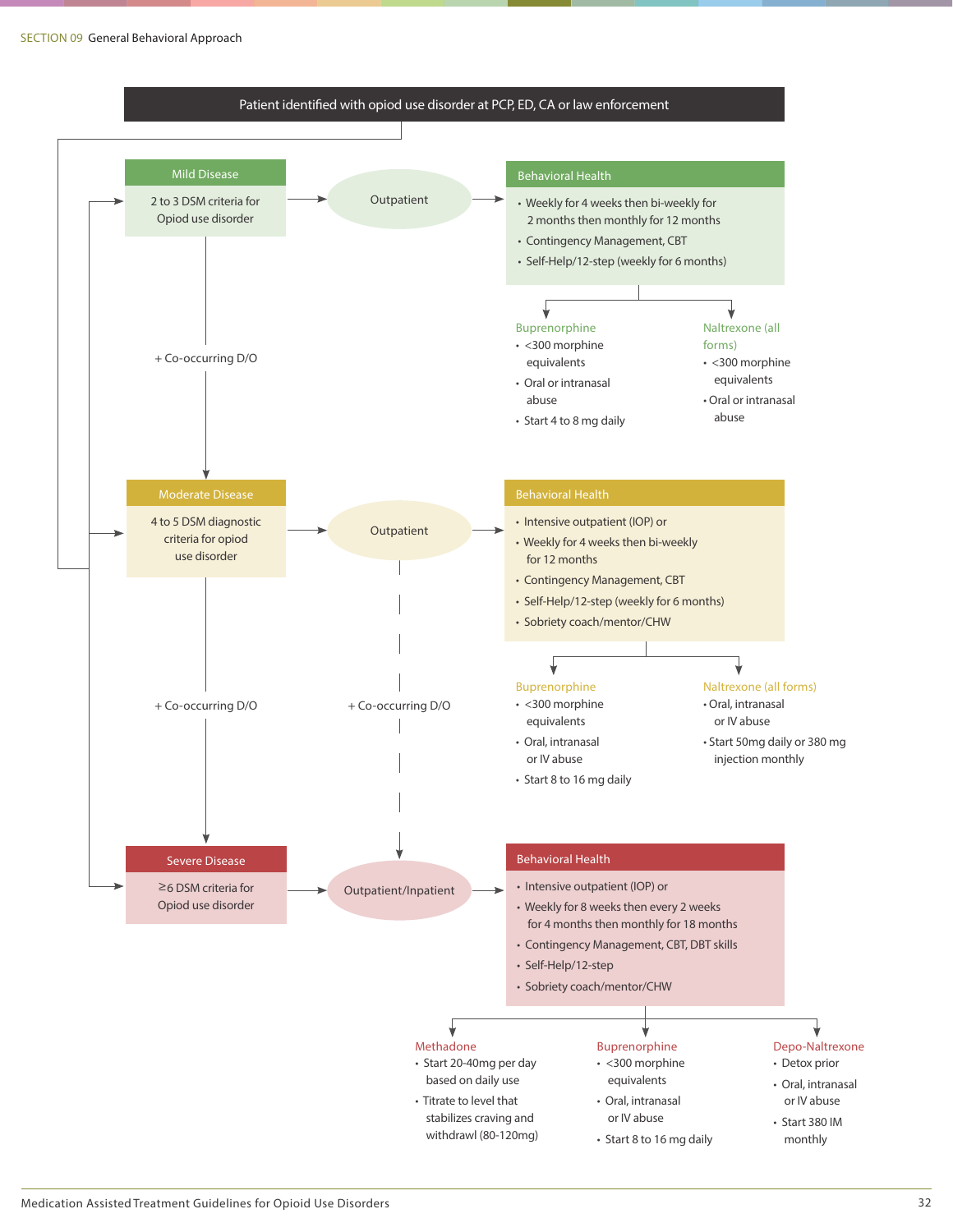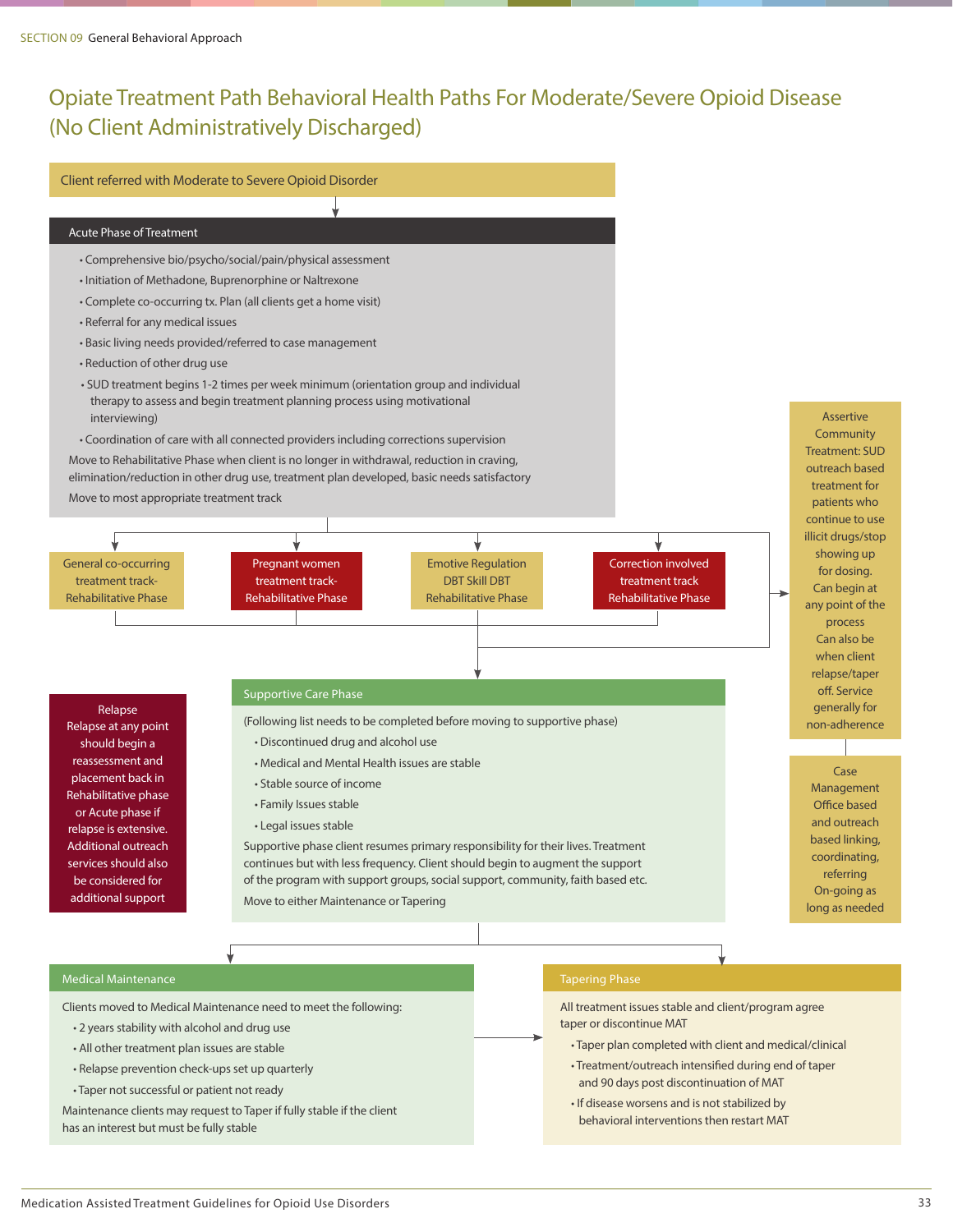### Opiate Treatment Path Behavioral Health Paths For Moderate/Severe Opioid Disease (No Client Administratively Discharged)



All treatment issues stable and client/program agree

- Taper plan completed with client and medical/clinical
- Treatment/outreach intensified during end of taper and 90 days post discontinuation of MAT
- If disease worsens and is not stabilized by behavioral interventions then restart MAT

Assertive **Community** Treatment: SUD outreach based treatment for patients who continue to use illicit drugs/stop showing up for dosing. Can begin at any point of the process Can also be when client relapse/taper off. Service generally for non-adherence

Case Management Office based and outreach based linking, coordinating, referring On-going as long as needed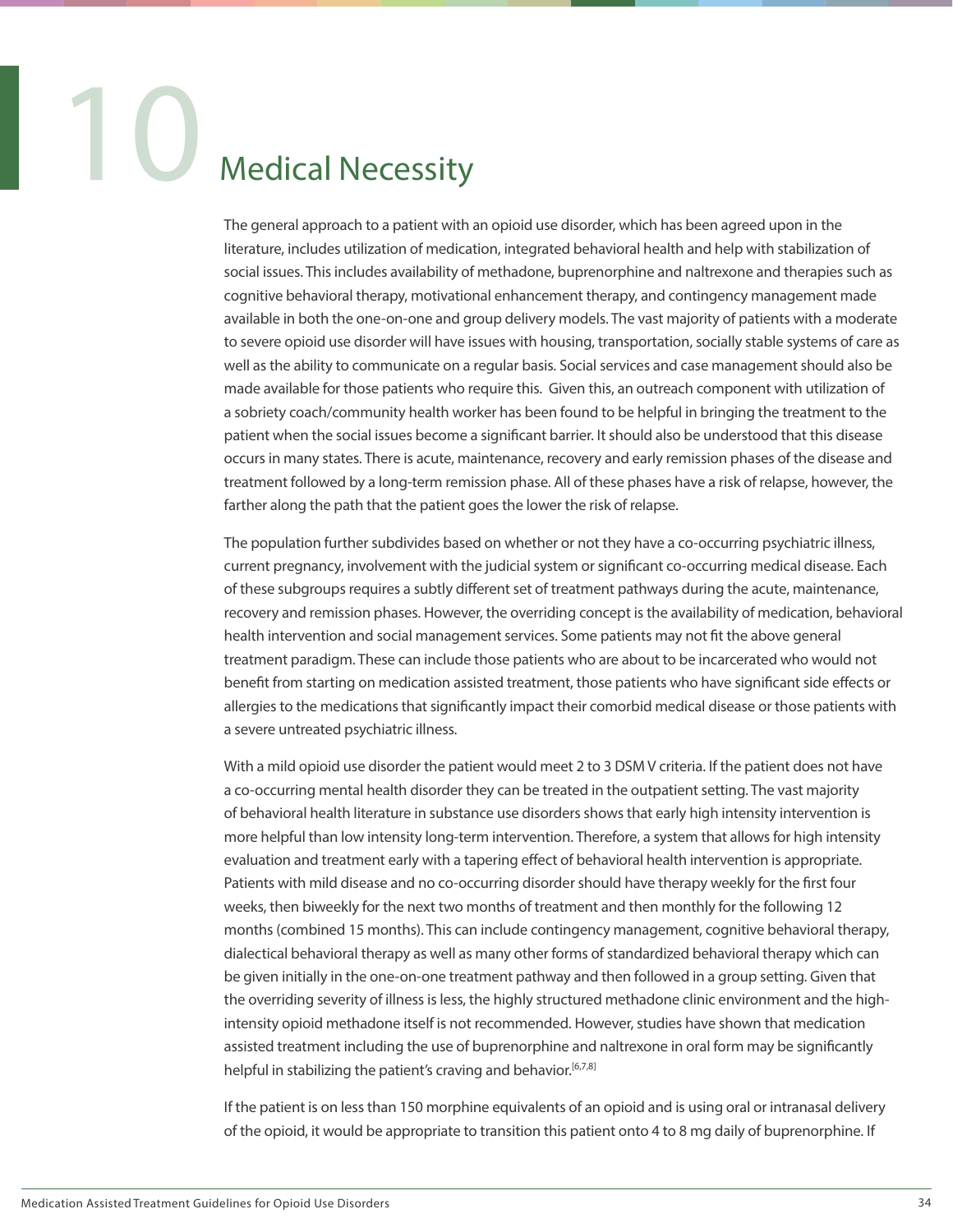### **Medical Necessity**

The general approach to a patient with an opioid use disorder, which has been agreed upon in the literature, includes utilization of medication, integrated behavioral health and help with stabilization of social issues. This includes availability of methadone, buprenorphine and naltrexone and therapies such as cognitive behavioral therapy, motivational enhancement therapy, and contingency management made available in both the one-on-one and group delivery models. The vast majority of patients with a moderate to severe opioid use disorder will have issues with housing, transportation, socially stable systems of care as well as the ability to communicate on a regular basis. Social services and case management should also be made available for those patients who require this. Given this, an outreach component with utilization of a sobriety coach/community health worker has been found to be helpful in bringing the treatment to the patient when the social issues become a significant barrier. It should also be understood that this disease occurs in many states. There is acute, maintenance, recovery and early remission phases of the disease and treatment followed by a long-term remission phase. All of these phases have a risk of relapse, however, the farther along the path that the patient goes the lower the risk of relapse.

The population further subdivides based on whether or not they have a co-occurring psychiatric illness, current pregnancy, involvement with the judicial system or significant co-occurring medical disease. Each of these subgroups requires a subtly different set of treatment pathways during the acute, maintenance, recovery and remission phases. However, the overriding concept is the availability of medication, behavioral health intervention and social management services. Some patients may not fit the above general treatment paradigm. These can include those patients who are about to be incarcerated who would not benefit from starting on medication assisted treatment, those patients who have significant side effects or allergies to the medications that significantly impact their comorbid medical disease or those patients with a severe untreated psychiatric illness.

With a mild opioid use disorder the patient would meet 2 to 3 DSM V criteria. If the patient does not have a co-occurring mental health disorder they can be treated in the outpatient setting. The vast majority of behavioral health literature in substance use disorders shows that early high intensity intervention is more helpful than low intensity long-term intervention. Therefore, a system that allows for high intensity evaluation and treatment early with a tapering effect of behavioral health intervention is appropriate. Patients with mild disease and no co-occurring disorder should have therapy weekly for the first four weeks, then biweekly for the next two months of treatment and then monthly for the following 12 months (combined 15 months). This can include contingency management, cognitive behavioral therapy, dialectical behavioral therapy as well as many other forms of standardized behavioral therapy which can be given initially in the one-on-one treatment pathway and then followed in a group setting. Given that the overriding severity of illness is less, the highly structured methadone clinic environment and the highintensity opioid methadone itself is not recommended. However, studies have shown that medication assisted treatment including the use of buprenorphine and naltrexone in oral form may be significantly helpful in stabilizing the patient's craving and behavior.<sup>[6,7,8]</sup>

If the patient is on less than 150 morphine equivalents of an opioid and is using oral or intranasal delivery of the opioid, it would be appropriate to transition this patient onto 4 to 8 mg daily of buprenorphine. If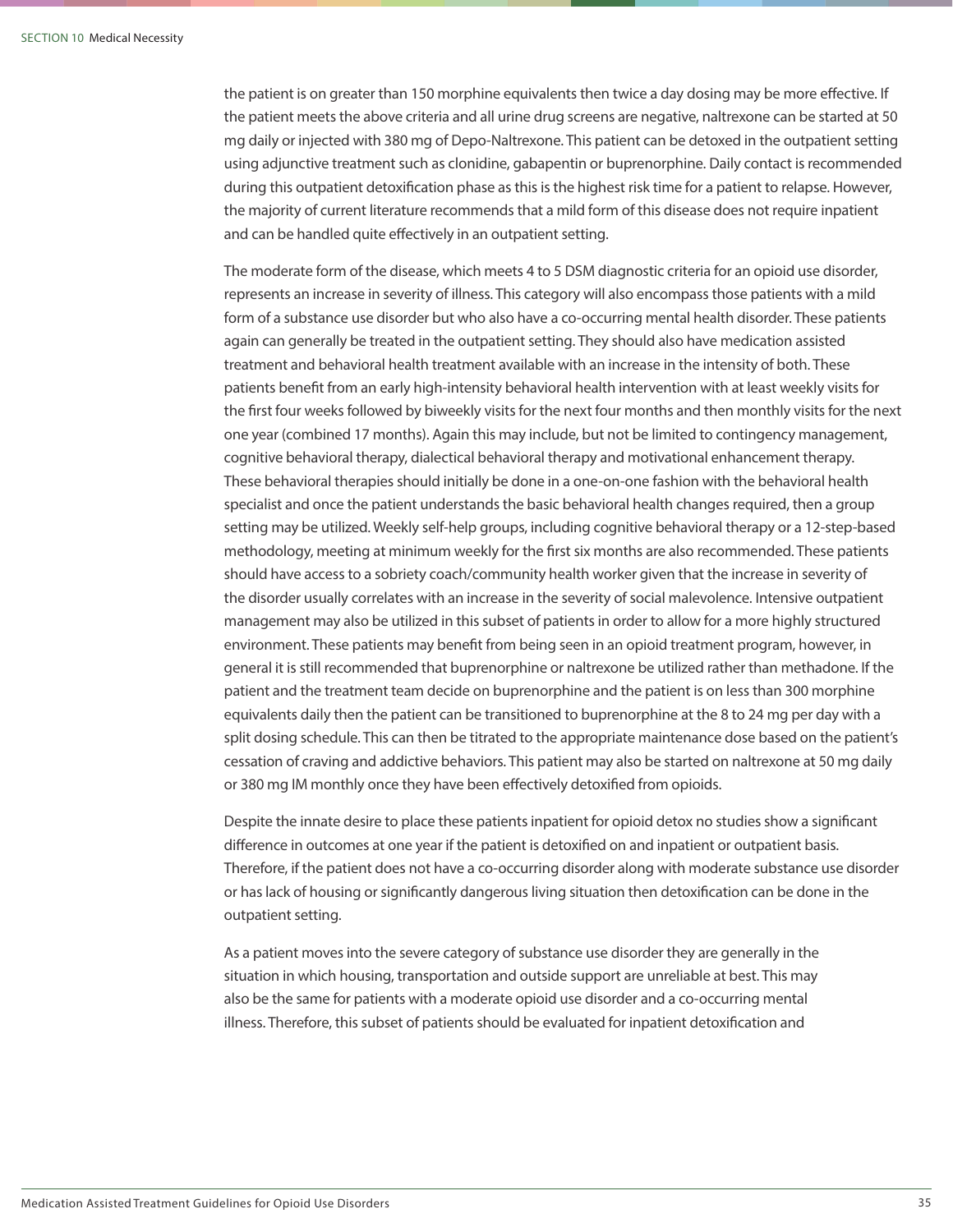the patient is on greater than 150 morphine equivalents then twice a day dosing may be more effective. If the patient meets the above criteria and all urine drug screens are negative, naltrexone can be started at 50 mg daily or injected with 380 mg of Depo-Naltrexone. This patient can be detoxed in the outpatient setting using adjunctive treatment such as clonidine, gabapentin or buprenorphine. Daily contact is recommended during this outpatient detoxification phase as this is the highest risk time for a patient to relapse. However, the majority of current literature recommends that a mild form of this disease does not require inpatient and can be handled quite effectively in an outpatient setting.

The moderate form of the disease, which meets 4 to 5 DSM diagnostic criteria for an opioid use disorder, represents an increase in severity of illness. This category will also encompass those patients with a mild form of a substance use disorder but who also have a co-occurring mental health disorder. These patients again can generally be treated in the outpatient setting. They should also have medication assisted treatment and behavioral health treatment available with an increase in the intensity of both. These patients benefit from an early high-intensity behavioral health intervention with at least weekly visits for the first four weeks followed by biweekly visits for the next four months and then monthly visits for the next one year (combined 17 months). Again this may include, but not be limited to contingency management, cognitive behavioral therapy, dialectical behavioral therapy and motivational enhancement therapy. These behavioral therapies should initially be done in a one-on-one fashion with the behavioral health specialist and once the patient understands the basic behavioral health changes required, then a group setting may be utilized. Weekly self-help groups, including cognitive behavioral therapy or a 12-step-based methodology, meeting at minimum weekly for the first six months are also recommended. These patients should have access to a sobriety coach/community health worker given that the increase in severity of the disorder usually correlates with an increase in the severity of social malevolence. Intensive outpatient management may also be utilized in this subset of patients in order to allow for a more highly structured environment. These patients may benefit from being seen in an opioid treatment program, however, in general it is still recommended that buprenorphine or naltrexone be utilized rather than methadone. If the patient and the treatment team decide on buprenorphine and the patient is on less than 300 morphine equivalents daily then the patient can be transitioned to buprenorphine at the 8 to 24 mg per day with a split dosing schedule. This can then be titrated to the appropriate maintenance dose based on the patient's cessation of craving and addictive behaviors. This patient may also be started on naltrexone at 50 mg daily or 380 mg IM monthly once they have been effectively detoxified from opioids.

Despite the innate desire to place these patients inpatient for opioid detox no studies show a significant difference in outcomes at one year if the patient is detoxified on and inpatient or outpatient basis. Therefore, if the patient does not have a co-occurring disorder along with moderate substance use disorder or has lack of housing or significantly dangerous living situation then detoxification can be done in the outpatient setting.

As a patient moves into the severe category of substance use disorder they are generally in the situation in which housing, transportation and outside support are unreliable at best. This may also be the same for patients with a moderate opioid use disorder and a co-occurring mental illness. Therefore, this subset of patients should be evaluated for inpatient detoxification and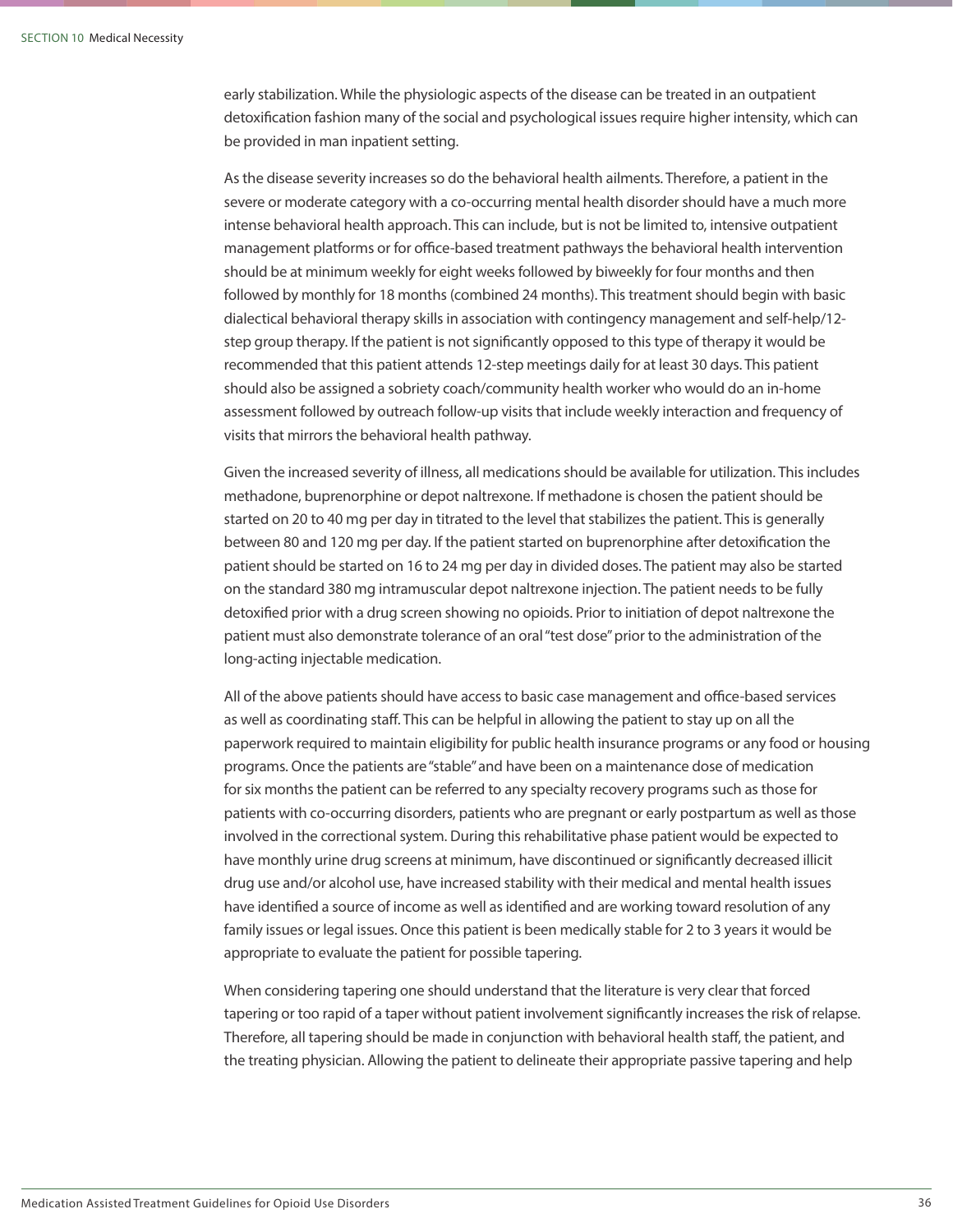early stabilization. While the physiologic aspects of the disease can be treated in an outpatient detoxification fashion many of the social and psychological issues require higher intensity, which can be provided in man inpatient setting.

As the disease severity increases so do the behavioral health ailments. Therefore, a patient in the severe or moderate category with a co-occurring mental health disorder should have a much more intense behavioral health approach. This can include, but is not be limited to, intensive outpatient management platforms or for office-based treatment pathways the behavioral health intervention should be at minimum weekly for eight weeks followed by biweekly for four months and then followed by monthly for 18 months (combined 24 months). This treatment should begin with basic dialectical behavioral therapy skills in association with contingency management and self-help/12 step group therapy. If the patient is not significantly opposed to this type of therapy it would be recommended that this patient attends 12-step meetings daily for at least 30 days. This patient should also be assigned a sobriety coach/community health worker who would do an in-home assessment followed by outreach follow-up visits that include weekly interaction and frequency of visits that mirrors the behavioral health pathway.

Given the increased severity of illness, all medications should be available for utilization. This includes methadone, buprenorphine or depot naltrexone. If methadone is chosen the patient should be started on 20 to 40 mg per day in titrated to the level that stabilizes the patient. This is generally between 80 and 120 mg per day. If the patient started on buprenorphine after detoxification the patient should be started on 16 to 24 mg per day in divided doses. The patient may also be started on the standard 380 mg intramuscular depot naltrexone injection. The patient needs to be fully detoxified prior with a drug screen showing no opioids. Prior to initiation of depot naltrexone the patient must also demonstrate tolerance of an oral "test dose" prior to the administration of the long-acting injectable medication.

All of the above patients should have access to basic case management and office-based services as well as coordinating staff. This can be helpful in allowing the patient to stay up on all the paperwork required to maintain eligibility for public health insurance programs or any food or housing programs. Once the patients are "stable" and have been on a maintenance dose of medication for six months the patient can be referred to any specialty recovery programs such as those for patients with co-occurring disorders, patients who are pregnant or early postpartum as well as those involved in the correctional system. During this rehabilitative phase patient would be expected to have monthly urine drug screens at minimum, have discontinued or significantly decreased illicit drug use and/or alcohol use, have increased stability with their medical and mental health issues have identified a source of income as well as identified and are working toward resolution of any family issues or legal issues. Once this patient is been medically stable for 2 to 3 years it would be appropriate to evaluate the patient for possible tapering.

When considering tapering one should understand that the literature is very clear that forced tapering or too rapid of a taper without patient involvement significantly increases the risk of relapse. Therefore, all tapering should be made in conjunction with behavioral health staff, the patient, and the treating physician. Allowing the patient to delineate their appropriate passive tapering and help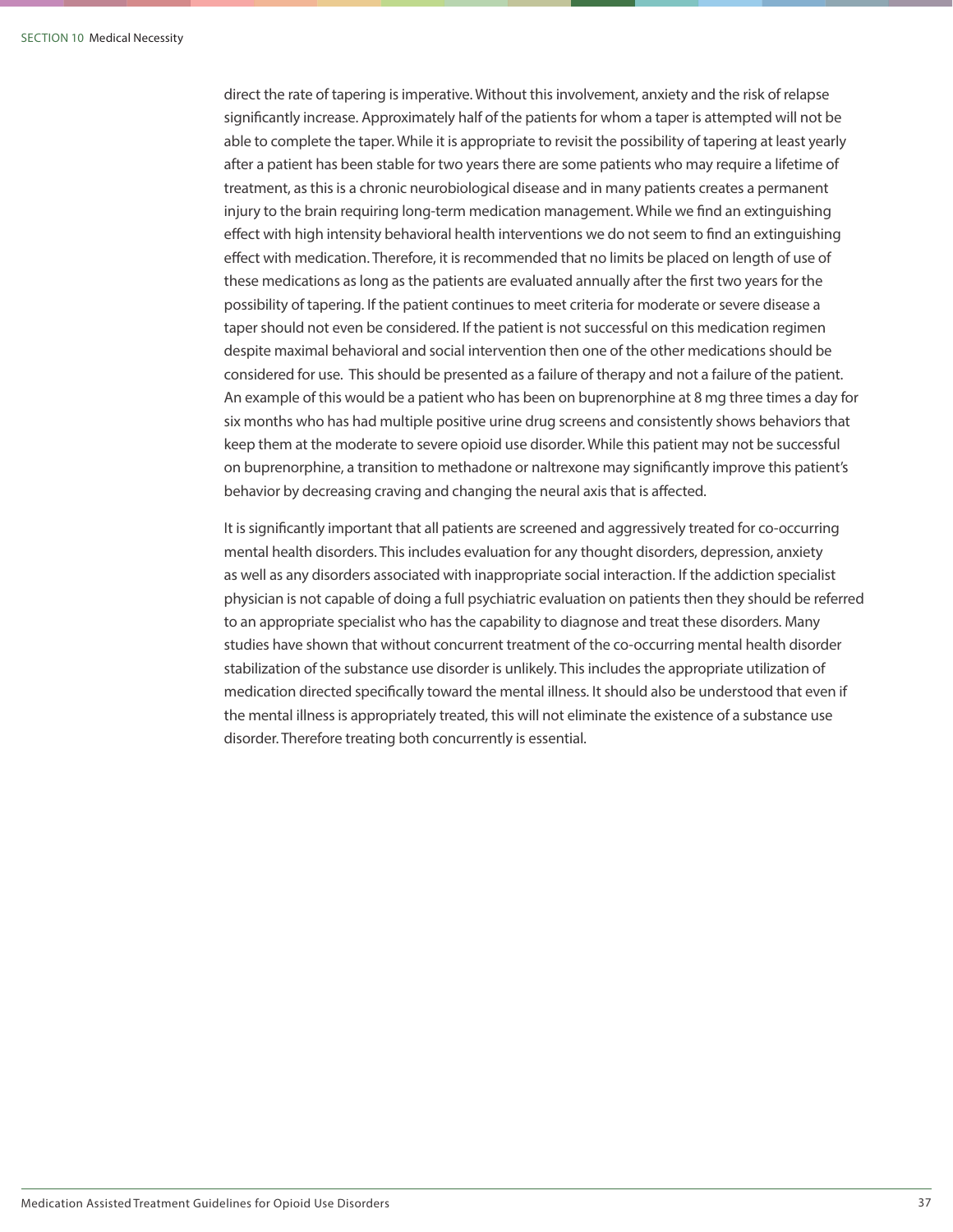direct the rate of tapering is imperative. Without this involvement, anxiety and the risk of relapse significantly increase. Approximately half of the patients for whom a taper is attempted will not be able to complete the taper. While it is appropriate to revisit the possibility of tapering at least yearly after a patient has been stable for two years there are some patients who may require a lifetime of treatment, as this is a chronic neurobiological disease and in many patients creates a permanent injury to the brain requiring long-term medication management. While we find an extinguishing effect with high intensity behavioral health interventions we do not seem to find an extinguishing effect with medication. Therefore, it is recommended that no limits be placed on length of use of these medications as long as the patients are evaluated annually after the first two years for the possibility of tapering. If the patient continues to meet criteria for moderate or severe disease a taper should not even be considered. If the patient is not successful on this medication regimen despite maximal behavioral and social intervention then one of the other medications should be considered for use. This should be presented as a failure of therapy and not a failure of the patient. An example of this would be a patient who has been on buprenorphine at 8 mg three times a day for six months who has had multiple positive urine drug screens and consistently shows behaviors that keep them at the moderate to severe opioid use disorder. While this patient may not be successful on buprenorphine, a transition to methadone or naltrexone may significantly improve this patient's behavior by decreasing craving and changing the neural axis that is affected.

It is significantly important that all patients are screened and aggressively treated for co-occurring mental health disorders. This includes evaluation for any thought disorders, depression, anxiety as well as any disorders associated with inappropriate social interaction. If the addiction specialist physician is not capable of doing a full psychiatric evaluation on patients then they should be referred to an appropriate specialist who has the capability to diagnose and treat these disorders. Many studies have shown that without concurrent treatment of the co-occurring mental health disorder stabilization of the substance use disorder is unlikely. This includes the appropriate utilization of medication directed specifically toward the mental illness. It should also be understood that even if the mental illness is appropriately treated, this will not eliminate the existence of a substance use disorder. Therefore treating both concurrently is essential.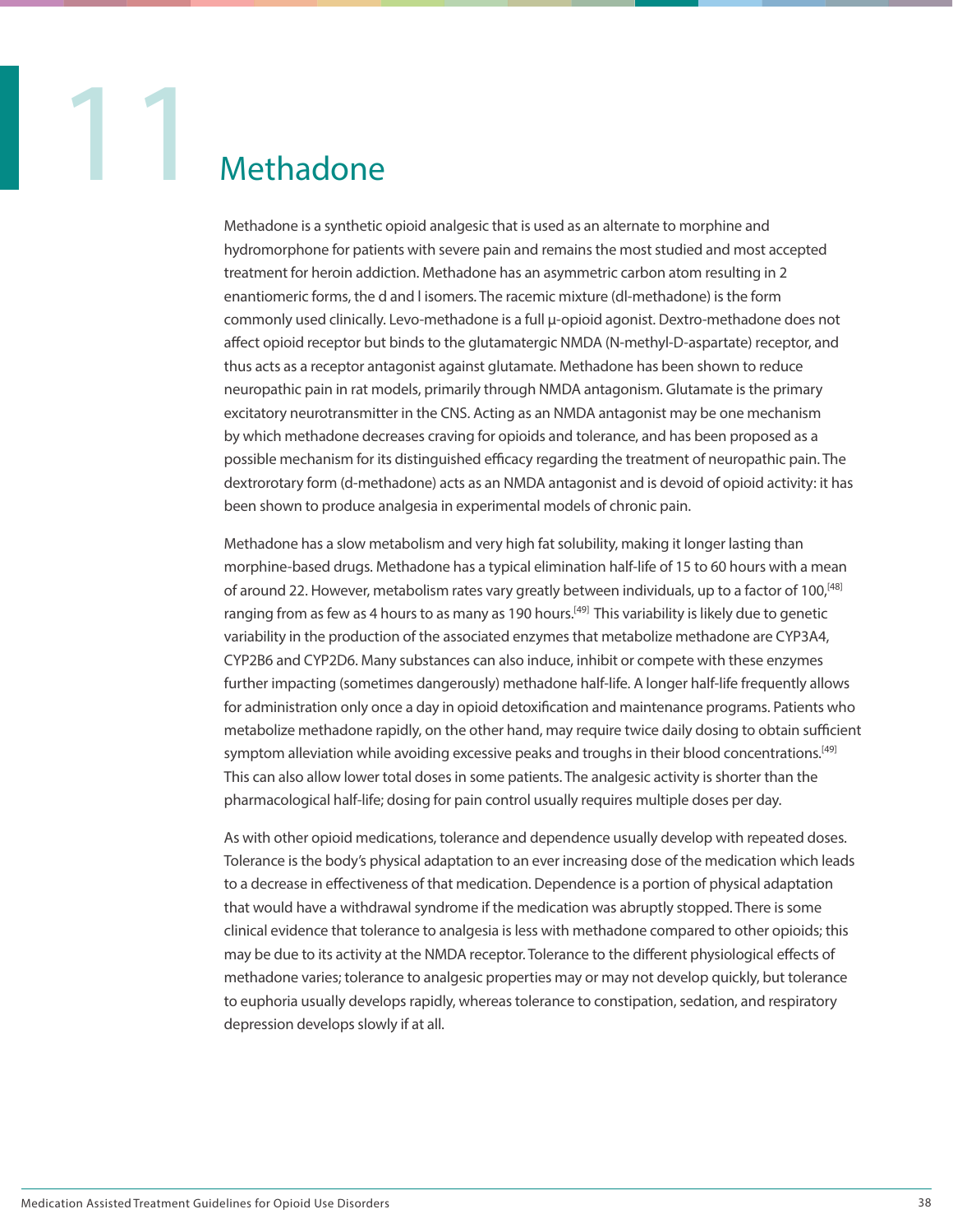

Methadone is a synthetic opioid analgesic that is used as an alternate to morphine and hydromorphone for patients with severe pain and remains the most studied and most accepted treatment for heroin addiction. Methadone has an asymmetric carbon atom resulting in 2 enantiomeric forms, the d and l isomers. The racemic mixture (dl-methadone) is the form commonly used clinically. Levo-methadone is a full µ-opioid agonist. Dextro-methadone does not affect opioid receptor but binds to the glutamatergic NMDA (N-methyl-D-aspartate) receptor, and thus acts as a receptor antagonist against glutamate. Methadone has been shown to reduce neuropathic pain in rat models, primarily through NMDA antagonism. Glutamate is the primary excitatory neurotransmitter in the CNS. Acting as an NMDA antagonist may be one mechanism by which methadone decreases craving for opioids and tolerance, and has been proposed as a possible mechanism for its distinguished efficacy regarding the treatment of neuropathic pain. The dextrorotary form (d-methadone) acts as an NMDA antagonist and is devoid of opioid activity: it has been shown to produce analgesia in experimental models of chronic pain.

Methadone has a slow metabolism and very high fat solubility, making it longer lasting than morphine-based drugs. Methadone has a typical elimination half-life of 15 to 60 hours with a mean of around 22. However, metabolism rates vary greatly between individuals, up to a factor of 100,<sup>[48]</sup> ranging from as few as 4 hours to as many as 190 hours.<sup>[49]</sup> This variability is likely due to genetic variability in the production of the associated enzymes that metabolize methadone are CYP3A4, CYP2B6 and CYP2D6. Many substances can also induce, inhibit or compete with these enzymes further impacting (sometimes dangerously) methadone half-life. A longer half-life frequently allows for administration only once a day in opioid detoxification and maintenance programs. Patients who metabolize methadone rapidly, on the other hand, may require twice daily dosing to obtain sufficient symptom alleviation while avoiding excessive peaks and troughs in their blood concentrations.<sup>[49]</sup> This can also allow lower total doses in some patients. The analgesic activity is shorter than the pharmacological half-life; dosing for pain control usually requires multiple doses per day.

As with other opioid medications, tolerance and dependence usually develop with repeated doses. Tolerance is the body's physical adaptation to an ever increasing dose of the medication which leads to a decrease in effectiveness of that medication. Dependence is a portion of physical adaptation that would have a withdrawal syndrome if the medication was abruptly stopped. There is some clinical evidence that tolerance to analgesia is less with methadone compared to other opioids; this may be due to its activity at the NMDA receptor. Tolerance to the different physiological effects of methadone varies; tolerance to analgesic properties may or may not develop quickly, but tolerance to euphoria usually develops rapidly, whereas tolerance to constipation, sedation, and respiratory depression develops slowly if at all.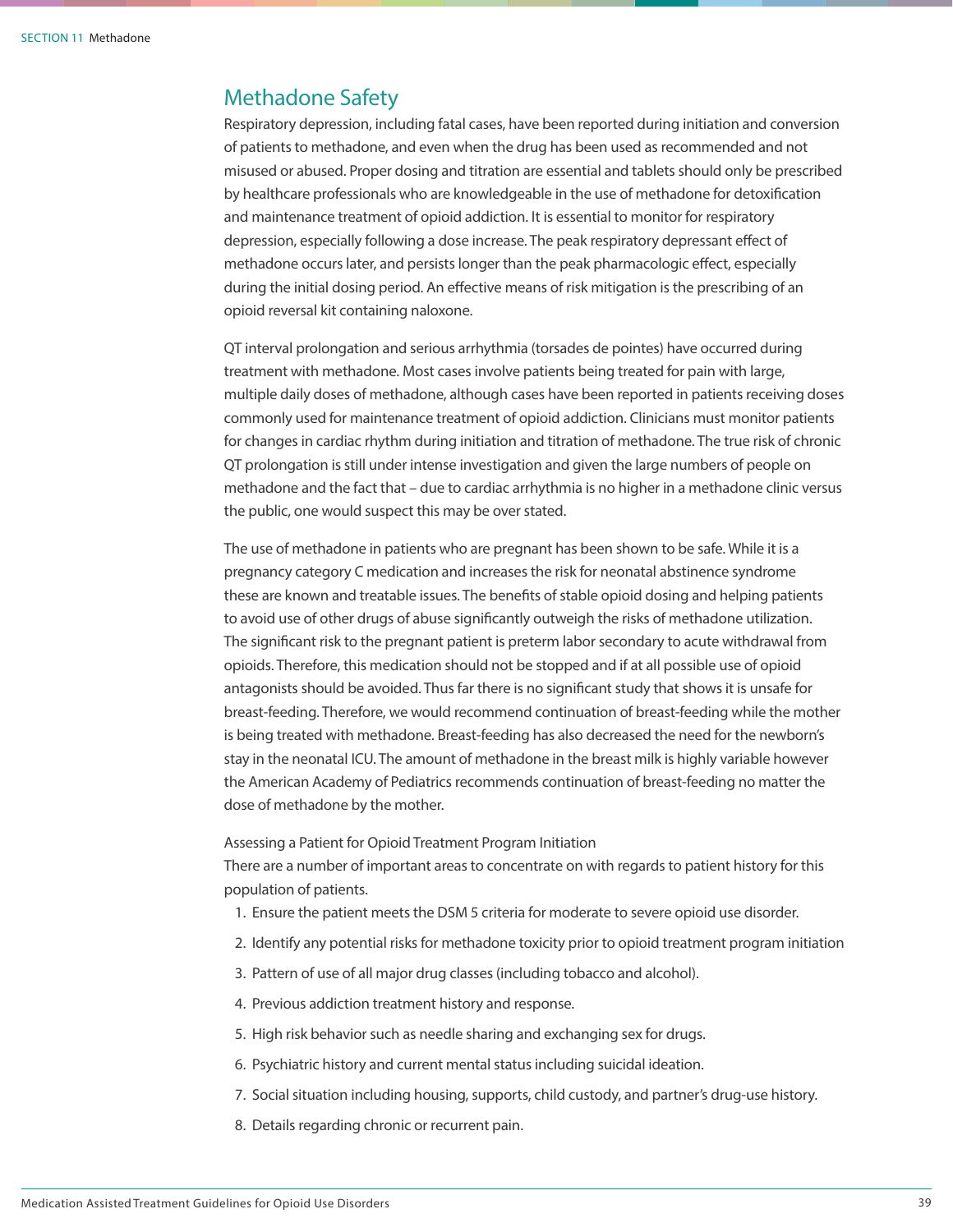### Methadone Safety

Respiratory depression, including fatal cases, have been reported during initiation and conversion of patients to methadone, and even when the drug has been used as recommended and not misused or abused. Proper dosing and titration are essential and tablets should only be prescribed by healthcare professionals who are knowledgeable in the use of methadone for detoxification and maintenance treatment of opioid addiction. It is essential to monitor for respiratory depression, especially following a dose increase. The peak respiratory depressant effect of methadone occurs later, and persists longer than the peak pharmacologic effect, especially during the initial dosing period. An effective means of risk mitigation is the prescribing of an opioid reversal kit containing naloxone.

QT interval prolongation and serious arrhythmia (torsades de pointes) have occurred during treatment with methadone. Most cases involve patients being treated for pain with large, multiple daily doses of methadone, although cases have been reported in patients receiving doses commonly used for maintenance treatment of opioid addiction. Clinicians must monitor patients for changes in cardiac rhythm during initiation and titration of methadone. The true risk of chronic QT prolongation is still under intense investigation and given the large numbers of people on methadone and the fact that – due to cardiac arrhythmia is no higher in a methadone clinic versus the public, one would suspect this may be over stated.

The use of methadone in patients who are pregnant has been shown to be safe. While it is a pregnancy category C medication and increases the risk for neonatal abstinence syndrome these are known and treatable issues. The benefits of stable opioid dosing and helping patients to avoid use of other drugs of abuse significantly outweigh the risks of methadone utilization. The significant risk to the pregnant patient is preterm labor secondary to acute withdrawal from opioids. Therefore, this medication should not be stopped and if at all possible use of opioid antagonists should be avoided. Thus far there is no significant study that shows it is unsafe for breast-feeding. Therefore, we would recommend continuation of breast-feeding while the mother is being treated with methadone. Breast-feeding has also decreased the need for the newborn's stay in the neonatal ICU. The amount of methadone in the breast milk is highly variable however the American Academy of Pediatrics recommends continuation of breast-feeding no matter the dose of methadone by the mother.

Assessing a Patient for Opioid Treatment Program Initiation

There are a number of important areas to concentrate on with regards to patient history for this population of patients.

- 1. Ensure the patient meets the DSM 5 criteria for moderate to severe opioid use disorder.
- 2. Identify any potential risks for methadone toxicity prior to opioid treatment program initiation
- 3. Pattern of use of all major drug classes (including tobacco and alcohol).
- 4. Previous addiction treatment history and response.
- 5. High risk behavior such as needle sharing and exchanging sex for drugs.
- 6. Psychiatric history and current mental status including suicidal ideation.
- 7. Social situation including housing, supports, child custody, and partner's drug-use history.
- 8. Details regarding chronic or recurrent pain.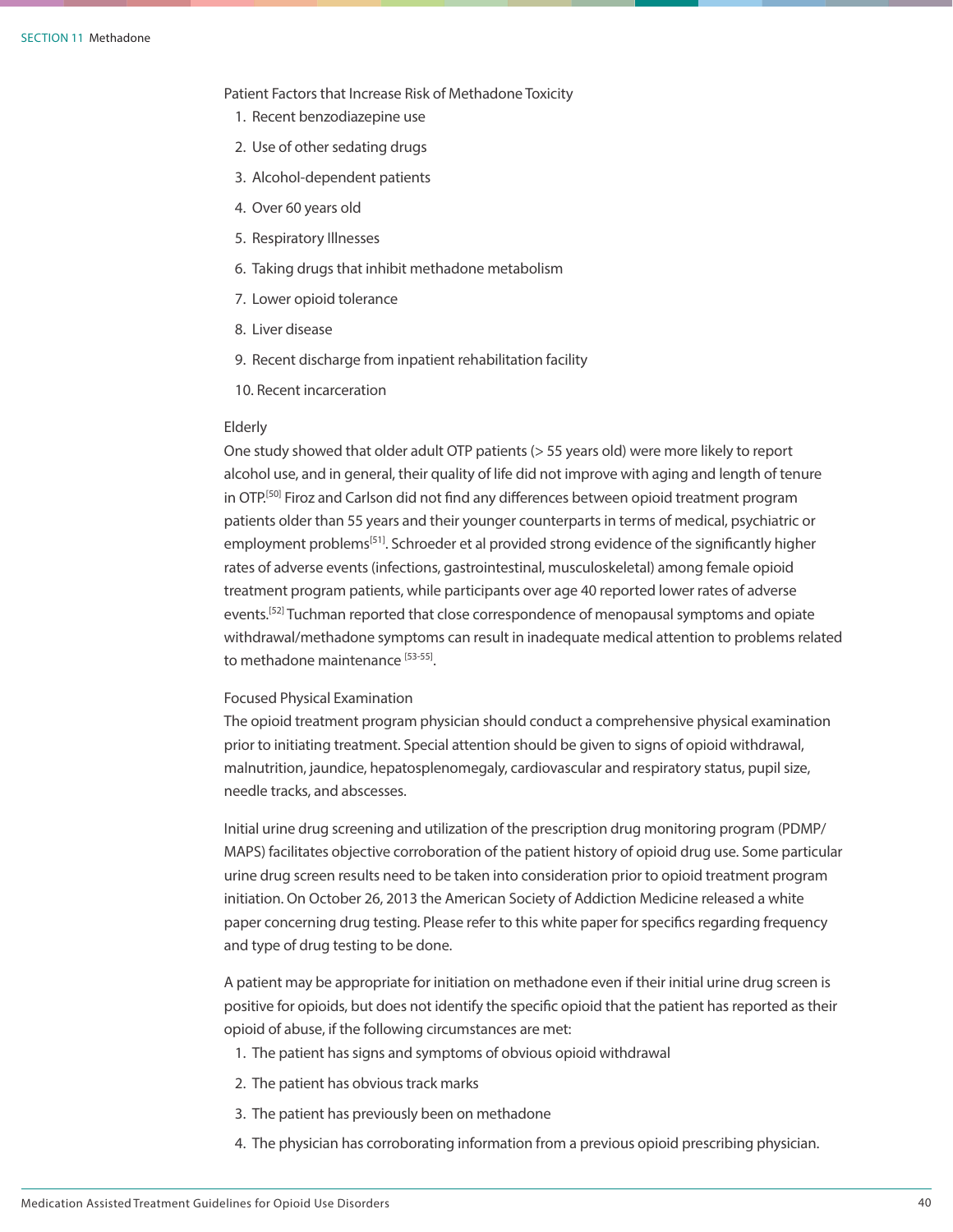Patient Factors that Increase Risk of Methadone Toxicity

- 1. Recent benzodiazepine use
- 2. Use of other sedating drugs
- 3. Alcohol-dependent patients
- 4. Over 60 years old
- 5. Respiratory Illnesses
- 6. Taking drugs that inhibit methadone metabolism
- 7. Lower opioid tolerance
- 8. Liver disease
- 9. Recent discharge from inpatient rehabilitation facility
- 10. Recent incarceration

### Elderly

One study showed that older adult OTP patients (> 55 years old) were more likely to report alcohol use, and in general, their quality of life did not improve with aging and length of tenure in OTP.<sup>[50]</sup> Firoz and Carlson did not find any differences between opioid treatment program patients older than 55 years and their younger counterparts in terms of medical, psychiatric or employment problems<sup>[51]</sup>. Schroeder et al provided strong evidence of the significantly higher rates of adverse events (infections, gastrointestinal, musculoskeletal) among female opioid treatment program patients, while participants over age 40 reported lower rates of adverse events.<sup>[52]</sup> Tuchman reported that close correspondence of menopausal symptoms and opiate withdrawal/methadone symptoms can result in inadequate medical attention to problems related to methadone maintenance [53-55].

### Focused Physical Examination

The opioid treatment program physician should conduct a comprehensive physical examination prior to initiating treatment. Special attention should be given to signs of opioid withdrawal, malnutrition, jaundice, hepatosplenomegaly, cardiovascular and respiratory status, pupil size, needle tracks, and abscesses.

Initial urine drug screening and utilization of the prescription drug monitoring program (PDMP/ MAPS) facilitates objective corroboration of the patient history of opioid drug use. Some particular urine drug screen results need to be taken into consideration prior to opioid treatment program initiation. On October 26, 2013 the American Society of Addiction Medicine released a white paper concerning drug testing. Please refer to this white paper for specifics regarding frequency and type of drug testing to be done.

A patient may be appropriate for initiation on methadone even if their initial urine drug screen is positive for opioids, but does not identify the specific opioid that the patient has reported as their opioid of abuse, if the following circumstances are met:

- 1. The patient has signs and symptoms of obvious opioid withdrawal
- 2. The patient has obvious track marks
- 3. The patient has previously been on methadone
- 4. The physician has corroborating information from a previous opioid prescribing physician.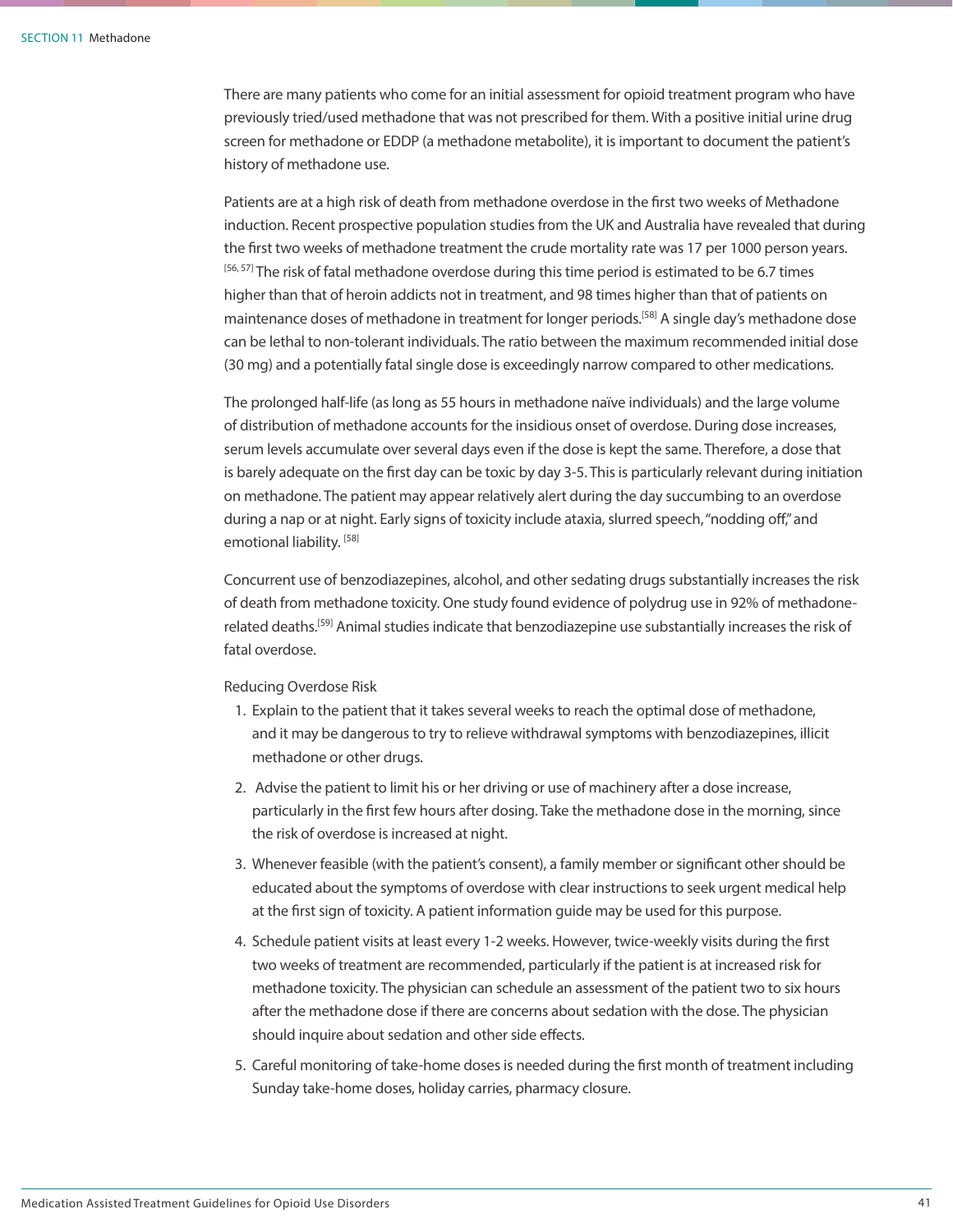There are many patients who come for an initial assessment for opioid treatment program who have previously tried/used methadone that was not prescribed for them. With a positive initial urine drug screen for methadone or EDDP (a methadone metabolite), it is important to document the patient's history of methadone use.

Patients are at a high risk of death from methadone overdose in the first two weeks of Methadone induction. Recent prospective population studies from the UK and Australia have revealed that during the first two weeks of methadone treatment the crude mortality rate was 17 per 1000 person years.  $[56, 57]$  The risk of fatal methadone overdose during this time period is estimated to be 6.7 times higher than that of heroin addicts not in treatment, and 98 times higher than that of patients on maintenance doses of methadone in treatment for longer periods.<sup>[58]</sup> A single day's methadone dose can be lethal to non-tolerant individuals. The ratio between the maximum recommended initial dose (30 mg) and a potentially fatal single dose is exceedingly narrow compared to other medications.

The prolonged half-life (as long as 55 hours in methadone naïve individuals) and the large volume of distribution of methadone accounts for the insidious onset of overdose. During dose increases, serum levels accumulate over several days even if the dose is kept the same. Therefore, a dose that is barely adequate on the first day can be toxic by day 3-5. This is particularly relevant during initiation on methadone. The patient may appear relatively alert during the day succumbing to an overdose during a nap or at night. Early signs of toxicity include ataxia, slurred speech, "nodding off," and emotional liability.<sup>[58]</sup>

Concurrent use of benzodiazepines, alcohol, and other sedating drugs substantially increases the risk of death from methadone toxicity. One study found evidence of polydrug use in 92% of methadonerelated deaths.[59] Animal studies indicate that benzodiazepine use substantially increases the risk of fatal overdose.

Reducing Overdose Risk

- 1. Explain to the patient that it takes several weeks to reach the optimal dose of methadone, and it may be dangerous to try to relieve withdrawal symptoms with benzodiazepines, illicit methadone or other drugs.
- 2. Advise the patient to limit his or her driving or use of machinery after a dose increase, particularly in the first few hours after dosing. Take the methadone dose in the morning, since the risk of overdose is increased at night.
- 3. Whenever feasible (with the patient's consent), a family member or significant other should be educated about the symptoms of overdose with clear instructions to seek urgent medical help at the first sign of toxicity. A patient information guide may be used for this purpose.
- 4. Schedule patient visits at least every 1-2 weeks. However, twice-weekly visits during the first two weeks of treatment are recommended, particularly if the patient is at increased risk for methadone toxicity. The physician can schedule an assessment of the patient two to six hours after the methadone dose if there are concerns about sedation with the dose. The physician should inquire about sedation and other side effects.
- 5. Careful monitoring of take-home doses is needed during the first month of treatment including Sunday take-home doses, holiday carries, pharmacy closure.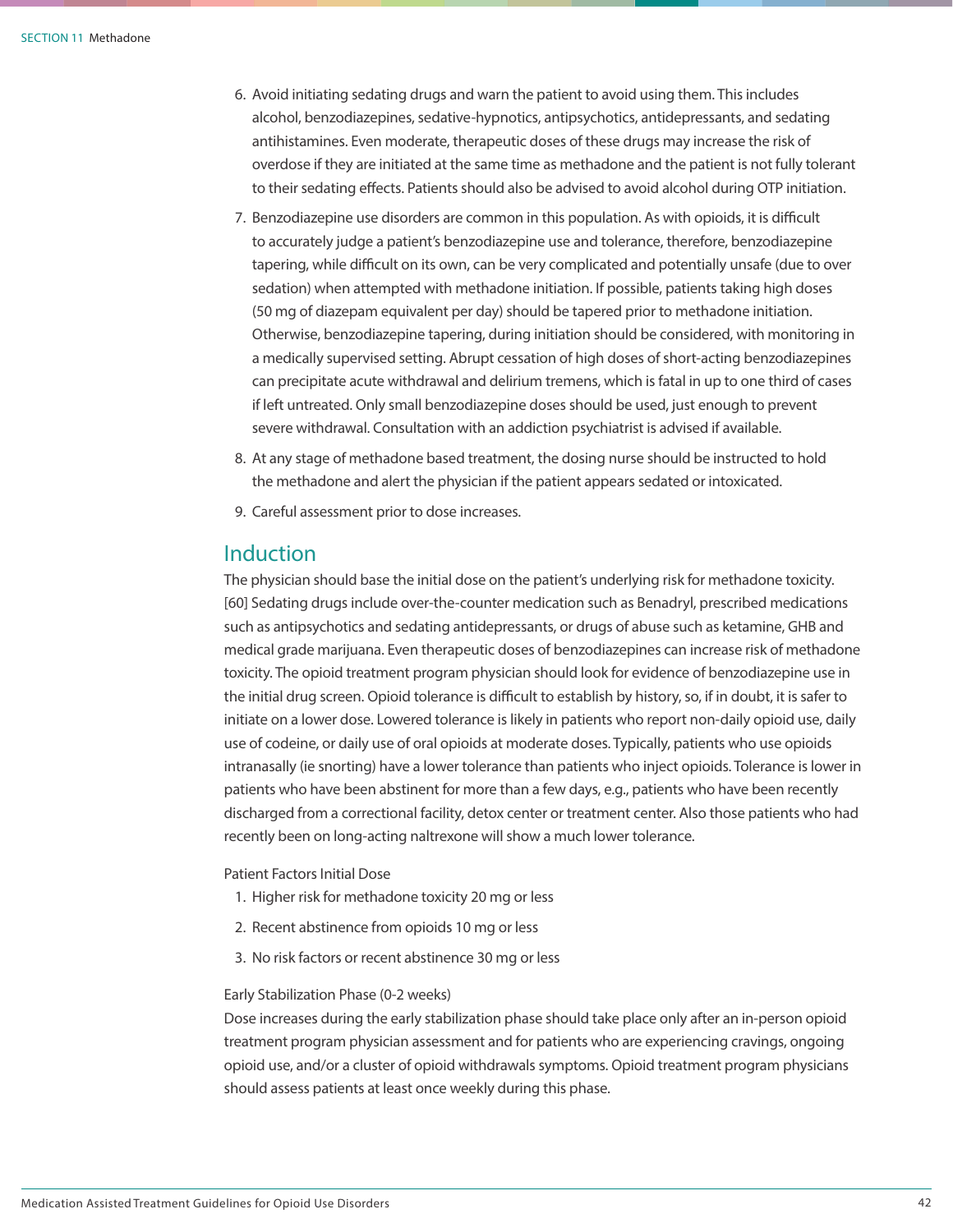- 6. Avoid initiating sedating drugs and warn the patient to avoid using them. This includes alcohol, benzodiazepines, sedative-hypnotics, antipsychotics, antidepressants, and sedating antihistamines. Even moderate, therapeutic doses of these drugs may increase the risk of overdose if they are initiated at the same time as methadone and the patient is not fully tolerant to their sedating effects. Patients should also be advised to avoid alcohol during OTP initiation.
- 7. Benzodiazepine use disorders are common in this population. As with opioids, it is difficult to accurately judge a patient's benzodiazepine use and tolerance, therefore, benzodiazepine tapering, while difficult on its own, can be very complicated and potentially unsafe (due to over sedation) when attempted with methadone initiation. If possible, patients taking high doses (50 mg of diazepam equivalent per day) should be tapered prior to methadone initiation. Otherwise, benzodiazepine tapering, during initiation should be considered, with monitoring in a medically supervised setting. Abrupt cessation of high doses of short-acting benzodiazepines can precipitate acute withdrawal and delirium tremens, which is fatal in up to one third of cases if left untreated. Only small benzodiazepine doses should be used, just enough to prevent severe withdrawal. Consultation with an addiction psychiatrist is advised if available.
- 8. At any stage of methadone based treatment, the dosing nurse should be instructed to hold the methadone and alert the physician if the patient appears sedated or intoxicated.
- 9. Careful assessment prior to dose increases.

### Induction

The physician should base the initial dose on the patient's underlying risk for methadone toxicity. [60] Sedating drugs include over-the-counter medication such as Benadryl, prescribed medications such as antipsychotics and sedating antidepressants, or drugs of abuse such as ketamine, GHB and medical grade marijuana. Even therapeutic doses of benzodiazepines can increase risk of methadone toxicity. The opioid treatment program physician should look for evidence of benzodiazepine use in the initial drug screen. Opioid tolerance is difficult to establish by history, so, if in doubt, it is safer to initiate on a lower dose. Lowered tolerance is likely in patients who report non-daily opioid use, daily use of codeine, or daily use of oral opioids at moderate doses. Typically, patients who use opioids intranasally (ie snorting) have a lower tolerance than patients who inject opioids. Tolerance is lower in patients who have been abstinent for more than a few days, e.g., patients who have been recently discharged from a correctional facility, detox center or treatment center. Also those patients who had recently been on long-acting naltrexone will show a much lower tolerance.

### Patient Factors Initial Dose

- 1. Higher risk for methadone toxicity 20 mg or less
- 2. Recent abstinence from opioids 10 mg or less
- 3. No risk factors or recent abstinence 30 mg or less

### Early Stabilization Phase (0-2 weeks)

Dose increases during the early stabilization phase should take place only after an in-person opioid treatment program physician assessment and for patients who are experiencing cravings, ongoing opioid use, and/or a cluster of opioid withdrawals symptoms. Opioid treatment program physicians should assess patients at least once weekly during this phase.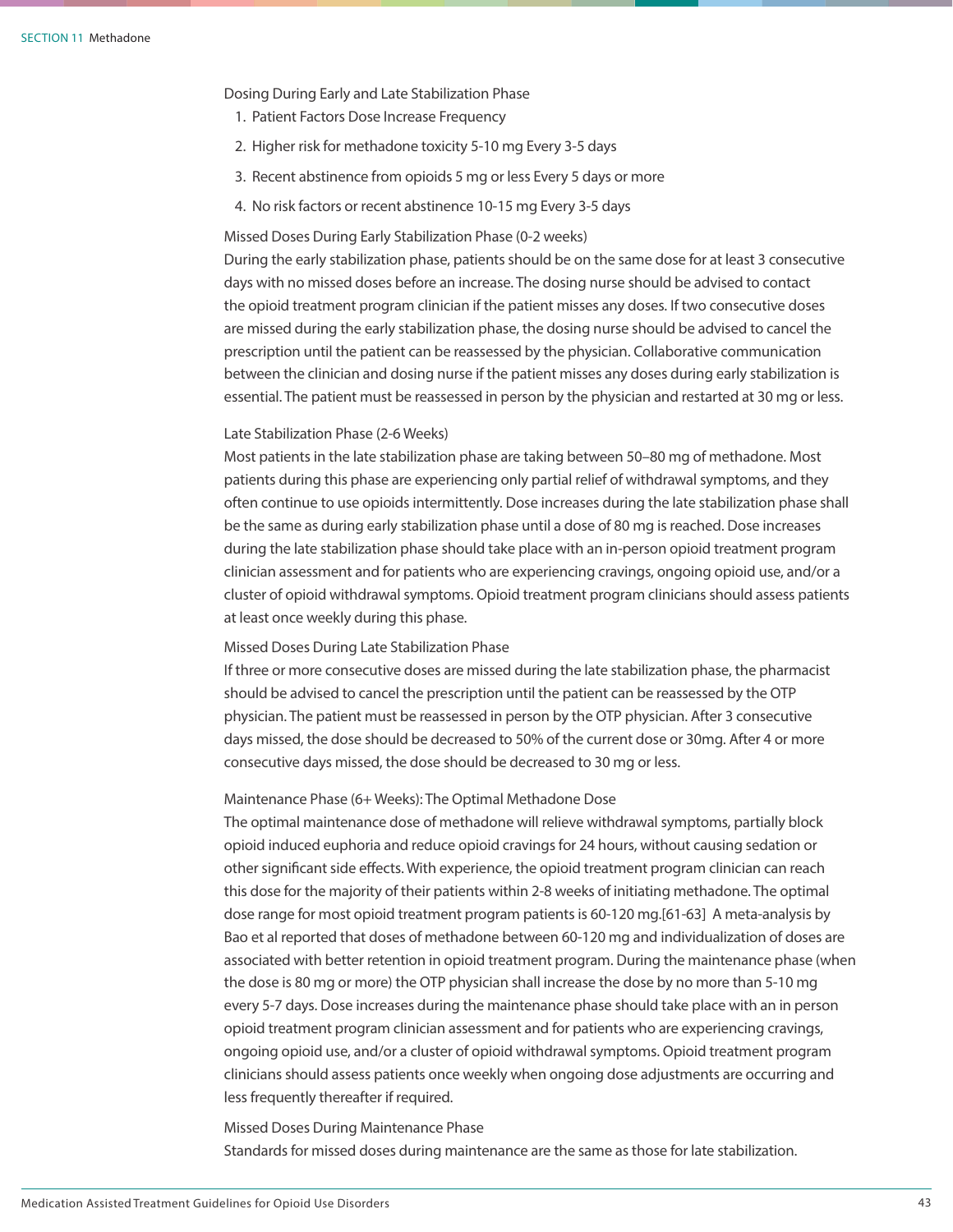Dosing During Early and Late Stabilization Phase

- 1. Patient Factors Dose Increase Frequency
- 2. Higher risk for methadone toxicity 5-10 mg Every 3-5 days
- 3. Recent abstinence from opioids 5 mg or less Every 5 days or more
- 4. No risk factors or recent abstinence 10-15 mg Every 3-5 days

### Missed Doses During Early Stabilization Phase (0-2 weeks)

During the early stabilization phase, patients should be on the same dose for at least 3 consecutive days with no missed doses before an increase. The dosing nurse should be advised to contact the opioid treatment program clinician if the patient misses any doses. If two consecutive doses are missed during the early stabilization phase, the dosing nurse should be advised to cancel the prescription until the patient can be reassessed by the physician. Collaborative communication between the clinician and dosing nurse if the patient misses any doses during early stabilization is essential. The patient must be reassessed in person by the physician and restarted at 30 mg or less.

### Late Stabilization Phase (2-6 Weeks)

Most patients in the late stabilization phase are taking between 50–80 mg of methadone. Most patients during this phase are experiencing only partial relief of withdrawal symptoms, and they often continue to use opioids intermittently. Dose increases during the late stabilization phase shall be the same as during early stabilization phase until a dose of 80 mg is reached. Dose increases during the late stabilization phase should take place with an in-person opioid treatment program clinician assessment and for patients who are experiencing cravings, ongoing opioid use, and/or a cluster of opioid withdrawal symptoms. Opioid treatment program clinicians should assess patients at least once weekly during this phase.

### Missed Doses During Late Stabilization Phase

If three or more consecutive doses are missed during the late stabilization phase, the pharmacist should be advised to cancel the prescription until the patient can be reassessed by the OTP physician. The patient must be reassessed in person by the OTP physician. After 3 consecutive days missed, the dose should be decreased to 50% of the current dose or 30mg. After 4 or more consecutive days missed, the dose should be decreased to 30 mg or less.

### Maintenance Phase (6+ Weeks): The Optimal Methadone Dose

The optimal maintenance dose of methadone will relieve withdrawal symptoms, partially block opioid induced euphoria and reduce opioid cravings for 24 hours, without causing sedation or other significant side effects. With experience, the opioid treatment program clinician can reach this dose for the majority of their patients within 2-8 weeks of initiating methadone. The optimal dose range for most opioid treatment program patients is 60-120 mg.[61-63] A meta-analysis by Bao et al reported that doses of methadone between 60-120 mg and individualization of doses are associated with better retention in opioid treatment program. During the maintenance phase (when the dose is 80 mg or more) the OTP physician shall increase the dose by no more than 5-10 mg every 5-7 days. Dose increases during the maintenance phase should take place with an in person opioid treatment program clinician assessment and for patients who are experiencing cravings, ongoing opioid use, and/or a cluster of opioid withdrawal symptoms. Opioid treatment program clinicians should assess patients once weekly when ongoing dose adjustments are occurring and less frequently thereafter if required.

Missed Doses During Maintenance Phase Standards for missed doses during maintenance are the same as those for late stabilization.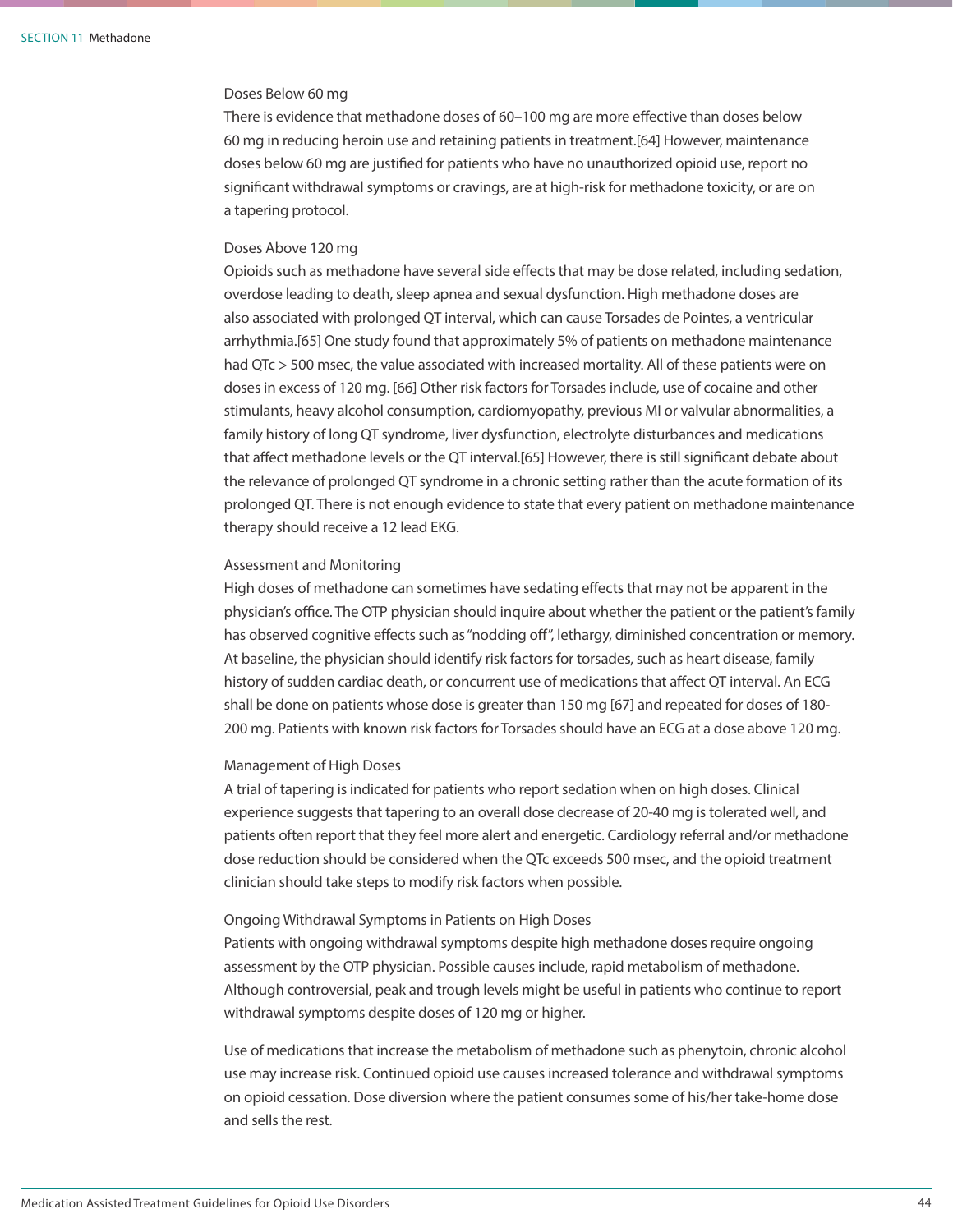### Doses Below 60 mg

There is evidence that methadone doses of 60–100 mg are more effective than doses below 60 mg in reducing heroin use and retaining patients in treatment.[64] However, maintenance doses below 60 mg are justified for patients who have no unauthorized opioid use, report no significant withdrawal symptoms or cravings, are at high-risk for methadone toxicity, or are on a tapering protocol.

### Doses Above 120 mg

Opioids such as methadone have several side effects that may be dose related, including sedation, overdose leading to death, sleep apnea and sexual dysfunction. High methadone doses are also associated with prolonged QT interval, which can cause Torsades de Pointes, a ventricular arrhythmia.[65] One study found that approximately 5% of patients on methadone maintenance had QTc > 500 msec, the value associated with increased mortality. All of these patients were on doses in excess of 120 mg. [66] Other risk factors for Torsades include, use of cocaine and other stimulants, heavy alcohol consumption, cardiomyopathy, previous MI or valvular abnormalities, a family history of long QT syndrome, liver dysfunction, electrolyte disturbances and medications that affect methadone levels or the QT interval.[65] However, there is still significant debate about the relevance of prolonged QT syndrome in a chronic setting rather than the acute formation of its prolonged QT. There is not enough evidence to state that every patient on methadone maintenance therapy should receive a 12 lead EKG.

### Assessment and Monitoring

High doses of methadone can sometimes have sedating effects that may not be apparent in the physician's office. The OTP physician should inquire about whether the patient or the patient's family has observed cognitive effects such as "nodding off", lethargy, diminished concentration or memory. At baseline, the physician should identify risk factors for torsades, such as heart disease, family history of sudden cardiac death, or concurrent use of medications that affect QT interval. An ECG shall be done on patients whose dose is greater than 150 mg [67] and repeated for doses of 180- 200 mg. Patients with known risk factors for Torsades should have an ECG at a dose above 120 mg.

### Management of High Doses

A trial of tapering is indicated for patients who report sedation when on high doses. Clinical experience suggests that tapering to an overall dose decrease of 20-40 mg is tolerated well, and patients often report that they feel more alert and energetic. Cardiology referral and/or methadone dose reduction should be considered when the QTc exceeds 500 msec, and the opioid treatment clinician should take steps to modify risk factors when possible.

### Ongoing Withdrawal Symptoms in Patients on High Doses

Patients with ongoing withdrawal symptoms despite high methadone doses require ongoing assessment by the OTP physician. Possible causes include, rapid metabolism of methadone. Although controversial, peak and trough levels might be useful in patients who continue to report withdrawal symptoms despite doses of 120 mg or higher.

Use of medications that increase the metabolism of methadone such as phenytoin, chronic alcohol use may increase risk. Continued opioid use causes increased tolerance and withdrawal symptoms on opioid cessation. Dose diversion where the patient consumes some of his/her take-home dose and sells the rest.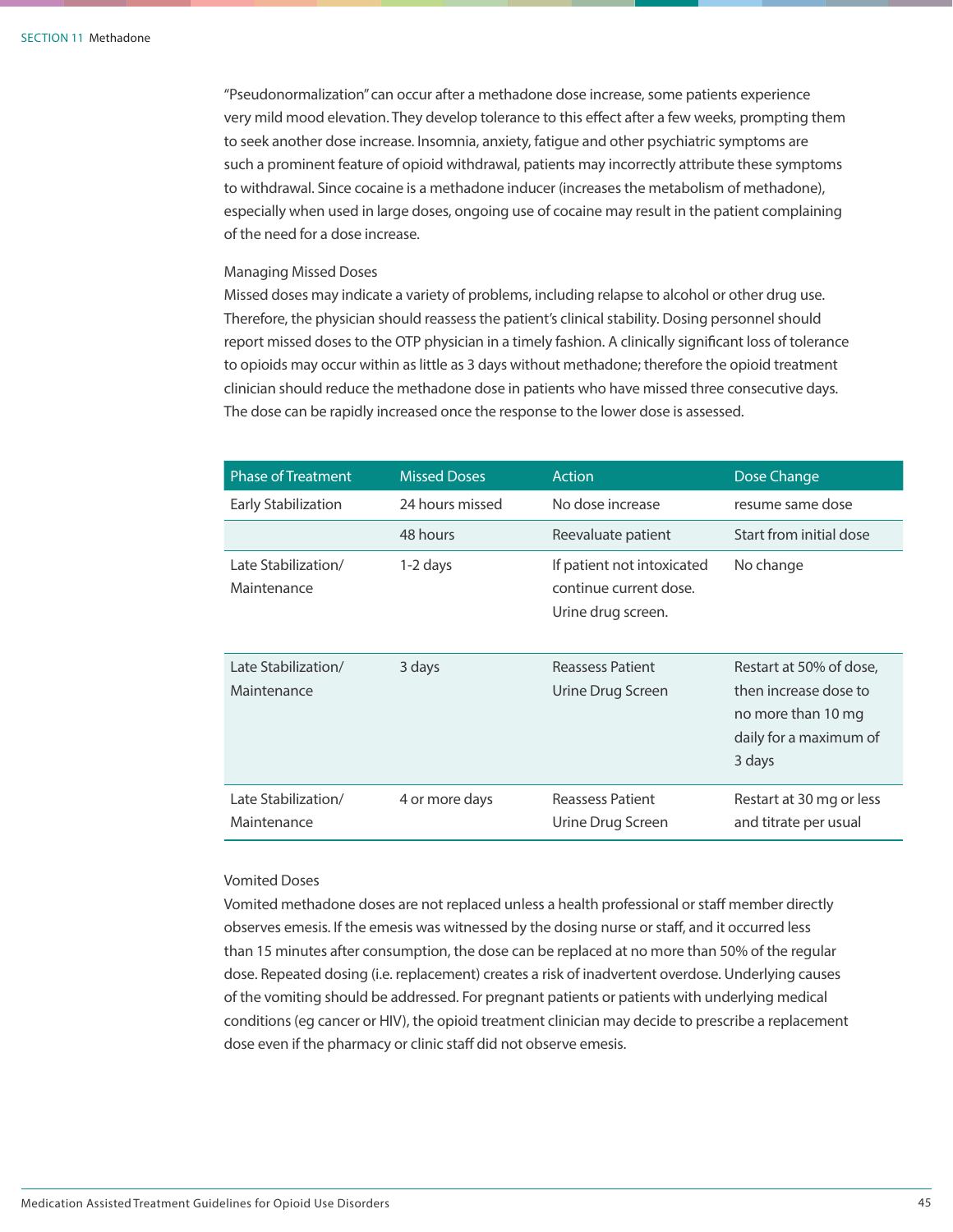"Pseudonormalization" can occur after a methadone dose increase, some patients experience very mild mood elevation. They develop tolerance to this effect after a few weeks, prompting them to seek another dose increase. Insomnia, anxiety, fatigue and other psychiatric symptoms are such a prominent feature of opioid withdrawal, patients may incorrectly attribute these symptoms to withdrawal. Since cocaine is a methadone inducer (increases the metabolism of methadone), especially when used in large doses, ongoing use of cocaine may result in the patient complaining of the need for a dose increase.

### Managing Missed Doses

Missed doses may indicate a variety of problems, including relapse to alcohol or other drug use. Therefore, the physician should reassess the patient's clinical stability. Dosing personnel should report missed doses to the OTP physician in a timely fashion. A clinically significant loss of tolerance to opioids may occur within as little as 3 days without methadone; therefore the opioid treatment clinician should reduce the methadone dose in patients who have missed three consecutive days. The dose can be rapidly increased once the response to the lower dose is assessed.

| <b>Phase of Treatment</b>          | <b>Missed Doses</b> | Action                                                                     | Dose Change                                                                                                |
|------------------------------------|---------------------|----------------------------------------------------------------------------|------------------------------------------------------------------------------------------------------------|
| Early Stabilization                | 24 hours missed     | No dose increase                                                           | resume same dose                                                                                           |
|                                    | 48 hours            | Reevaluate patient                                                         | Start from initial dose                                                                                    |
| Late Stabilization/<br>Maintenance | 1-2 days            | If patient not intoxicated<br>continue current dose.<br>Urine drug screen. | No change                                                                                                  |
| Late Stabilization/<br>Maintenance | 3 days              | <b>Reassess Patient</b><br>Urine Drug Screen                               | Restart at 50% of dose,<br>then increase dose to<br>no more than 10 mg<br>daily for a maximum of<br>3 days |
| Late Stabilization/<br>Maintenance | 4 or more days      | Reassess Patient<br>Urine Drug Screen                                      | Restart at 30 mg or less<br>and titrate per usual                                                          |

### Vomited Doses

Vomited methadone doses are not replaced unless a health professional or staff member directly observes emesis. If the emesis was witnessed by the dosing nurse or staff, and it occurred less than 15 minutes after consumption, the dose can be replaced at no more than 50% of the regular dose. Repeated dosing (i.e. replacement) creates a risk of inadvertent overdose. Underlying causes of the vomiting should be addressed. For pregnant patients or patients with underlying medical conditions (eg cancer or HIV), the opioid treatment clinician may decide to prescribe a replacement dose even if the pharmacy or clinic staff did not observe emesis.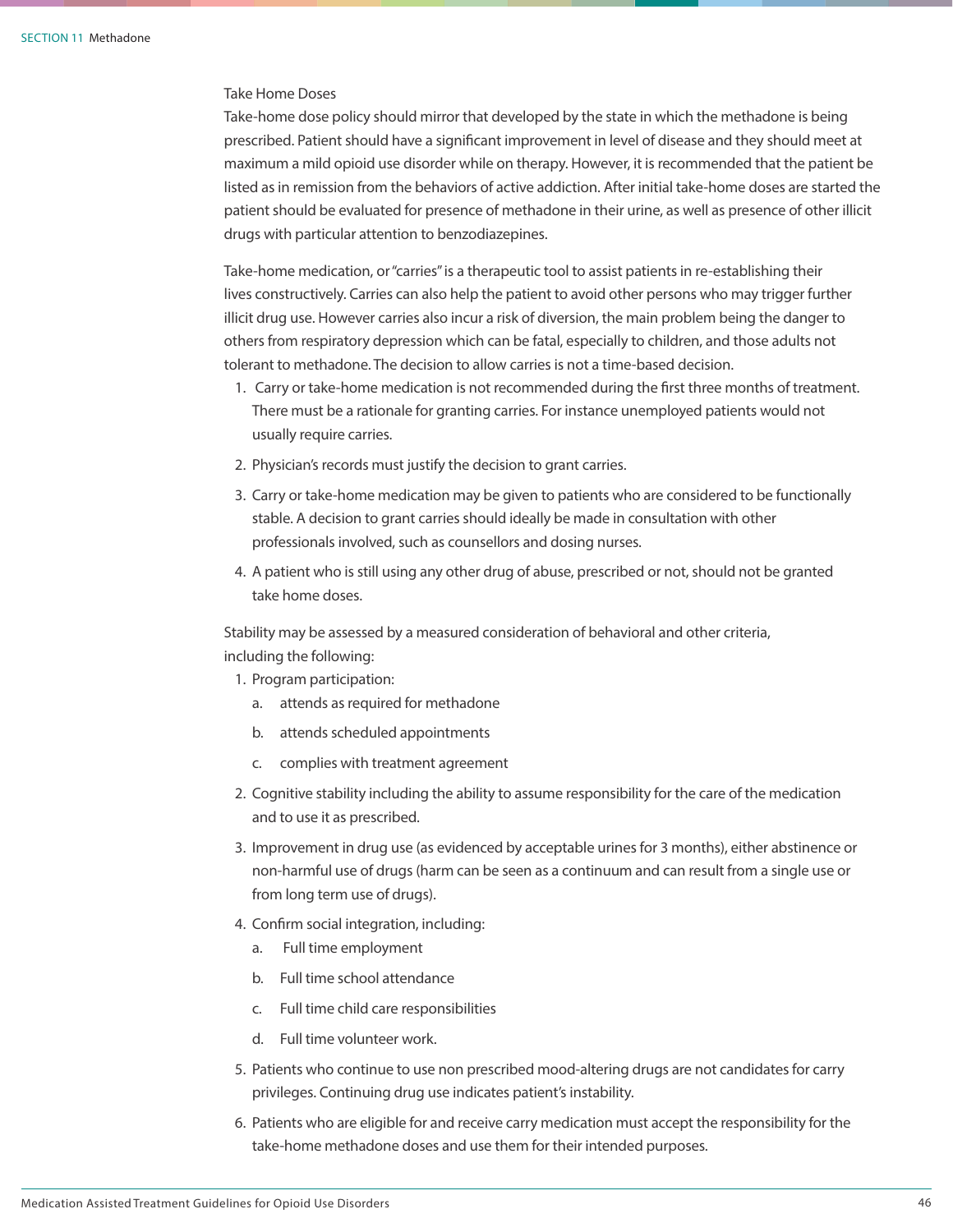### Take Home Doses

Take-home dose policy should mirror that developed by the state in which the methadone is being prescribed. Patient should have a significant improvement in level of disease and they should meet at maximum a mild opioid use disorder while on therapy. However, it is recommended that the patient be listed as in remission from the behaviors of active addiction. After initial take-home doses are started the patient should be evaluated for presence of methadone in their urine, as well as presence of other illicit drugs with particular attention to benzodiazepines.

Take-home medication, or "carries" is a therapeutic tool to assist patients in re-establishing their lives constructively. Carries can also help the patient to avoid other persons who may trigger further illicit drug use. However carries also incur a risk of diversion, the main problem being the danger to others from respiratory depression which can be fatal, especially to children, and those adults not tolerant to methadone. The decision to allow carries is not a time-based decision.

- 1. Carry or take-home medication is not recommended during the first three months of treatment. There must be a rationale for granting carries. For instance unemployed patients would not usually require carries.
- 2. Physician's records must justify the decision to grant carries.
- 3. Carry or take-home medication may be given to patients who are considered to be functionally stable. A decision to grant carries should ideally be made in consultation with other professionals involved, such as counsellors and dosing nurses.
- 4. A patient who is still using any other drug of abuse, prescribed or not, should not be granted take home doses.

Stability may be assessed by a measured consideration of behavioral and other criteria, including the following:

- 1. Program participation:
	- a. attends as required for methadone
	- b. attends scheduled appointments
	- c. complies with treatment agreement
- 2. Cognitive stability including the ability to assume responsibility for the care of the medication and to use it as prescribed.
- 3. Improvement in drug use (as evidenced by acceptable urines for 3 months), either abstinence or non-harmful use of drugs (harm can be seen as a continuum and can result from a single use or from long term use of drugs).
- 4. Confirm social integration, including:
	- a. Full time employment
	- b. Full time school attendance
	- c. Full time child care responsibilities
	- d. Full time volunteer work.
- 5. Patients who continue to use non prescribed mood-altering drugs are not candidates for carry privileges. Continuing drug use indicates patient's instability.
- 6. Patients who are eligible for and receive carry medication must accept the responsibility for the take-home methadone doses and use them for their intended purposes.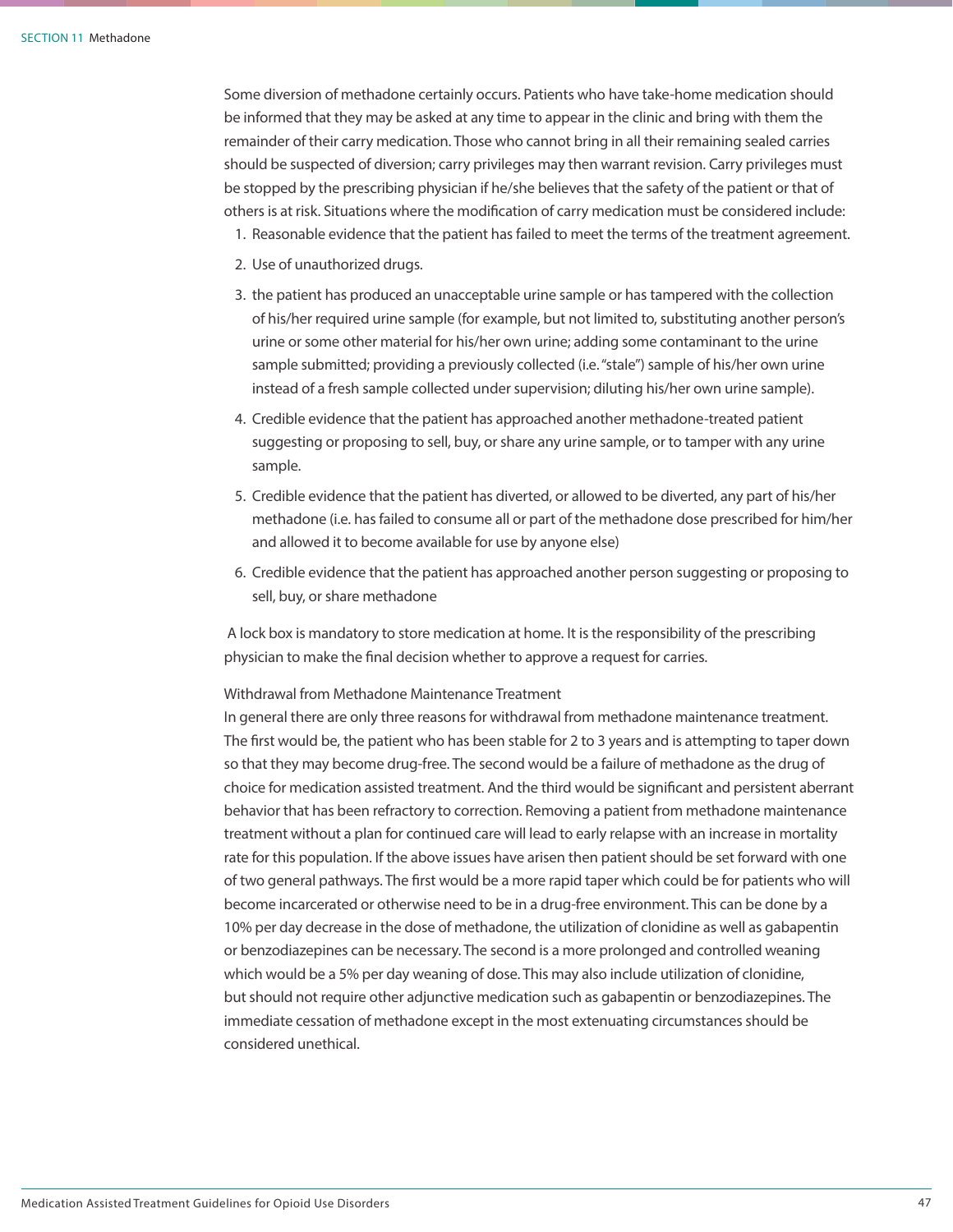Some diversion of methadone certainly occurs. Patients who have take-home medication should be informed that they may be asked at any time to appear in the clinic and bring with them the remainder of their carry medication. Those who cannot bring in all their remaining sealed carries should be suspected of diversion; carry privileges may then warrant revision. Carry privileges must be stopped by the prescribing physician if he/she believes that the safety of the patient or that of others is at risk. Situations where the modification of carry medication must be considered include:

- 1. Reasonable evidence that the patient has failed to meet the terms of the treatment agreement.
- 2. Use of unauthorized drugs.
- 3. the patient has produced an unacceptable urine sample or has tampered with the collection of his/her required urine sample (for example, but not limited to, substituting another person's urine or some other material for his/her own urine; adding some contaminant to the urine sample submitted; providing a previously collected (i.e. "stale") sample of his/her own urine instead of a fresh sample collected under supervision; diluting his/her own urine sample).
- 4. Credible evidence that the patient has approached another methadone-treated patient suggesting or proposing to sell, buy, or share any urine sample, or to tamper with any urine sample.
- 5. Credible evidence that the patient has diverted, or allowed to be diverted, any part of his/her methadone (i.e. has failed to consume all or part of the methadone dose prescribed for him/her and allowed it to become available for use by anyone else)
- 6. Credible evidence that the patient has approached another person suggesting or proposing to sell, buy, or share methadone

 A lock box is mandatory to store medication at home. It is the responsibility of the prescribing physician to make the final decision whether to approve a request for carries.

### Withdrawal from Methadone Maintenance Treatment

In general there are only three reasons for withdrawal from methadone maintenance treatment. The first would be, the patient who has been stable for 2 to 3 years and is attempting to taper down so that they may become drug-free. The second would be a failure of methadone as the drug of choice for medication assisted treatment. And the third would be significant and persistent aberrant behavior that has been refractory to correction. Removing a patient from methadone maintenance treatment without a plan for continued care will lead to early relapse with an increase in mortality rate for this population. If the above issues have arisen then patient should be set forward with one of two general pathways. The first would be a more rapid taper which could be for patients who will become incarcerated or otherwise need to be in a drug-free environment. This can be done by a 10% per day decrease in the dose of methadone, the utilization of clonidine as well as gabapentin or benzodiazepines can be necessary. The second is a more prolonged and controlled weaning which would be a 5% per day weaning of dose. This may also include utilization of clonidine, but should not require other adjunctive medication such as gabapentin or benzodiazepines. The immediate cessation of methadone except in the most extenuating circumstances should be considered unethical.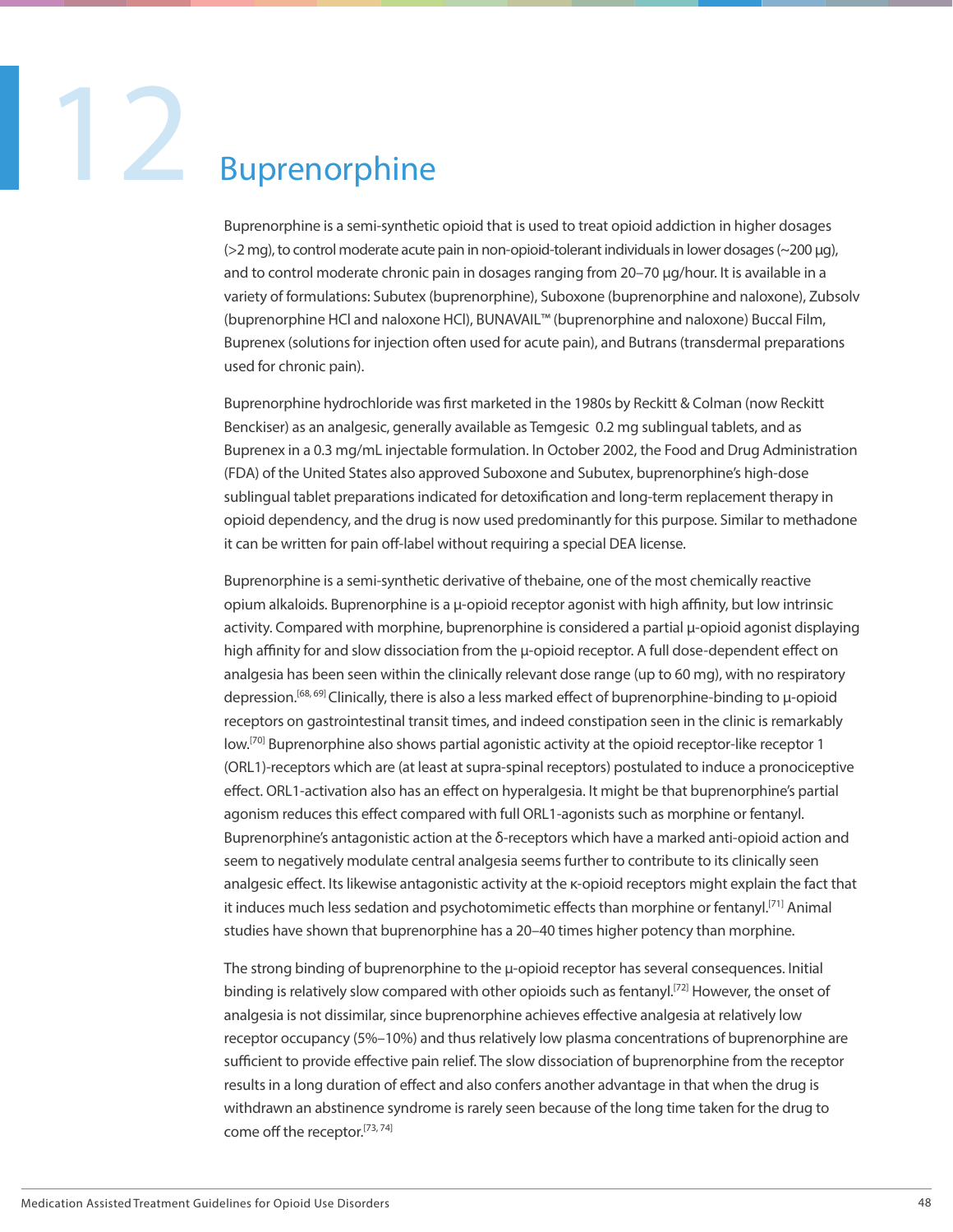### **Buprenorphine**

Buprenorphine is a semi-synthetic opioid that is used to treat opioid addiction in higher dosages (>2 mg), to control moderate acute pain in non-opioid-tolerant individuals in lower dosages (~200 µg), and to control moderate chronic pain in dosages ranging from 20–70 µg/hour. It is available in a variety of formulations: Subutex (buprenorphine), Suboxone (buprenorphine and naloxone), Zubsolv (buprenorphine HCl and naloxone HCl), BUNAVAIL™ (buprenorphine and naloxone) Buccal Film, Buprenex (solutions for injection often used for acute pain), and Butrans (transdermal preparations used for chronic pain).

Buprenorphine hydrochloride was first marketed in the 1980s by Reckitt & Colman (now Reckitt Benckiser) as an analgesic, generally available as Temgesic 0.2 mg sublingual tablets, and as Buprenex in a 0.3 mg/mL injectable formulation. In October 2002, the Food and Drug Administration (FDA) of the United States also approved Suboxone and Subutex, buprenorphine's high-dose sublingual tablet preparations indicated for detoxification and long-term replacement therapy in opioid dependency, and the drug is now used predominantly for this purpose. Similar to methadone it can be written for pain off-label without requiring a special DEA license.

Buprenorphine is a semi-synthetic derivative of thebaine, one of the most chemically reactive opium alkaloids. Buprenorphine is a μ-opioid receptor agonist with high affinity, but low intrinsic activity. Compared with morphine, buprenorphine is considered a partial μ-opioid agonist displaying high affinity for and slow dissociation from the μ-opioid receptor. A full dose-dependent effect on analgesia has been seen within the clinically relevant dose range (up to 60 mg), with no respiratory depression.[68, 69] Clinically, there is also a less marked effect of buprenorphine-binding to μ-opioid receptors on gastrointestinal transit times, and indeed constipation seen in the clinic is remarkably low.<sup>[70]</sup> Buprenorphine also shows partial agonistic activity at the opioid receptor-like receptor 1 (ORL1)-receptors which are (at least at supra-spinal receptors) postulated to induce a pronociceptive effect. ORL1-activation also has an effect on hyperalgesia. It might be that buprenorphine's partial agonism reduces this effect compared with full ORL1-agonists such as morphine or fentanyl. Buprenorphine's antagonistic action at the δ-receptors which have a marked anti-opioid action and seem to negatively modulate central analgesia seems further to contribute to its clinically seen analgesic effect. Its likewise antagonistic activity at the κ-opioid receptors might explain the fact that it induces much less sedation and psychotomimetic effects than morphine or fentanyl.<sup>[71]</sup> Animal studies have shown that buprenorphine has a 20–40 times higher potency than morphine.

The strong binding of buprenorphine to the μ-opioid receptor has several consequences. Initial binding is relatively slow compared with other opioids such as fentanyl.<sup>[72]</sup> However, the onset of analgesia is not dissimilar, since buprenorphine achieves effective analgesia at relatively low receptor occupancy (5%–10%) and thus relatively low plasma concentrations of buprenorphine are sufficient to provide effective pain relief. The slow dissociation of buprenorphine from the receptor results in a long duration of effect and also confers another advantage in that when the drug is withdrawn an abstinence syndrome is rarely seen because of the long time taken for the drug to come off the receptor.<sup>[73, 74]</sup>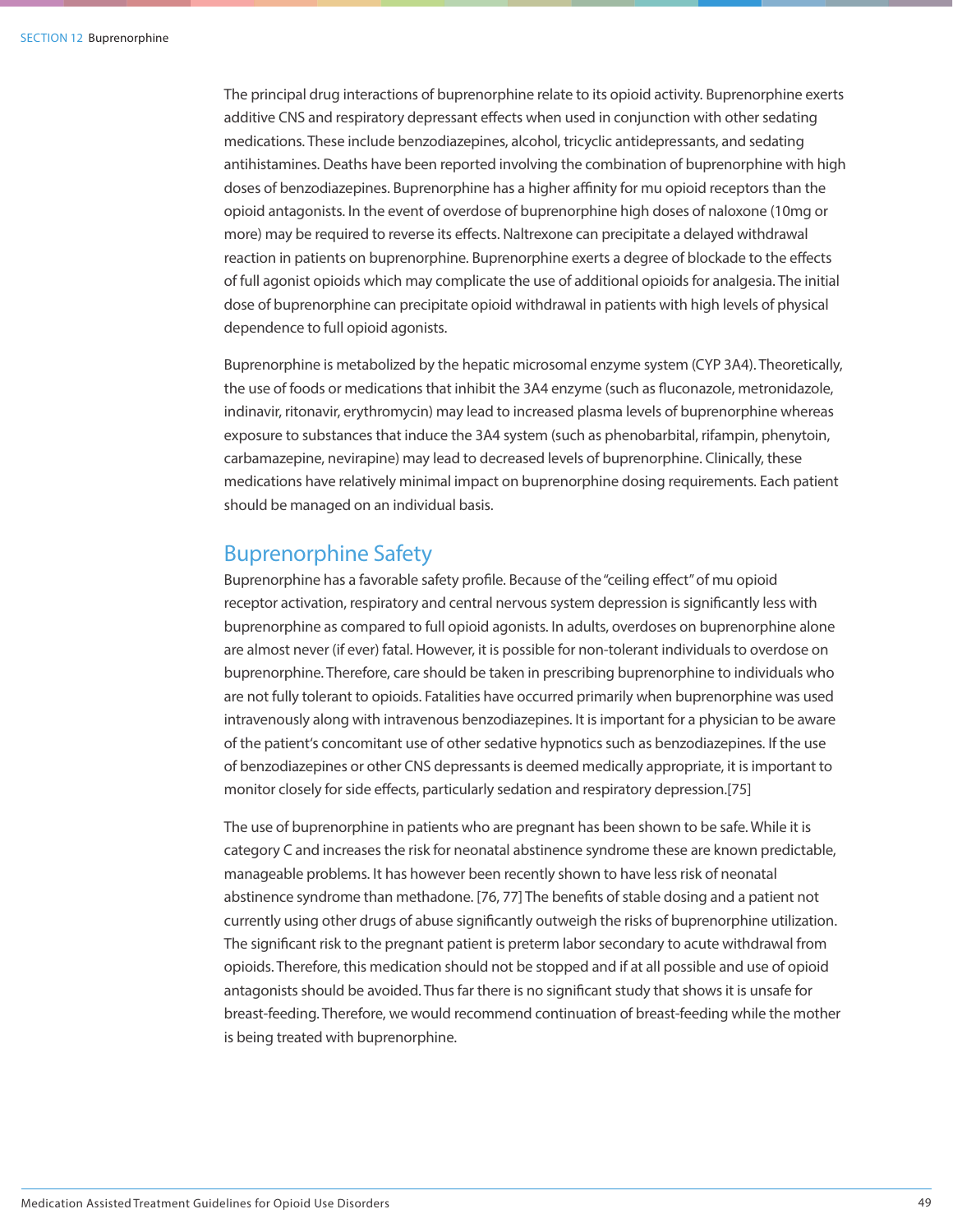The principal drug interactions of buprenorphine relate to its opioid activity. Buprenorphine exerts additive CNS and respiratory depressant effects when used in conjunction with other sedating medications. These include benzodiazepines, alcohol, tricyclic antidepressants, and sedating antihistamines. Deaths have been reported involving the combination of buprenorphine with high doses of benzodiazepines. Buprenorphine has a higher affinity for mu opioid receptors than the opioid antagonists. In the event of overdose of buprenorphine high doses of naloxone (10mg or more) may be required to reverse its effects. Naltrexone can precipitate a delayed withdrawal reaction in patients on buprenorphine. Buprenorphine exerts a degree of blockade to the effects of full agonist opioids which may complicate the use of additional opioids for analgesia. The initial dose of buprenorphine can precipitate opioid withdrawal in patients with high levels of physical dependence to full opioid agonists.

Buprenorphine is metabolized by the hepatic microsomal enzyme system (CYP 3A4). Theoretically, the use of foods or medications that inhibit the 3A4 enzyme (such as fluconazole, metronidazole, indinavir, ritonavir, erythromycin) may lead to increased plasma levels of buprenorphine whereas exposure to substances that induce the 3A4 system (such as phenobarbital, rifampin, phenytoin, carbamazepine, nevirapine) may lead to decreased levels of buprenorphine. Clinically, these medications have relatively minimal impact on buprenorphine dosing requirements. Each patient should be managed on an individual basis.

### Buprenorphine Safety

Buprenorphine has a favorable safety profile. Because of the "ceiling effect" of mu opioid receptor activation, respiratory and central nervous system depression is significantly less with buprenorphine as compared to full opioid agonists. In adults, overdoses on buprenorphine alone are almost never (if ever) fatal. However, it is possible for non-tolerant individuals to overdose on buprenorphine. Therefore, care should be taken in prescribing buprenorphine to individuals who are not fully tolerant to opioids. Fatalities have occurred primarily when buprenorphine was used intravenously along with intravenous benzodiazepines. It is important for a physician to be aware of the patient's concomitant use of other sedative hypnotics such as benzodiazepines. If the use of benzodiazepines or other CNS depressants is deemed medically appropriate, it is important to monitor closely for side effects, particularly sedation and respiratory depression.[75]

The use of buprenorphine in patients who are pregnant has been shown to be safe. While it is category C and increases the risk for neonatal abstinence syndrome these are known predictable, manageable problems. It has however been recently shown to have less risk of neonatal abstinence syndrome than methadone. [76, 77] The benefits of stable dosing and a patient not currently using other drugs of abuse significantly outweigh the risks of buprenorphine utilization. The significant risk to the pregnant patient is preterm labor secondary to acute withdrawal from opioids. Therefore, this medication should not be stopped and if at all possible and use of opioid antagonists should be avoided. Thus far there is no significant study that shows it is unsafe for breast-feeding. Therefore, we would recommend continuation of breast-feeding while the mother is being treated with buprenorphine.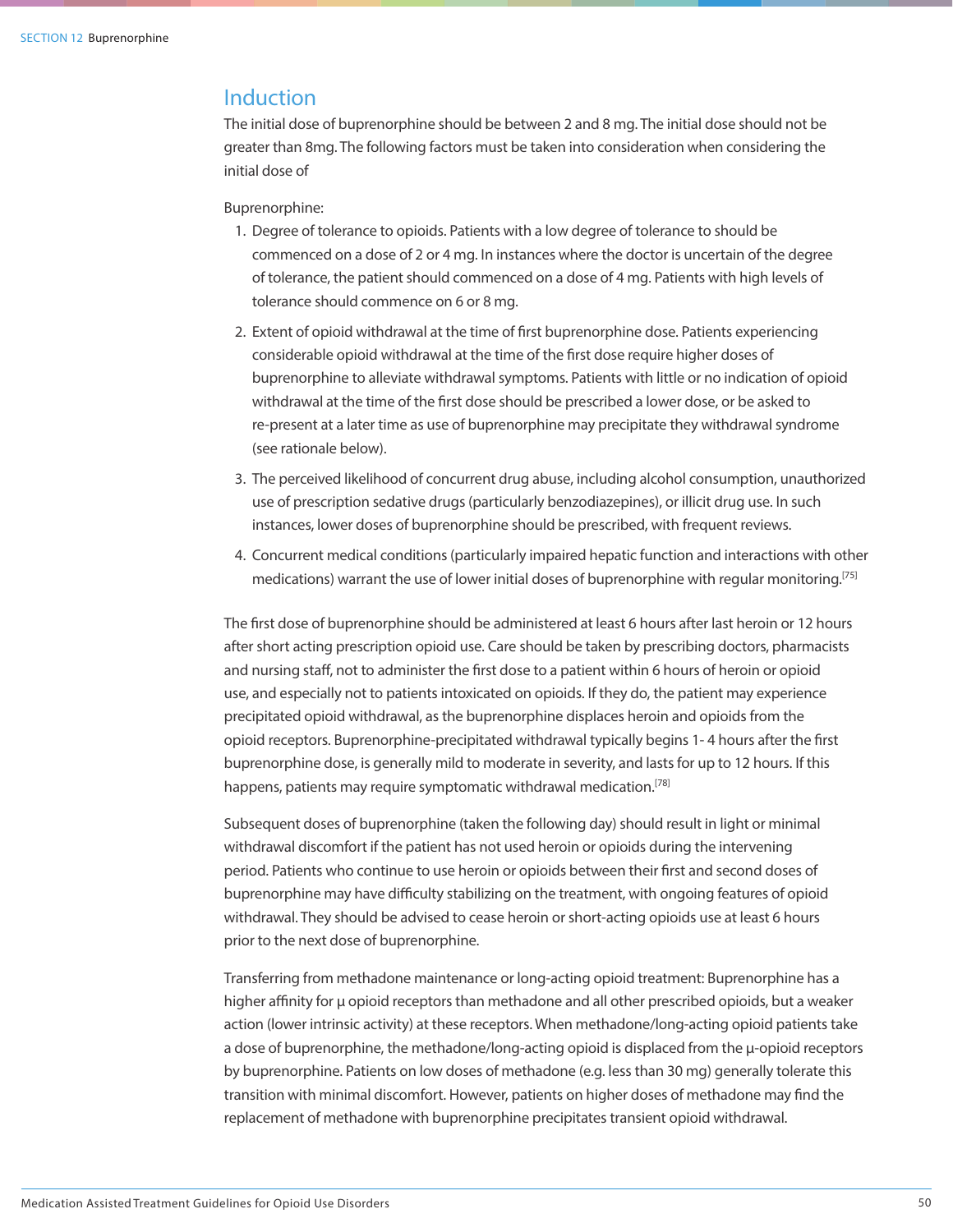### Induction

The initial dose of buprenorphine should be between 2 and 8 mg. The initial dose should not be greater than 8mg. The following factors must be taken into consideration when considering the initial dose of

### Buprenorphine:

- 1. Degree of tolerance to opioids. Patients with a low degree of tolerance to should be commenced on a dose of 2 or 4 mg. In instances where the doctor is uncertain of the degree of tolerance, the patient should commenced on a dose of 4 mg. Patients with high levels of tolerance should commence on 6 or 8 mg.
- 2. Extent of opioid withdrawal at the time of first buprenorphine dose. Patients experiencing considerable opioid withdrawal at the time of the first dose require higher doses of buprenorphine to alleviate withdrawal symptoms. Patients with little or no indication of opioid withdrawal at the time of the first dose should be prescribed a lower dose, or be asked to re-present at a later time as use of buprenorphine may precipitate they withdrawal syndrome (see rationale below).
- 3. The perceived likelihood of concurrent drug abuse, including alcohol consumption, unauthorized use of prescription sedative drugs (particularly benzodiazepines), or illicit drug use. In such instances, lower doses of buprenorphine should be prescribed, with frequent reviews.
- 4. Concurrent medical conditions (particularly impaired hepatic function and interactions with other medications) warrant the use of lower initial doses of buprenorphine with regular monitoring.<sup>[75]</sup>

The first dose of buprenorphine should be administered at least 6 hours after last heroin or 12 hours after short acting prescription opioid use. Care should be taken by prescribing doctors, pharmacists and nursing staff, not to administer the first dose to a patient within 6 hours of heroin or opioid use, and especially not to patients intoxicated on opioids. If they do, the patient may experience precipitated opioid withdrawal, as the buprenorphine displaces heroin and opioids from the opioid receptors. Buprenorphine-precipitated withdrawal typically begins 1- 4 hours after the first buprenorphine dose, is generally mild to moderate in severity, and lasts for up to 12 hours. If this happens, patients may require symptomatic withdrawal medication.<sup>[78]</sup>

Subsequent doses of buprenorphine (taken the following day) should result in light or minimal withdrawal discomfort if the patient has not used heroin or opioids during the intervening period. Patients who continue to use heroin or opioids between their first and second doses of buprenorphine may have difficulty stabilizing on the treatment, with ongoing features of opioid withdrawal. They should be advised to cease heroin or short-acting opioids use at least 6 hours prior to the next dose of buprenorphine.

Transferring from methadone maintenance or long-acting opioid treatment: Buprenorphine has a higher affinity for μ opioid receptors than methadone and all other prescribed opioids, but a weaker action (lower intrinsic activity) at these receptors. When methadone/long-acting opioid patients take a dose of buprenorphine, the methadone/long-acting opioid is displaced from the μ-opioid receptors by buprenorphine. Patients on low doses of methadone (e.g. less than 30 mg) generally tolerate this transition with minimal discomfort. However, patients on higher doses of methadone may find the replacement of methadone with buprenorphine precipitates transient opioid withdrawal.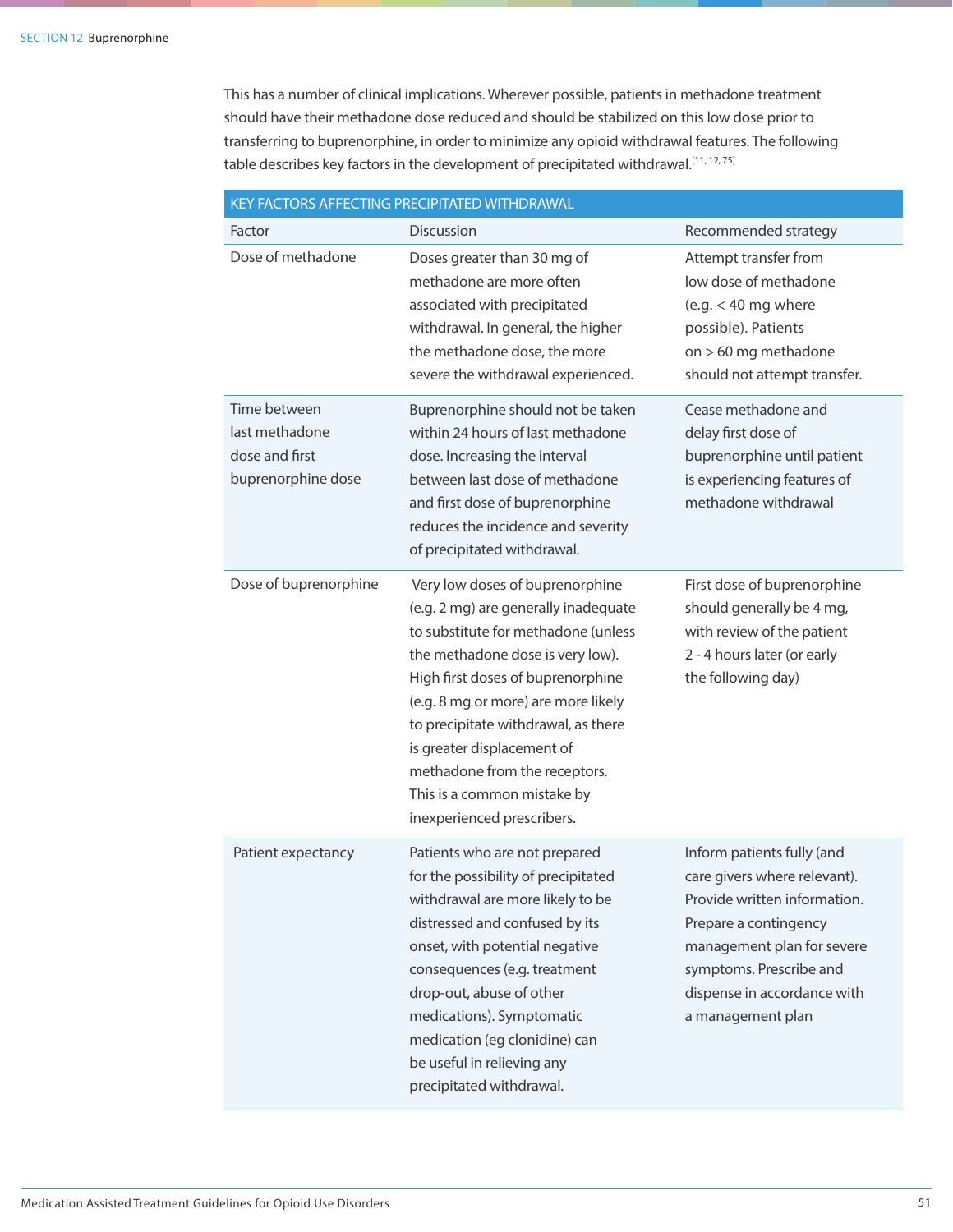This has a number of clinical implications. Wherever possible, patients in methadone treatment should have their methadone dose reduced and should be stabilized on this low dose prior to transferring to buprenorphine, in order to minimize any opioid withdrawal features. The following table describes key factors in the development of precipitated withdrawal.<sup>[11, 12, 75]</sup>

| KEY FACTORS AFFECTING PRECIPITATED WITHDRAWAL                          |                                                                                                                                                                                                                                                                                                                                                                                                   |                                                                                                                                                                                                                                  |  |  |  |  |  |
|------------------------------------------------------------------------|---------------------------------------------------------------------------------------------------------------------------------------------------------------------------------------------------------------------------------------------------------------------------------------------------------------------------------------------------------------------------------------------------|----------------------------------------------------------------------------------------------------------------------------------------------------------------------------------------------------------------------------------|--|--|--|--|--|
| Factor                                                                 | Discussion                                                                                                                                                                                                                                                                                                                                                                                        | Recommended strategy                                                                                                                                                                                                             |  |  |  |  |  |
| Dose of methadone                                                      | Doses greater than 30 mg of<br>methadone are more often<br>associated with precipitated<br>withdrawal. In general, the higher<br>the methadone dose, the more<br>severe the withdrawal experienced.                                                                                                                                                                                               | Attempt transfer from<br>low dose of methadone<br>(e.g. $<$ 40 mg where<br>possible). Patients<br>on > 60 mg methadone<br>should not attempt transfer.                                                                           |  |  |  |  |  |
| Time between<br>last methadone<br>dose and first<br>buprenorphine dose | Buprenorphine should not be taken<br>within 24 hours of last methadone<br>dose. Increasing the interval<br>between last dose of methadone<br>and first dose of buprenorphine<br>reduces the incidence and severity<br>of precipitated withdrawal.                                                                                                                                                 | Cease methadone and<br>delay first dose of<br>buprenorphine until patient<br>is experiencing features of<br>methadone withdrawal                                                                                                 |  |  |  |  |  |
| Dose of buprenorphine                                                  | Very low doses of buprenorphine<br>(e.g. 2 mg) are generally inadequate<br>to substitute for methadone (unless<br>the methadone dose is very low).<br>High first doses of buprenorphine<br>(e.g. 8 mg or more) are more likely<br>to precipitate withdrawal, as there<br>is greater displacement of<br>methadone from the receptors.<br>This is a common mistake by<br>inexperienced prescribers. | First dose of buprenorphine<br>should generally be 4 mg,<br>with review of the patient<br>2 - 4 hours later (or early<br>the following day)                                                                                      |  |  |  |  |  |
| Patient expectancy                                                     | Patients who are not prepared<br>for the possibility of precipitated<br>withdrawal are more likely to be<br>distressed and confused by its<br>onset, with potential negative<br>consequences (e.g. treatment<br>drop-out, abuse of other<br>medications). Symptomatic<br>medication (eg clonidine) can<br>be useful in relieving any<br>precipitated withdrawal.                                  | Inform patients fully (and<br>care givers where relevant).<br>Provide written information.<br>Prepare a contingency<br>management plan for severe<br>symptoms. Prescribe and<br>dispense in accordance with<br>a management plan |  |  |  |  |  |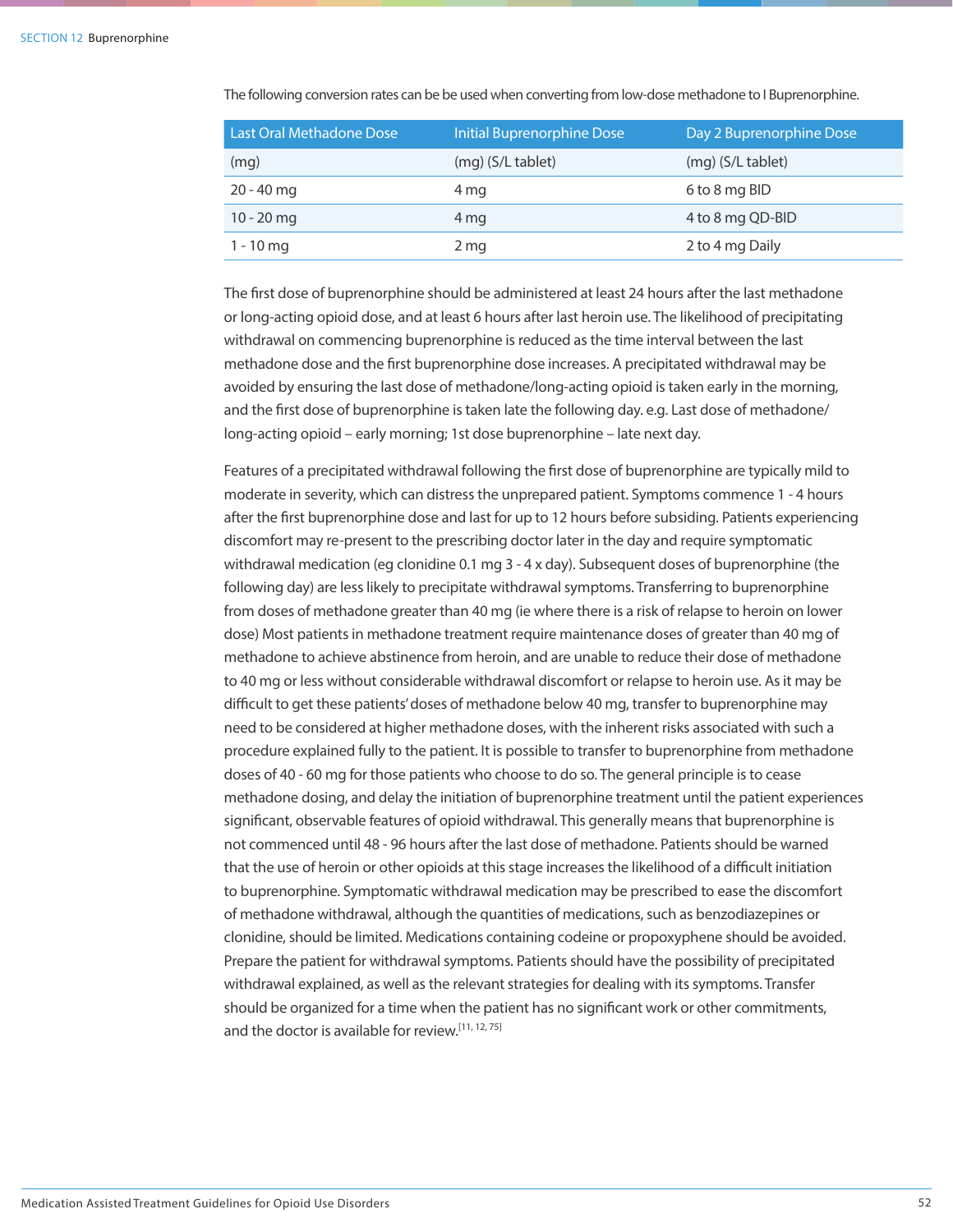The following conversion rates can be be used when converting from low-dose methadone to I Buprenorphine.

| Last Oral Methadone Dose | Initial Buprenorphine Dose | Day 2 Buprenorphine Dose |
|--------------------------|----------------------------|--------------------------|
| (mg)                     | (mg) (S/L tablet)          | $(mq)$ (S/L tablet)      |
| $20 - 40$ mg             | 4 mg                       | 6 to 8 mg BID            |
| 10 - 20 mg               | 4 mg                       | 4 to 8 mg QD-BID         |
| $1 - 10$ mg              | 2 mg                       | 2 to 4 mg Daily          |

The first dose of buprenorphine should be administered at least 24 hours after the last methadone or long-acting opioid dose, and at least 6 hours after last heroin use. The likelihood of precipitating withdrawal on commencing buprenorphine is reduced as the time interval between the last methadone dose and the first buprenorphine dose increases. A precipitated withdrawal may be avoided by ensuring the last dose of methadone/long-acting opioid is taken early in the morning, and the first dose of buprenorphine is taken late the following day. e.g. Last dose of methadone/ long-acting opioid – early morning; 1st dose buprenorphine – late next day.

Features of a precipitated withdrawal following the first dose of buprenorphine are typically mild to moderate in severity, which can distress the unprepared patient. Symptoms commence 1 - 4 hours after the first buprenorphine dose and last for up to 12 hours before subsiding. Patients experiencing discomfort may re-present to the prescribing doctor later in the day and require symptomatic withdrawal medication (eg clonidine 0.1 mg 3 - 4 x day). Subsequent doses of buprenorphine (the following day) are less likely to precipitate withdrawal symptoms. Transferring to buprenorphine from doses of methadone greater than 40 mg (ie where there is a risk of relapse to heroin on lower dose) Most patients in methadone treatment require maintenance doses of greater than 40 mg of methadone to achieve abstinence from heroin, and are unable to reduce their dose of methadone to 40 mg or less without considerable withdrawal discomfort or relapse to heroin use. As it may be difficult to get these patients' doses of methadone below 40 mg, transfer to buprenorphine may need to be considered at higher methadone doses, with the inherent risks associated with such a procedure explained fully to the patient. It is possible to transfer to buprenorphine from methadone doses of 40 - 60 mg for those patients who choose to do so. The general principle is to cease methadone dosing, and delay the initiation of buprenorphine treatment until the patient experiences significant, observable features of opioid withdrawal. This generally means that buprenorphine is not commenced until 48 - 96 hours after the last dose of methadone. Patients should be warned that the use of heroin or other opioids at this stage increases the likelihood of a difficult initiation to buprenorphine. Symptomatic withdrawal medication may be prescribed to ease the discomfort of methadone withdrawal, although the quantities of medications, such as benzodiazepines or clonidine, should be limited. Medications containing codeine or propoxyphene should be avoided. Prepare the patient for withdrawal symptoms. Patients should have the possibility of precipitated withdrawal explained, as well as the relevant strategies for dealing with its symptoms. Transfer should be organized for a time when the patient has no significant work or other commitments, and the doctor is available for review.<sup>[11, 12, 75]</sup>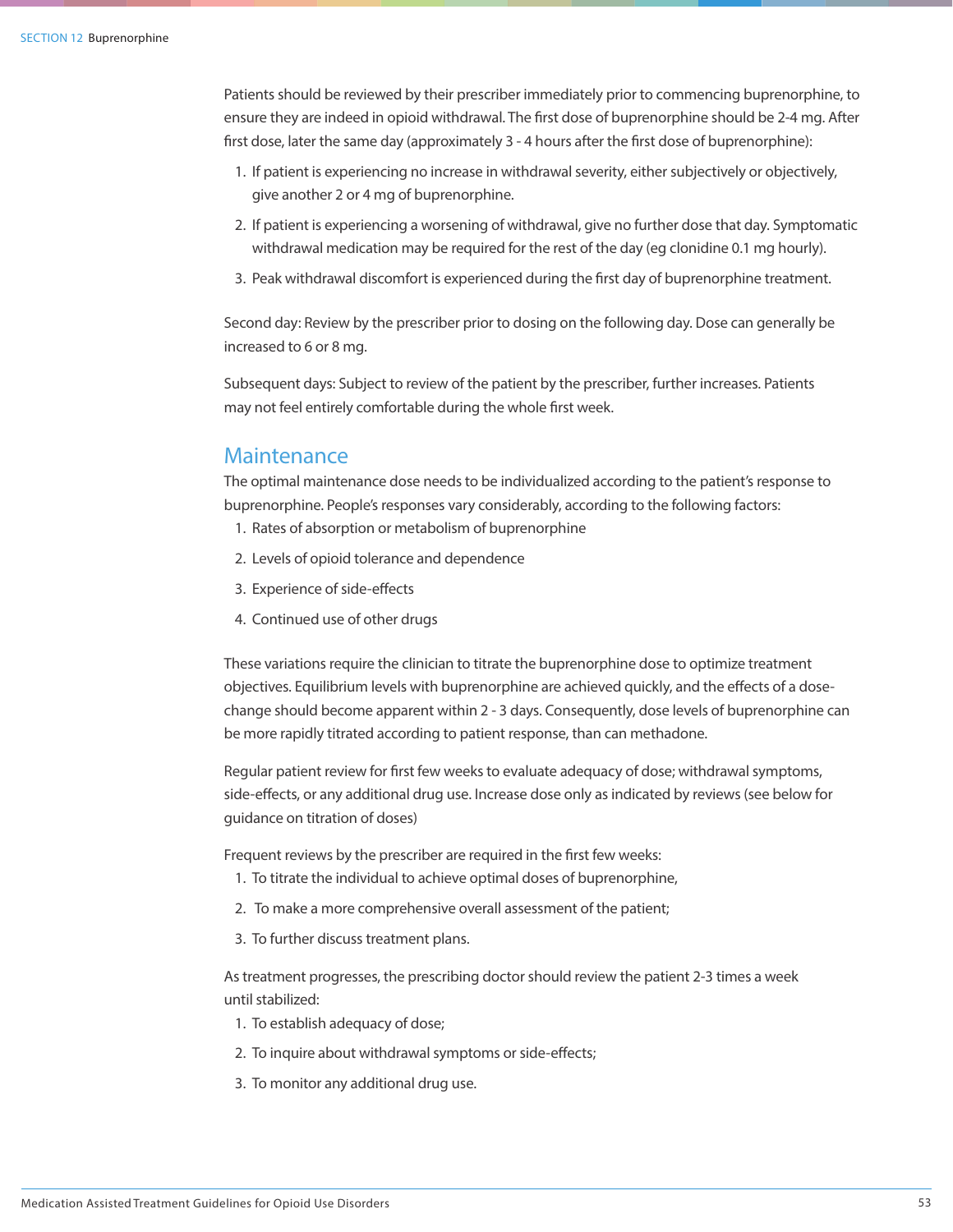Patients should be reviewed by their prescriber immediately prior to commencing buprenorphine, to ensure they are indeed in opioid withdrawal. The first dose of buprenorphine should be 2-4 mg. After first dose, later the same day (approximately 3 - 4 hours after the first dose of buprenorphine):

- 1. If patient is experiencing no increase in withdrawal severity, either subjectively or objectively, give another 2 or 4 mg of buprenorphine.
- 2. If patient is experiencing a worsening of withdrawal, give no further dose that day. Symptomatic withdrawal medication may be required for the rest of the day (eg clonidine 0.1 mg hourly).
- 3. Peak withdrawal discomfort is experienced during the first day of buprenorphine treatment.

Second day: Review by the prescriber prior to dosing on the following day. Dose can generally be increased to 6 or 8 mg.

Subsequent days: Subject to review of the patient by the prescriber, further increases. Patients may not feel entirely comfortable during the whole first week.

### **Maintenance**

The optimal maintenance dose needs to be individualized according to the patient's response to buprenorphine. People's responses vary considerably, according to the following factors:

- 1. Rates of absorption or metabolism of buprenorphine
- 2. Levels of opioid tolerance and dependence
- 3. Experience of side-effects
- 4. Continued use of other drugs

These variations require the clinician to titrate the buprenorphine dose to optimize treatment objectives. Equilibrium levels with buprenorphine are achieved quickly, and the effects of a dosechange should become apparent within 2 - 3 days. Consequently, dose levels of buprenorphine can be more rapidly titrated according to patient response, than can methadone.

Regular patient review for first few weeks to evaluate adequacy of dose; withdrawal symptoms, side-effects, or any additional drug use. Increase dose only as indicated by reviews (see below for guidance on titration of doses)

Frequent reviews by the prescriber are required in the first few weeks:

- 1. To titrate the individual to achieve optimal doses of buprenorphine,
- 2. To make a more comprehensive overall assessment of the patient;
- 3. To further discuss treatment plans.

As treatment progresses, the prescribing doctor should review the patient 2-3 times a week until stabilized:

- 1. To establish adequacy of dose;
- 2. To inquire about withdrawal symptoms or side-effects;
- 3. To monitor any additional drug use.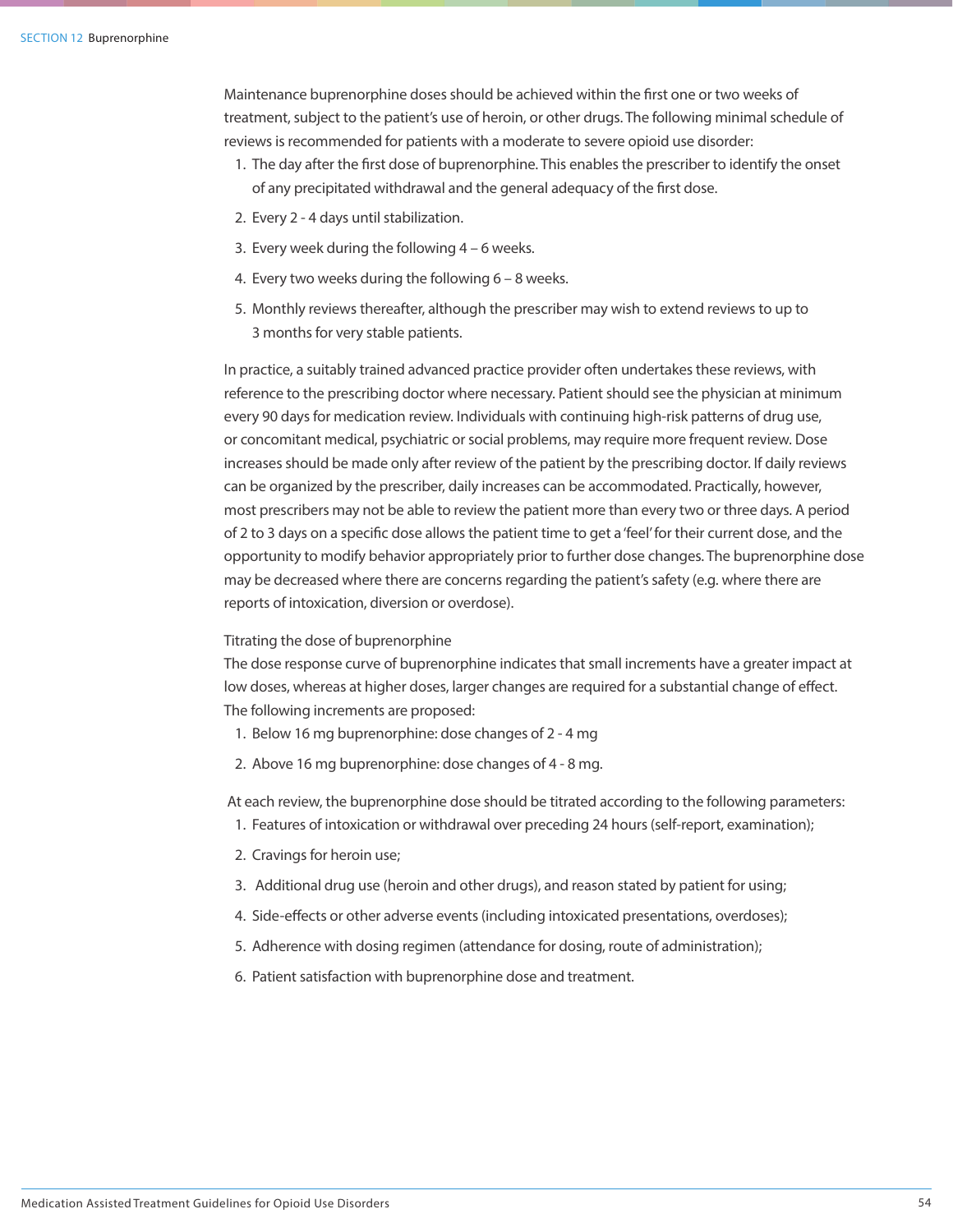### SECTION 12 Buprenorphine

Maintenance buprenorphine doses should be achieved within the first one or two weeks of treatment, subject to the patient's use of heroin, or other drugs. The following minimal schedule of reviews is recommended for patients with a moderate to severe opioid use disorder:

- 1. The day after the first dose of buprenorphine. This enables the prescriber to identify the onset of any precipitated withdrawal and the general adequacy of the first dose.
- 2. Every 2 4 days until stabilization.
- 3. Every week during the following 4 6 weeks.
- 4. Every two weeks during the following 6 8 weeks.
- 5. Monthly reviews thereafter, although the prescriber may wish to extend reviews to up to 3 months for very stable patients.

In practice, a suitably trained advanced practice provider often undertakes these reviews, with reference to the prescribing doctor where necessary. Patient should see the physician at minimum every 90 days for medication review. Individuals with continuing high-risk patterns of drug use, or concomitant medical, psychiatric or social problems, may require more frequent review. Dose increases should be made only after review of the patient by the prescribing doctor. If daily reviews can be organized by the prescriber, daily increases can be accommodated. Practically, however, most prescribers may not be able to review the patient more than every two or three days. A period of 2 to 3 days on a specific dose allows the patient time to get a 'feel' for their current dose, and the opportunity to modify behavior appropriately prior to further dose changes. The buprenorphine dose may be decreased where there are concerns regarding the patient's safety (e.g. where there are reports of intoxication, diversion or overdose).

### Titrating the dose of buprenorphine

The dose response curve of buprenorphine indicates that small increments have a greater impact at low doses, whereas at higher doses, larger changes are required for a substantial change of effect. The following increments are proposed:

- 1. Below 16 mg buprenorphine: dose changes of 2 4 mg
- 2. Above 16 mg buprenorphine: dose changes of 4 8 mg.

At each review, the buprenorphine dose should be titrated according to the following parameters:

- 1. Features of intoxication or withdrawal over preceding 24 hours (self-report, examination);
- 2. Cravings for heroin use;
- 3. Additional drug use (heroin and other drugs), and reason stated by patient for using;
- 4. Side-effects or other adverse events (including intoxicated presentations, overdoses);
- 5. Adherence with dosing regimen (attendance for dosing, route of administration);
- 6. Patient satisfaction with buprenorphine dose and treatment.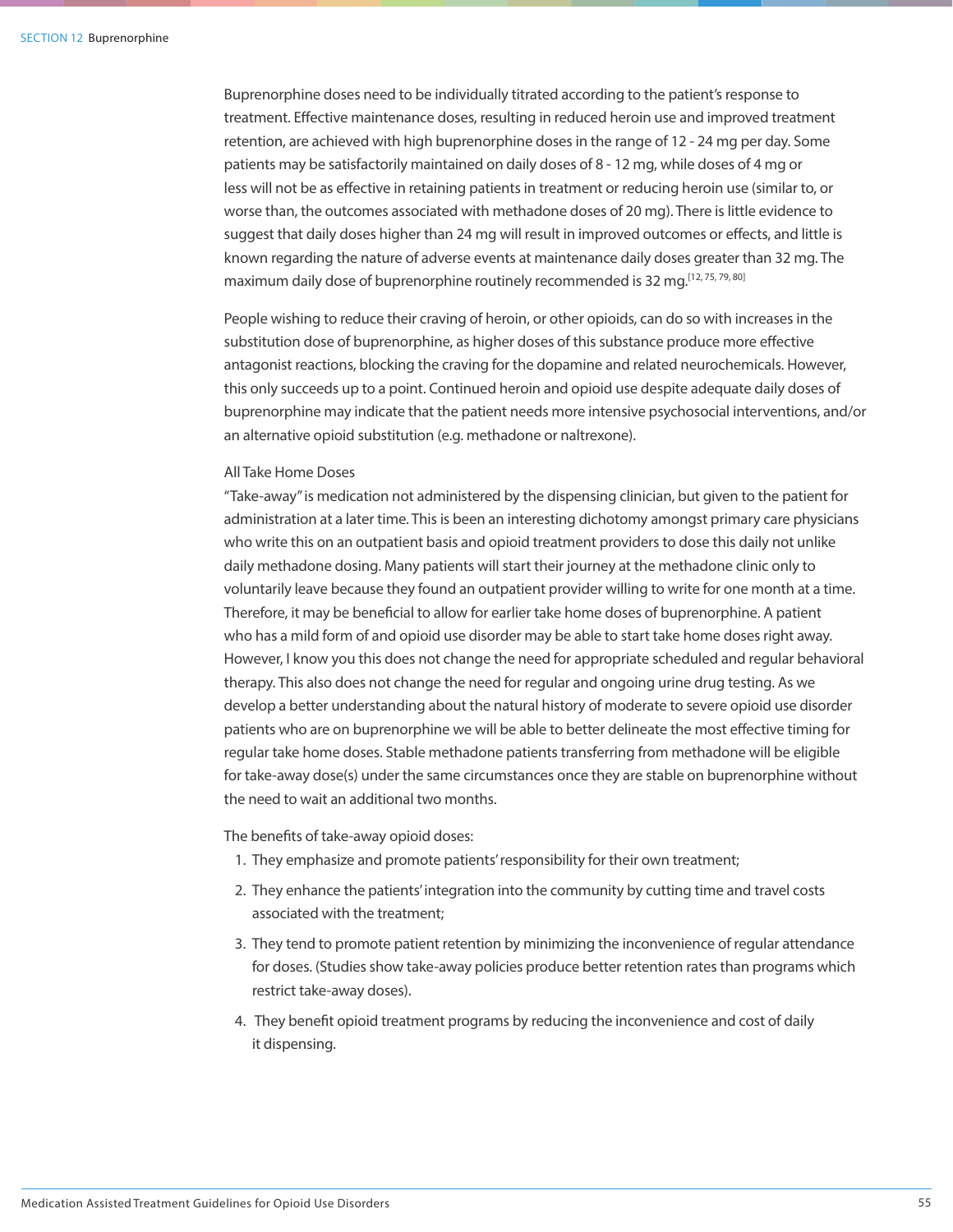Buprenorphine doses need to be individually titrated according to the patient's response to treatment. Effective maintenance doses, resulting in reduced heroin use and improved treatment retention, are achieved with high buprenorphine doses in the range of 12 - 24 mg per day. Some patients may be satisfactorily maintained on daily doses of 8 - 12 mg, while doses of 4 mg or less will not be as effective in retaining patients in treatment or reducing heroin use (similar to, or worse than, the outcomes associated with methadone doses of 20 mg). There is little evidence to suggest that daily doses higher than 24 mg will result in improved outcomes or effects, and little is known regarding the nature of adverse events at maintenance daily doses greater than 32 mg. The maximum daily dose of buprenorphine routinely recommended is 32 mg.<sup>[12, 75, 79, 80]</sup>

People wishing to reduce their craving of heroin, or other opioids, can do so with increases in the substitution dose of buprenorphine, as higher doses of this substance produce more effective antagonist reactions, blocking the craving for the dopamine and related neurochemicals. However, this only succeeds up to a point. Continued heroin and opioid use despite adequate daily doses of buprenorphine may indicate that the patient needs more intensive psychosocial interventions, and/or an alternative opioid substitution (e.g. methadone or naltrexone).

### All Take Home Doses

"Take-away" is medication not administered by the dispensing clinician, but given to the patient for administration at a later time. This is been an interesting dichotomy amongst primary care physicians who write this on an outpatient basis and opioid treatment providers to dose this daily not unlike daily methadone dosing. Many patients will start their journey at the methadone clinic only to voluntarily leave because they found an outpatient provider willing to write for one month at a time. Therefore, it may be beneficial to allow for earlier take home doses of buprenorphine. A patient who has a mild form of and opioid use disorder may be able to start take home doses right away. However, I know you this does not change the need for appropriate scheduled and regular behavioral therapy. This also does not change the need for regular and ongoing urine drug testing. As we develop a better understanding about the natural history of moderate to severe opioid use disorder patients who are on buprenorphine we will be able to better delineate the most effective timing for regular take home doses. Stable methadone patients transferring from methadone will be eligible for take-away dose(s) under the same circumstances once they are stable on buprenorphine without the need to wait an additional two months.

The benefits of take-away opioid doses:

- 1. They emphasize and promote patients' responsibility for their own treatment;
- 2. They enhance the patients' integration into the community by cutting time and travel costs associated with the treatment;
- 3. They tend to promote patient retention by minimizing the inconvenience of regular attendance for doses. (Studies show take-away policies produce better retention rates than programs which restrict take-away doses).
- 4. They benefit opioid treatment programs by reducing the inconvenience and cost of daily it dispensing.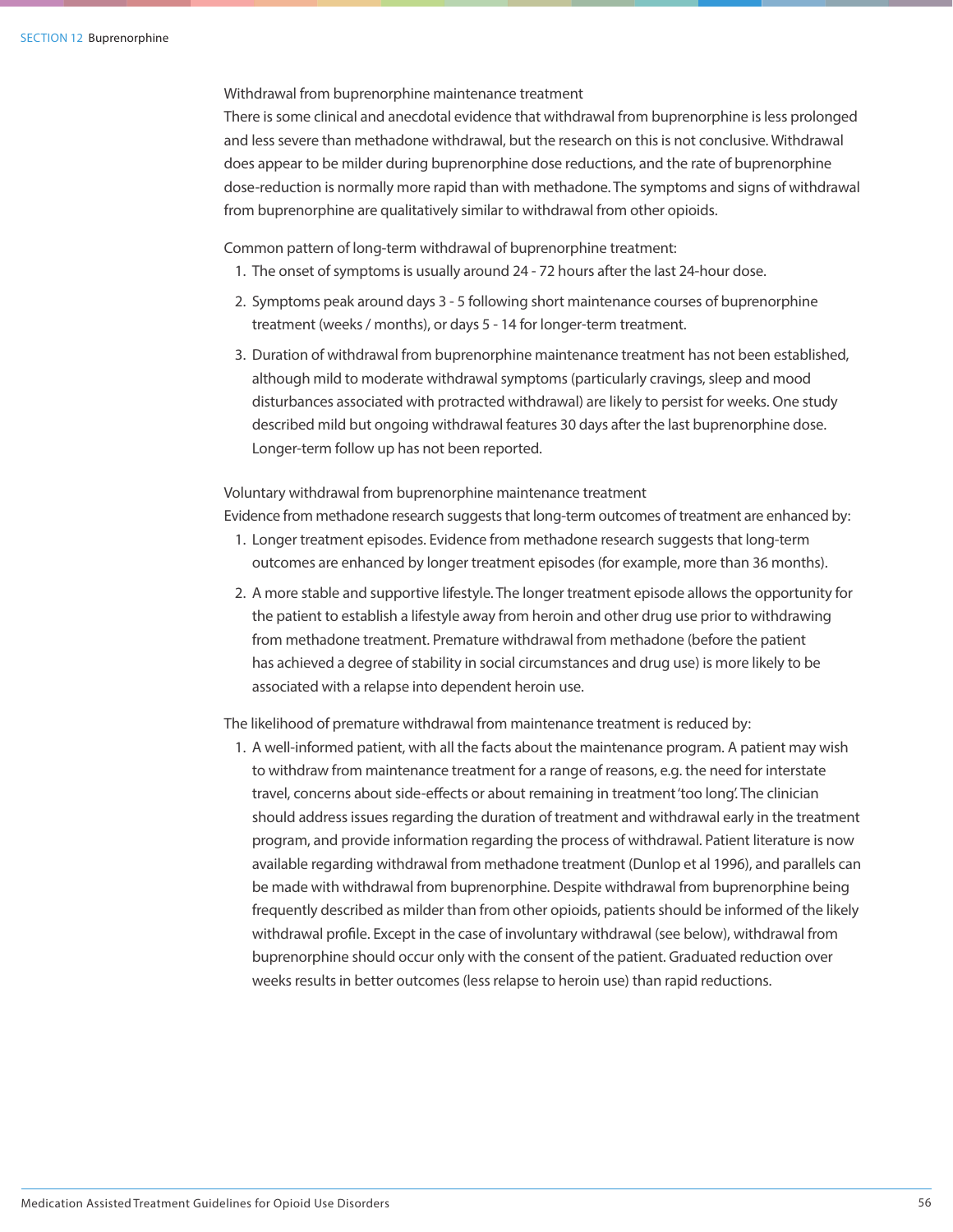Withdrawal from buprenorphine maintenance treatment

There is some clinical and anecdotal evidence that withdrawal from buprenorphine is less prolonged and less severe than methadone withdrawal, but the research on this is not conclusive. Withdrawal does appear to be milder during buprenorphine dose reductions, and the rate of buprenorphine dose-reduction is normally more rapid than with methadone. The symptoms and signs of withdrawal from buprenorphine are qualitatively similar to withdrawal from other opioids.

Common pattern of long-term withdrawal of buprenorphine treatment:

- 1. The onset of symptoms is usually around 24 72 hours after the last 24-hour dose.
- 2. Symptoms peak around days 3 5 following short maintenance courses of buprenorphine treatment (weeks / months), or days 5 - 14 for longer-term treatment.
- 3. Duration of withdrawal from buprenorphine maintenance treatment has not been established, although mild to moderate withdrawal symptoms (particularly cravings, sleep and mood disturbances associated with protracted withdrawal) are likely to persist for weeks. One study described mild but ongoing withdrawal features 30 days after the last buprenorphine dose. Longer-term follow up has not been reported.

Voluntary withdrawal from buprenorphine maintenance treatment

Evidence from methadone research suggests that long-term outcomes of treatment are enhanced by:

- 1. Longer treatment episodes. Evidence from methadone research suggests that long-term outcomes are enhanced by longer treatment episodes (for example, more than 36 months).
- 2. A more stable and supportive lifestyle. The longer treatment episode allows the opportunity for the patient to establish a lifestyle away from heroin and other drug use prior to withdrawing from methadone treatment. Premature withdrawal from methadone (before the patient has achieved a degree of stability in social circumstances and drug use) is more likely to be associated with a relapse into dependent heroin use.

The likelihood of premature withdrawal from maintenance treatment is reduced by:

1. A well-informed patient, with all the facts about the maintenance program. A patient may wish to withdraw from maintenance treatment for a range of reasons, e.g. the need for interstate travel, concerns about side-effects or about remaining in treatment 'too long'. The clinician should address issues regarding the duration of treatment and withdrawal early in the treatment program, and provide information regarding the process of withdrawal. Patient literature is now available regarding withdrawal from methadone treatment (Dunlop et al 1996), and parallels can be made with withdrawal from buprenorphine. Despite withdrawal from buprenorphine being frequently described as milder than from other opioids, patients should be informed of the likely withdrawal profile. Except in the case of involuntary withdrawal (see below), withdrawal from buprenorphine should occur only with the consent of the patient. Graduated reduction over weeks results in better outcomes (less relapse to heroin use) than rapid reductions.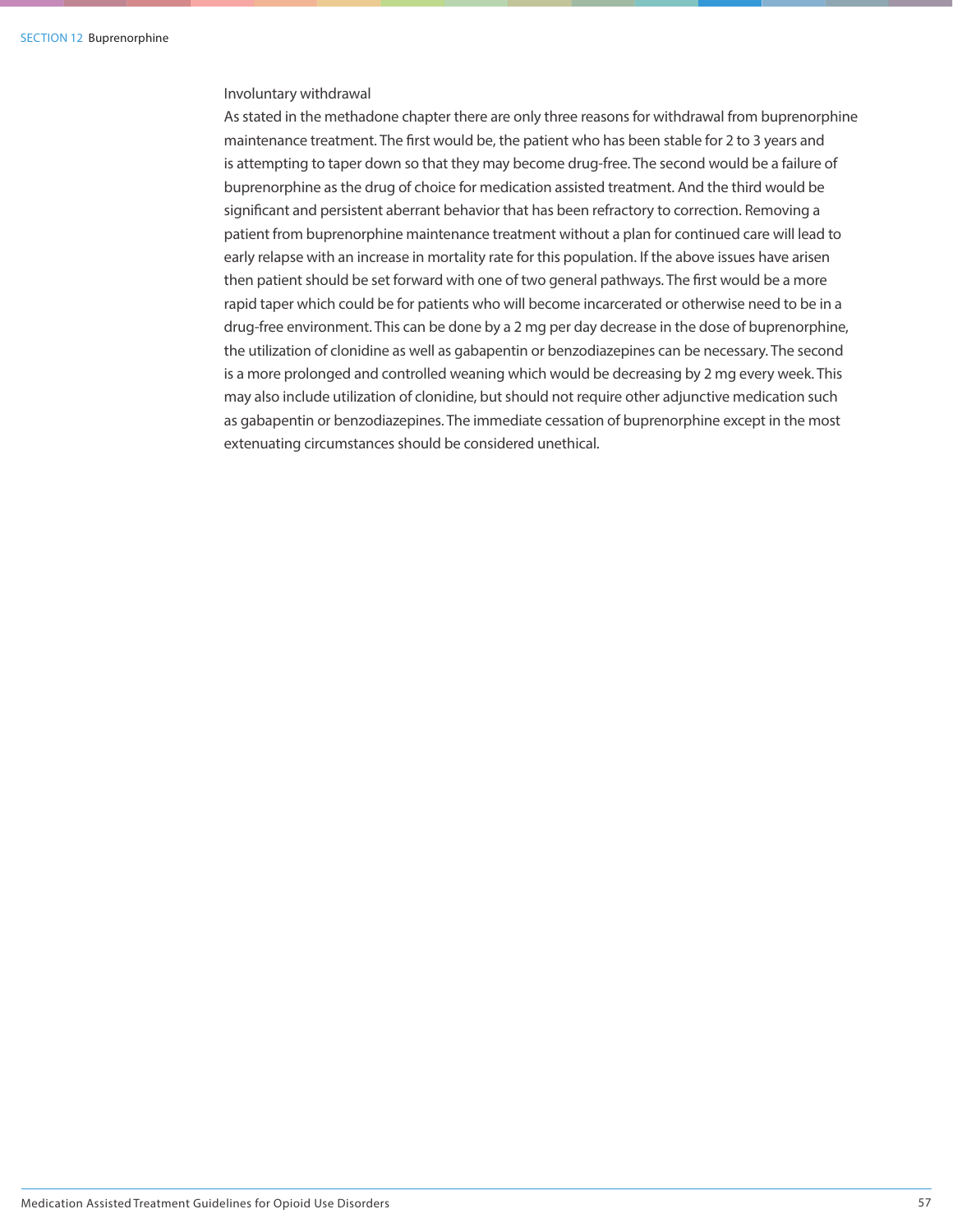### Involuntary withdrawal

As stated in the methadone chapter there are only three reasons for withdrawal from buprenorphine maintenance treatment. The first would be, the patient who has been stable for 2 to 3 years and is attempting to taper down so that they may become drug-free. The second would be a failure of buprenorphine as the drug of choice for medication assisted treatment. And the third would be significant and persistent aberrant behavior that has been refractory to correction. Removing a patient from buprenorphine maintenance treatment without a plan for continued care will lead to early relapse with an increase in mortality rate for this population. If the above issues have arisen then patient should be set forward with one of two general pathways. The first would be a more rapid taper which could be for patients who will become incarcerated or otherwise need to be in a drug-free environment. This can be done by a 2 mg per day decrease in the dose of buprenorphine, the utilization of clonidine as well as gabapentin or benzodiazepines can be necessary. The second is a more prolonged and controlled weaning which would be decreasing by 2 mg every week. This may also include utilization of clonidine, but should not require other adjunctive medication such as gabapentin or benzodiazepines. The immediate cessation of buprenorphine except in the most extenuating circumstances should be considered unethical.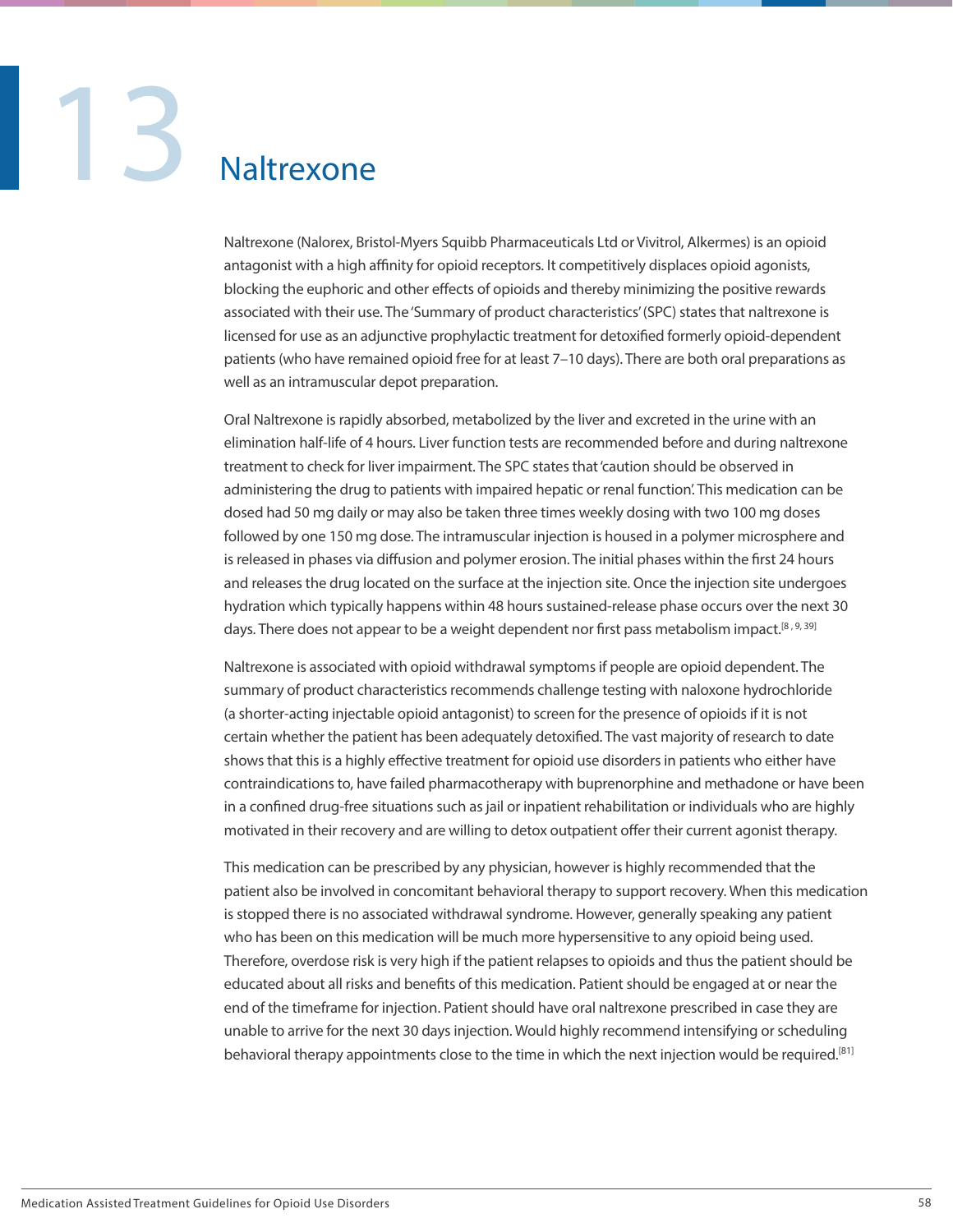# 13 Naltrexone

Naltrexone (Nalorex, Bristol-Myers Squibb Pharmaceuticals Ltd or Vivitrol, Alkermes) is an opioid antagonist with a high affinity for opioid receptors. It competitively displaces opioid agonists, blocking the euphoric and other effects of opioids and thereby minimizing the positive rewards associated with their use. The 'Summary of product characteristics' (SPC) states that naltrexone is licensed for use as an adjunctive prophylactic treatment for detoxified formerly opioid-dependent patients (who have remained opioid free for at least 7–10 days). There are both oral preparations as well as an intramuscular depot preparation.

Oral Naltrexone is rapidly absorbed, metabolized by the liver and excreted in the urine with an elimination half-life of 4 hours. Liver function tests are recommended before and during naltrexone treatment to check for liver impairment. The SPC states that 'caution should be observed in administering the drug to patients with impaired hepatic or renal function'. This medication can be dosed had 50 mg daily or may also be taken three times weekly dosing with two 100 mg doses followed by one 150 mg dose. The intramuscular injection is housed in a polymer microsphere and is released in phases via diffusion and polymer erosion. The initial phases within the first 24 hours and releases the drug located on the surface at the injection site. Once the injection site undergoes hydration which typically happens within 48 hours sustained-release phase occurs over the next 30 days. There does not appear to be a weight dependent nor first pass metabolism impact.<sup>[8, 9, 39]</sup>

Naltrexone is associated with opioid withdrawal symptoms if people are opioid dependent. The summary of product characteristics recommends challenge testing with naloxone hydrochloride (a shorter-acting injectable opioid antagonist) to screen for the presence of opioids if it is not certain whether the patient has been adequately detoxified. The vast majority of research to date shows that this is a highly effective treatment for opioid use disorders in patients who either have contraindications to, have failed pharmacotherapy with buprenorphine and methadone or have been in a confined drug-free situations such as jail or inpatient rehabilitation or individuals who are highly motivated in their recovery and are willing to detox outpatient offer their current agonist therapy.

This medication can be prescribed by any physician, however is highly recommended that the patient also be involved in concomitant behavioral therapy to support recovery. When this medication is stopped there is no associated withdrawal syndrome. However, generally speaking any patient who has been on this medication will be much more hypersensitive to any opioid being used. Therefore, overdose risk is very high if the patient relapses to opioids and thus the patient should be educated about all risks and benefits of this medication. Patient should be engaged at or near the end of the timeframe for injection. Patient should have oral naltrexone prescribed in case they are unable to arrive for the next 30 days injection. Would highly recommend intensifying or scheduling behavioral therapy appointments close to the time in which the next injection would be required.<sup>[81]</sup>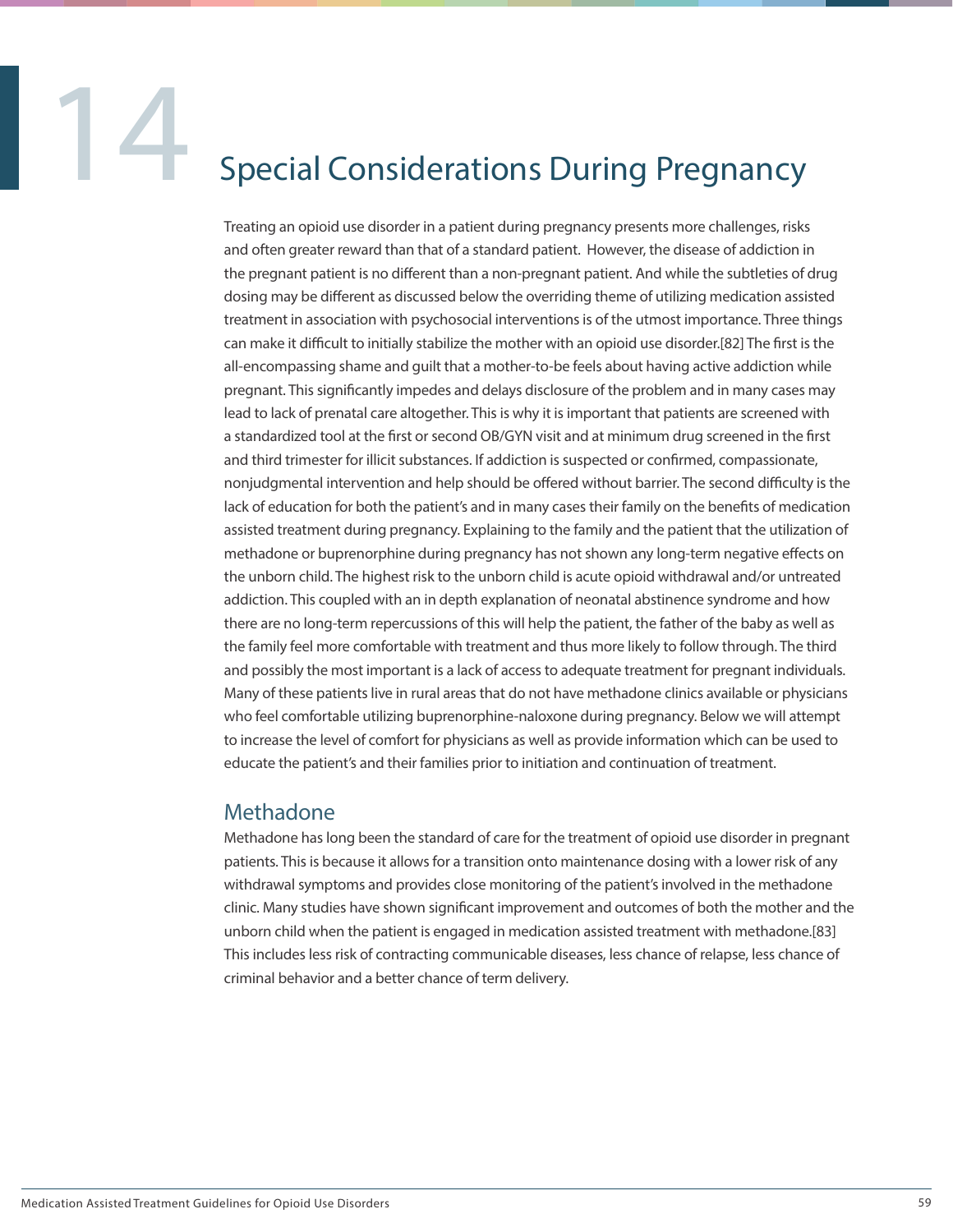### **14 Special Considerations During Pregnancy**

Treating an opioid use disorder in a patient during pregnancy presents more challenges, risks and often greater reward than that of a standard patient. However, the disease of addiction in the pregnant patient is no different than a non-pregnant patient. And while the subtleties of drug dosing may be different as discussed below the overriding theme of utilizing medication assisted treatment in association with psychosocial interventions is of the utmost importance. Three things can make it difficult to initially stabilize the mother with an opioid use disorder.[82] The first is the all-encompassing shame and guilt that a mother-to-be feels about having active addiction while pregnant. This significantly impedes and delays disclosure of the problem and in many cases may lead to lack of prenatal care altogether. This is why it is important that patients are screened with a standardized tool at the first or second OB/GYN visit and at minimum drug screened in the first and third trimester for illicit substances. If addiction is suspected or confirmed, compassionate, nonjudgmental intervention and help should be offered without barrier. The second difficulty is the lack of education for both the patient's and in many cases their family on the benefits of medication assisted treatment during pregnancy. Explaining to the family and the patient that the utilization of methadone or buprenorphine during pregnancy has not shown any long-term negative effects on the unborn child. The highest risk to the unborn child is acute opioid withdrawal and/or untreated addiction. This coupled with an in depth explanation of neonatal abstinence syndrome and how there are no long-term repercussions of this will help the patient, the father of the baby as well as the family feel more comfortable with treatment and thus more likely to follow through. The third and possibly the most important is a lack of access to adequate treatment for pregnant individuals. Many of these patients live in rural areas that do not have methadone clinics available or physicians who feel comfortable utilizing buprenorphine-naloxone during pregnancy. Below we will attempt to increase the level of comfort for physicians as well as provide information which can be used to educate the patient's and their families prior to initiation and continuation of treatment.

### Methadone

Methadone has long been the standard of care for the treatment of opioid use disorder in pregnant patients. This is because it allows for a transition onto maintenance dosing with a lower risk of any withdrawal symptoms and provides close monitoring of the patient's involved in the methadone clinic. Many studies have shown significant improvement and outcomes of both the mother and the unborn child when the patient is engaged in medication assisted treatment with methadone.[83] This includes less risk of contracting communicable diseases, less chance of relapse, less chance of criminal behavior and a better chance of term delivery.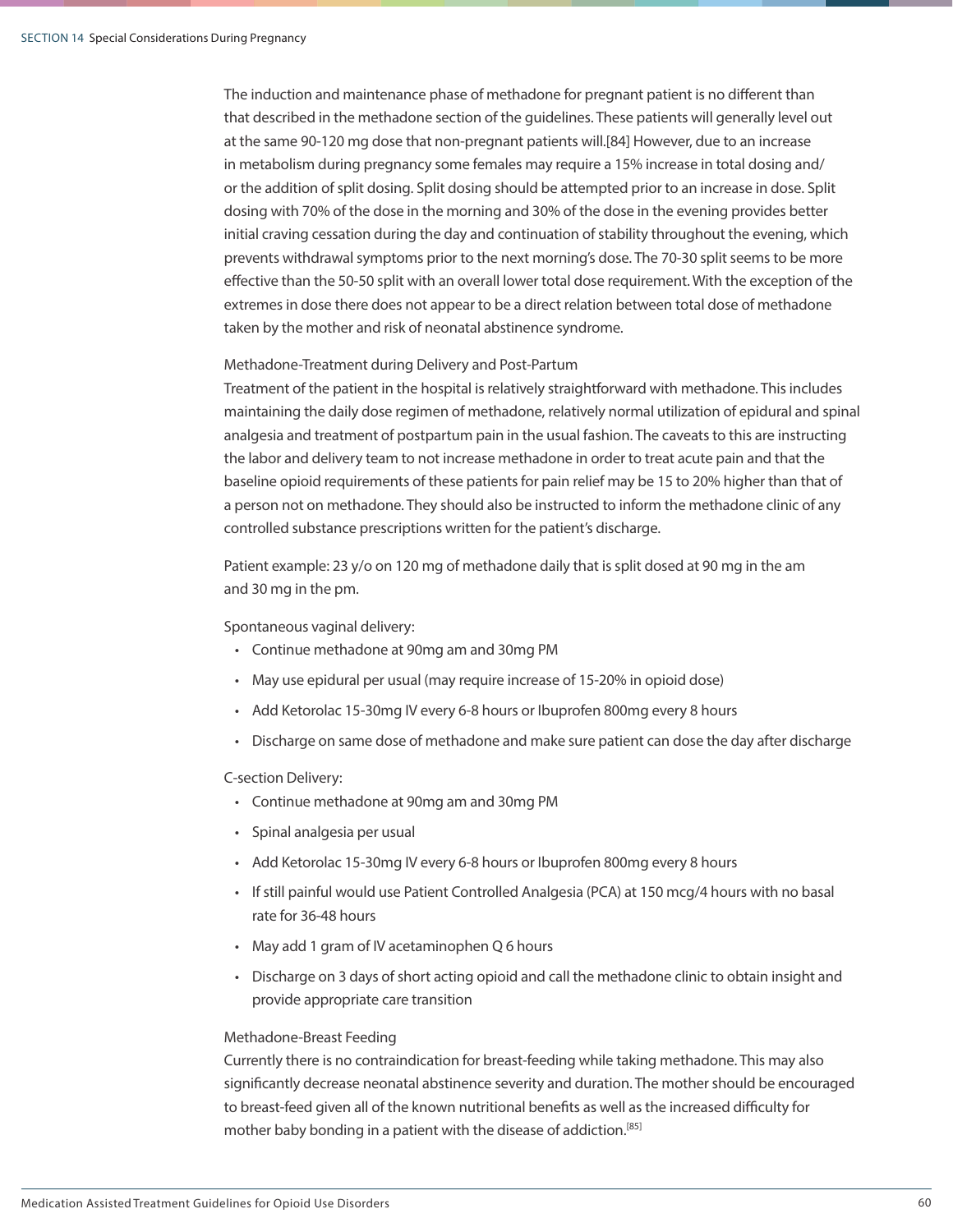The induction and maintenance phase of methadone for pregnant patient is no different than that described in the methadone section of the guidelines. These patients will generally level out at the same 90-120 mg dose that non-pregnant patients will.[84] However, due to an increase in metabolism during pregnancy some females may require a 15% increase in total dosing and/ or the addition of split dosing. Split dosing should be attempted prior to an increase in dose. Split dosing with 70% of the dose in the morning and 30% of the dose in the evening provides better initial craving cessation during the day and continuation of stability throughout the evening, which prevents withdrawal symptoms prior to the next morning's dose. The 70-30 split seems to be more effective than the 50-50 split with an overall lower total dose requirement. With the exception of the extremes in dose there does not appear to be a direct relation between total dose of methadone taken by the mother and risk of neonatal abstinence syndrome.

### Methadone-Treatment during Delivery and Post-Partum

Treatment of the patient in the hospital is relatively straightforward with methadone. This includes maintaining the daily dose regimen of methadone, relatively normal utilization of epidural and spinal analgesia and treatment of postpartum pain in the usual fashion. The caveats to this are instructing the labor and delivery team to not increase methadone in order to treat acute pain and that the baseline opioid requirements of these patients for pain relief may be 15 to 20% higher than that of a person not on methadone. They should also be instructed to inform the methadone clinic of any controlled substance prescriptions written for the patient's discharge.

Patient example: 23 y/o on 120 mg of methadone daily that is split dosed at 90 mg in the am and 30 mg in the pm.

### Spontaneous vaginal delivery:

- Continue methadone at 90mg am and 30mg PM
- May use epidural per usual (may require increase of 15-20% in opioid dose)
- Add Ketorolac 15-30mg IV every 6-8 hours or Ibuprofen 800mg every 8 hours
- Discharge on same dose of methadone and make sure patient can dose the day after discharge

### C-section Delivery:

- Continue methadone at 90mg am and 30mg PM
- Spinal analgesia per usual
- Add Ketorolac 15-30mg IV every 6-8 hours or Ibuprofen 800mg every 8 hours
- If still painful would use Patient Controlled Analgesia (PCA) at 150 mcg/4 hours with no basal rate for 36-48 hours
- May add 1 gram of IV acetaminophen Q 6 hours
- Discharge on 3 days of short acting opioid and call the methadone clinic to obtain insight and provide appropriate care transition

### Methadone-Breast Feeding

Currently there is no contraindication for breast-feeding while taking methadone. This may also significantly decrease neonatal abstinence severity and duration. The mother should be encouraged to breast-feed given all of the known nutritional benefits as well as the increased difficulty for mother baby bonding in a patient with the disease of addiction.<sup>[85]</sup>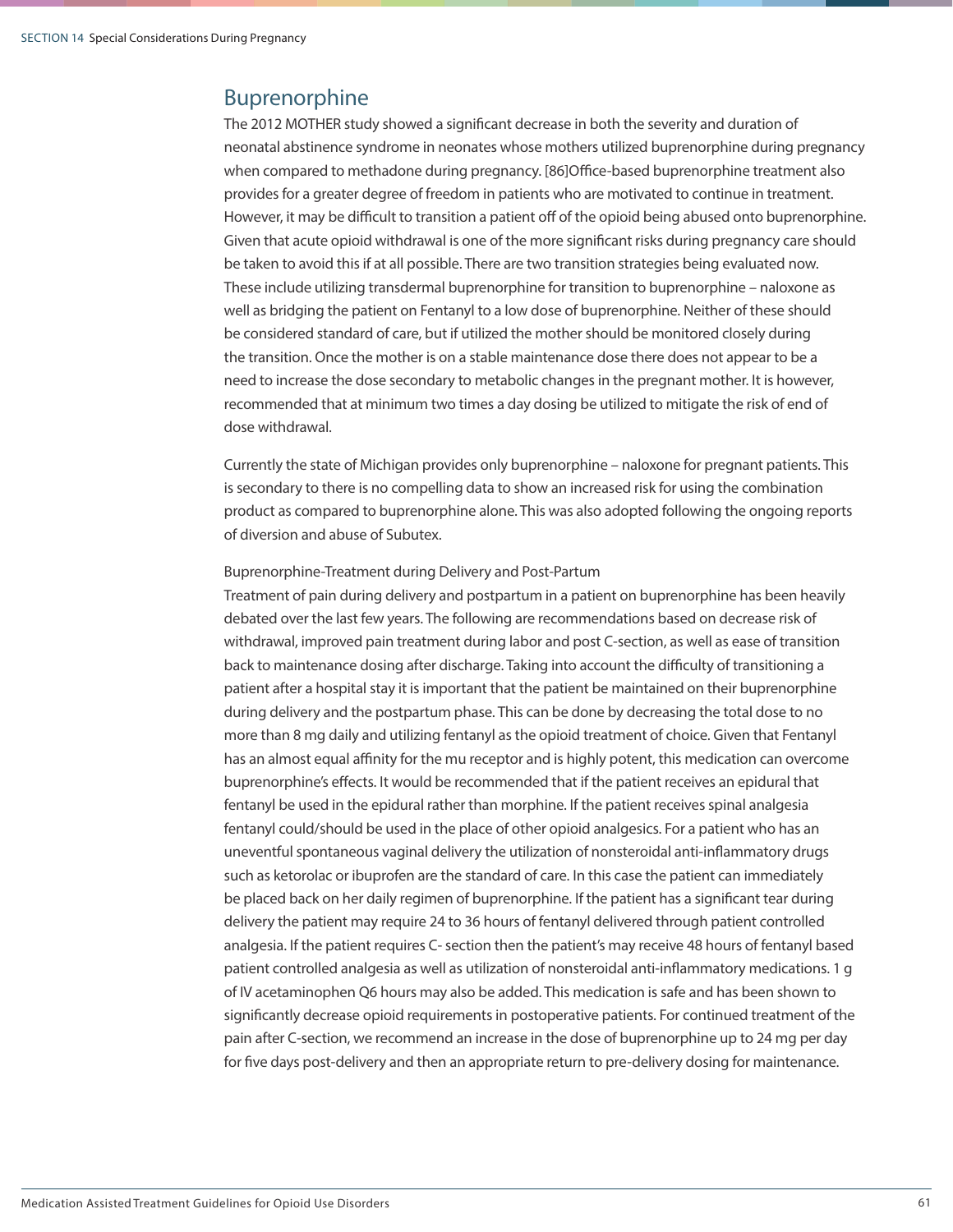### Buprenorphine

The 2012 MOTHER study showed a significant decrease in both the severity and duration of neonatal abstinence syndrome in neonates whose mothers utilized buprenorphine during pregnancy when compared to methadone during pregnancy. [86]Office-based buprenorphine treatment also provides for a greater degree of freedom in patients who are motivated to continue in treatment. However, it may be difficult to transition a patient off of the opioid being abused onto buprenorphine. Given that acute opioid withdrawal is one of the more significant risks during pregnancy care should be taken to avoid this if at all possible. There are two transition strategies being evaluated now. These include utilizing transdermal buprenorphine for transition to buprenorphine – naloxone as well as bridging the patient on Fentanyl to a low dose of buprenorphine. Neither of these should be considered standard of care, but if utilized the mother should be monitored closely during the transition. Once the mother is on a stable maintenance dose there does not appear to be a need to increase the dose secondary to metabolic changes in the pregnant mother. It is however, recommended that at minimum two times a day dosing be utilized to mitigate the risk of end of dose withdrawal.

Currently the state of Michigan provides only buprenorphine – naloxone for pregnant patients. This is secondary to there is no compelling data to show an increased risk for using the combination product as compared to buprenorphine alone. This was also adopted following the ongoing reports of diversion and abuse of Subutex.

### Buprenorphine-Treatment during Delivery and Post-Partum

Treatment of pain during delivery and postpartum in a patient on buprenorphine has been heavily debated over the last few years. The following are recommendations based on decrease risk of withdrawal, improved pain treatment during labor and post C-section, as well as ease of transition back to maintenance dosing after discharge. Taking into account the difficulty of transitioning a patient after a hospital stay it is important that the patient be maintained on their buprenorphine during delivery and the postpartum phase. This can be done by decreasing the total dose to no more than 8 mg daily and utilizing fentanyl as the opioid treatment of choice. Given that Fentanyl has an almost equal affinity for the mu receptor and is highly potent, this medication can overcome buprenorphine's effects. It would be recommended that if the patient receives an epidural that fentanyl be used in the epidural rather than morphine. If the patient receives spinal analgesia fentanyl could/should be used in the place of other opioid analgesics. For a patient who has an uneventful spontaneous vaginal delivery the utilization of nonsteroidal anti-inflammatory drugs such as ketorolac or ibuprofen are the standard of care. In this case the patient can immediately be placed back on her daily regimen of buprenorphine. If the patient has a significant tear during delivery the patient may require 24 to 36 hours of fentanyl delivered through patient controlled analgesia. If the patient requires C- section then the patient's may receive 48 hours of fentanyl based patient controlled analgesia as well as utilization of nonsteroidal anti-inflammatory medications. 1 g of IV acetaminophen Q6 hours may also be added. This medication is safe and has been shown to significantly decrease opioid requirements in postoperative patients. For continued treatment of the pain after C-section, we recommend an increase in the dose of buprenorphine up to 24 mg per day for five days post-delivery and then an appropriate return to pre-delivery dosing for maintenance.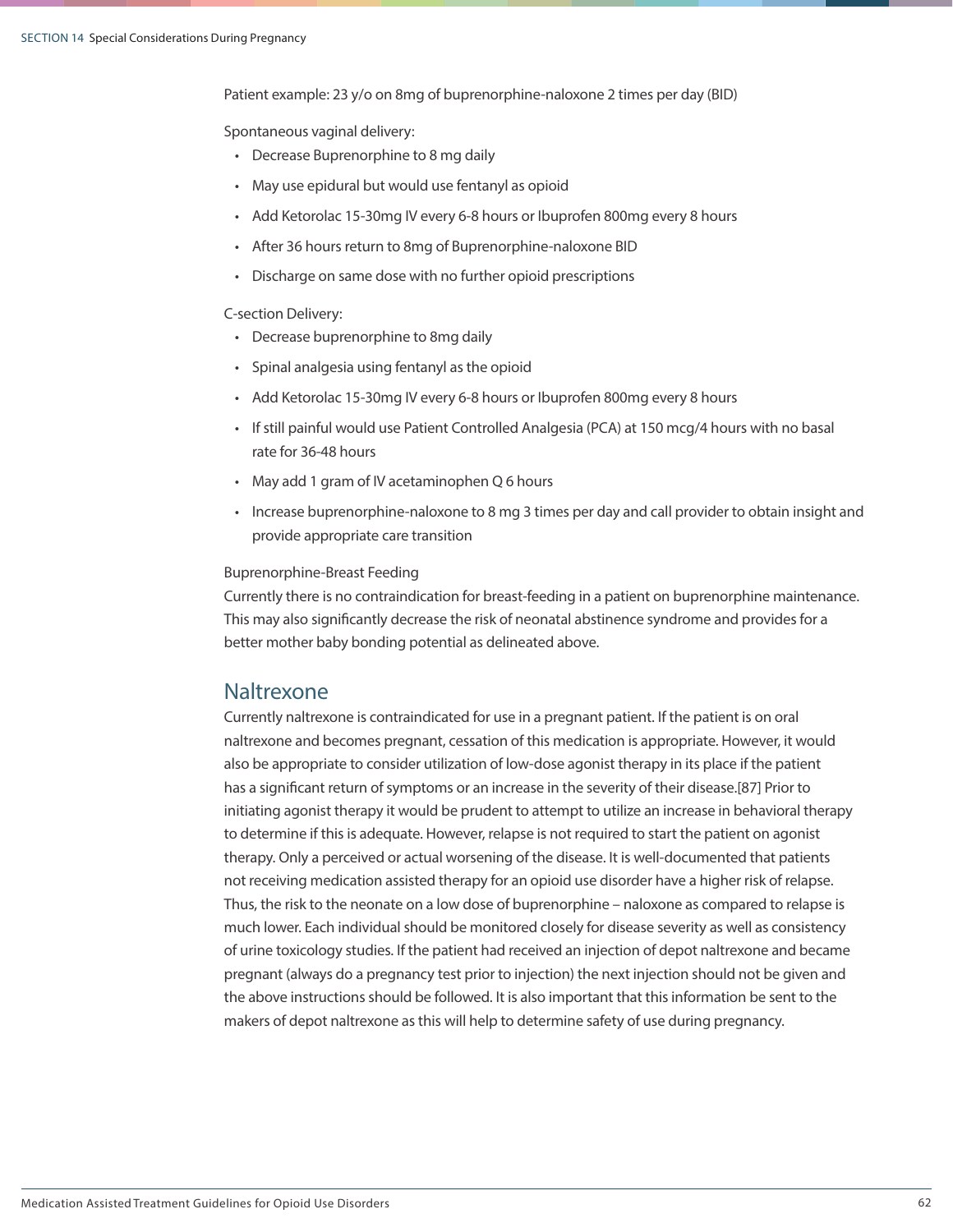Patient example: 23 y/o on 8mg of buprenorphine-naloxone 2 times per day (BID)

Spontaneous vaginal delivery:

- Decrease Buprenorphine to 8 mg daily
- May use epidural but would use fentanyl as opioid
- Add Ketorolac 15-30mg IV every 6-8 hours or Ibuprofen 800mg every 8 hours
- After 36 hours return to 8mg of Buprenorphine-naloxone BID
- Discharge on same dose with no further opioid prescriptions

### C-section Delivery:

- Decrease buprenorphine to 8mg daily
- Spinal analgesia using fentanyl as the opioid
- Add Ketorolac 15-30mg IV every 6-8 hours or Ibuprofen 800mg every 8 hours
- If still painful would use Patient Controlled Analgesia (PCA) at 150 mcg/4 hours with no basal rate for 36-48 hours
- May add 1 gram of IV acetaminophen Q 6 hours
- Increase buprenorphine-naloxone to 8 mg 3 times per day and call provider to obtain insight and provide appropriate care transition

### Buprenorphine-Breast Feeding

Currently there is no contraindication for breast-feeding in a patient on buprenorphine maintenance. This may also significantly decrease the risk of neonatal abstinence syndrome and provides for a better mother baby bonding potential as delineated above.

### Naltrexone

Currently naltrexone is contraindicated for use in a pregnant patient. If the patient is on oral naltrexone and becomes pregnant, cessation of this medication is appropriate. However, it would also be appropriate to consider utilization of low-dose agonist therapy in its place if the patient has a significant return of symptoms or an increase in the severity of their disease.[87] Prior to initiating agonist therapy it would be prudent to attempt to utilize an increase in behavioral therapy to determine if this is adequate. However, relapse is not required to start the patient on agonist therapy. Only a perceived or actual worsening of the disease. It is well-documented that patients not receiving medication assisted therapy for an opioid use disorder have a higher risk of relapse. Thus, the risk to the neonate on a low dose of buprenorphine – naloxone as compared to relapse is much lower. Each individual should be monitored closely for disease severity as well as consistency of urine toxicology studies. If the patient had received an injection of depot naltrexone and became pregnant (always do a pregnancy test prior to injection) the next injection should not be given and the above instructions should be followed. It is also important that this information be sent to the makers of depot naltrexone as this will help to determine safety of use during pregnancy.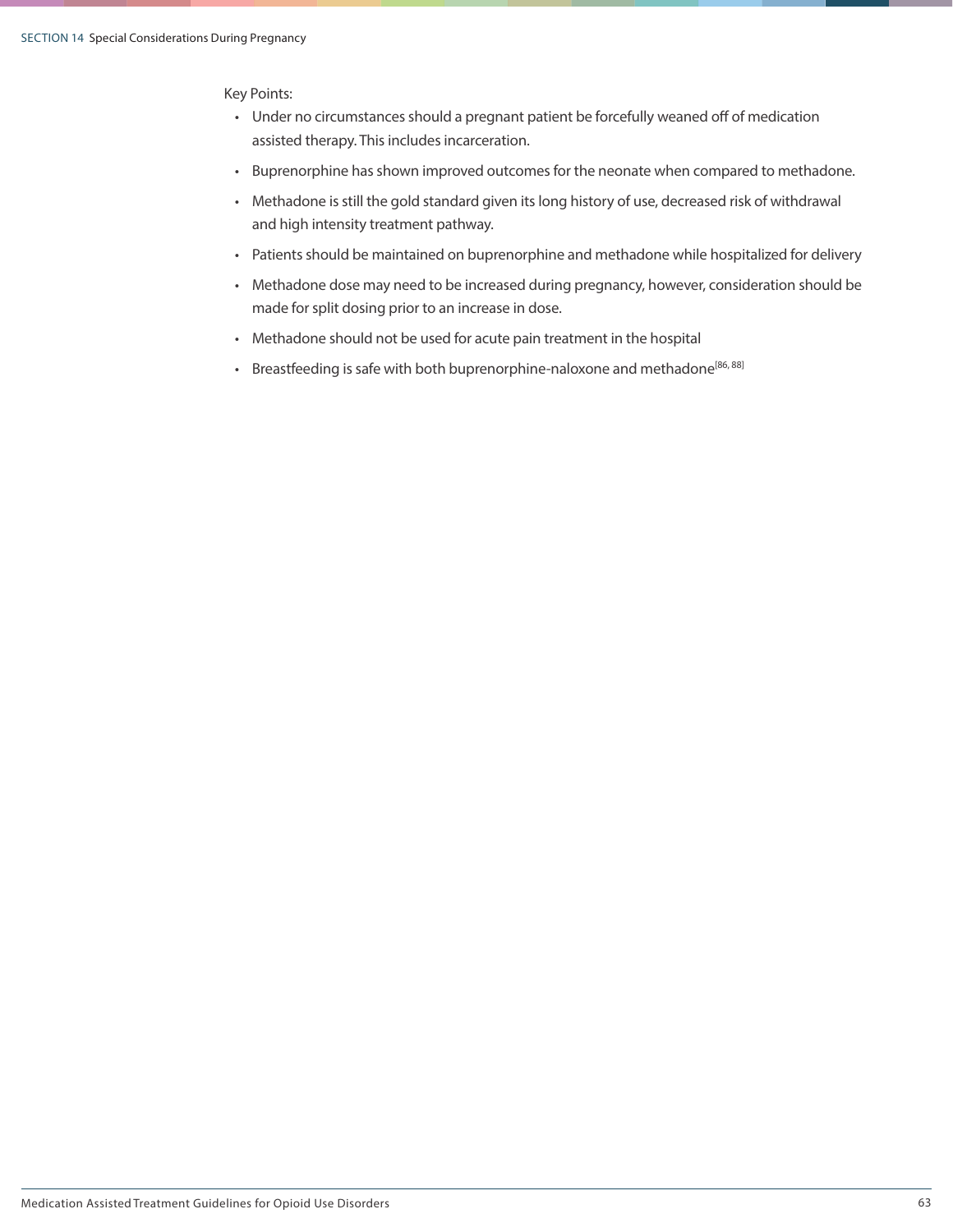Key Points:

- Under no circumstances should a pregnant patient be forcefully weaned off of medication assisted therapy. This includes incarceration.
- Buprenorphine has shown improved outcomes for the neonate when compared to methadone.
- Methadone is still the gold standard given its long history of use, decreased risk of withdrawal and high intensity treatment pathway.
- Patients should be maintained on buprenorphine and methadone while hospitalized for delivery
- Methadone dose may need to be increased during pregnancy, however, consideration should be made for split dosing prior to an increase in dose.
- Methadone should not be used for acute pain treatment in the hospital
- Breastfeeding is safe with both buprenorphine-naloxone and methadone<sup>[86, 88]</sup>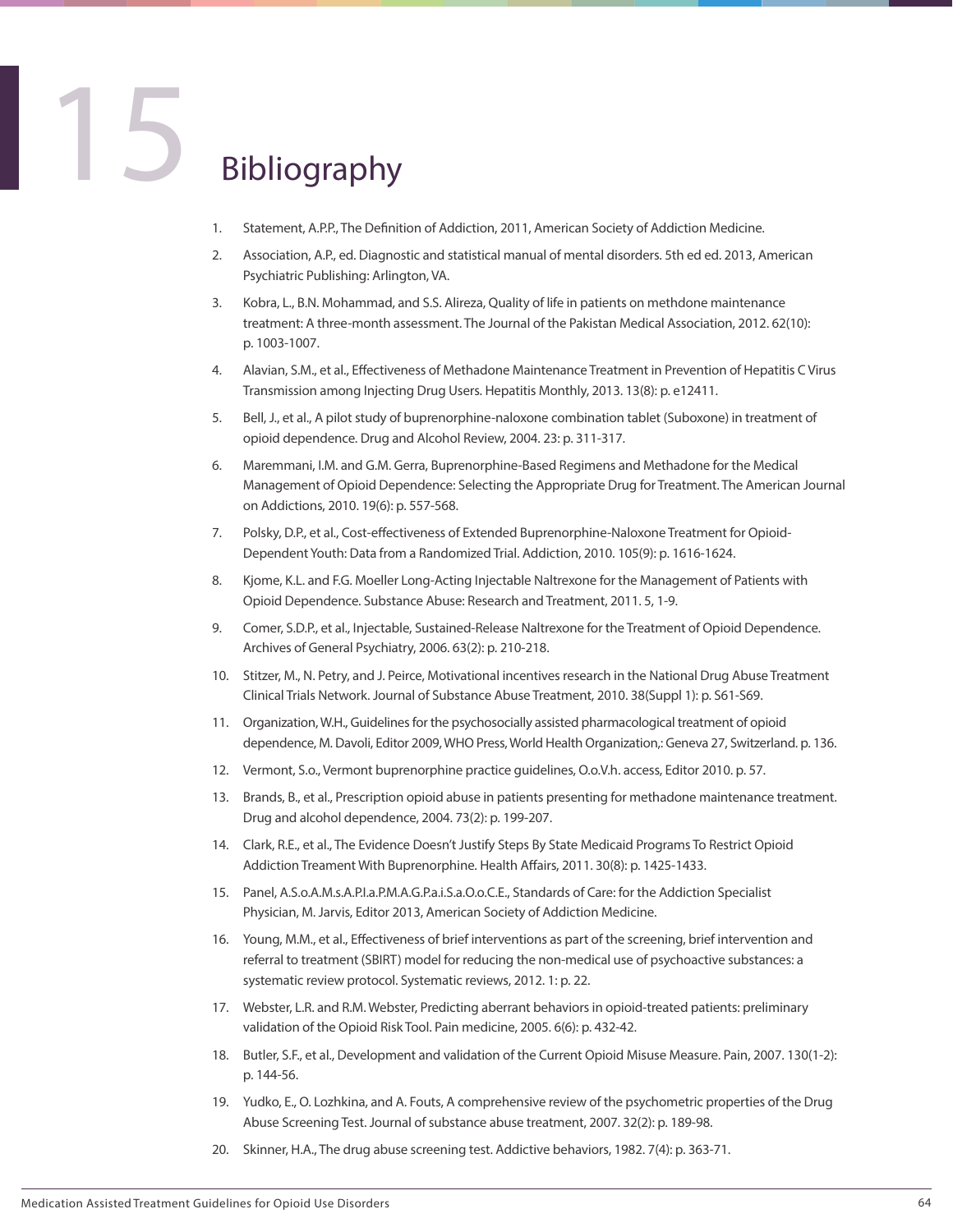## **Bibliography**

- 1. Statement, A.P.P., The Definition of Addiction, 2011, American Society of Addiction Medicine.
- 2. Association, A.P., ed. Diagnostic and statistical manual of mental disorders. 5th ed ed. 2013, American Psychiatric Publishing: Arlington, VA.
- 3. Kobra, L., B.N. Mohammad, and S.S. Alireza, Quality of life in patients on methdone maintenance treatment: A three-month assessment. The Journal of the Pakistan Medical Association, 2012. 62(10): p. 1003-1007.
- 4. Alavian, S.M., et al., Effectiveness of Methadone Maintenance Treatment in Prevention of Hepatitis C Virus Transmission among Injecting Drug Users. Hepatitis Monthly, 2013. 13(8): p. e12411.
- 5. Bell, J., et al., A pilot study of buprenorphine-naloxone combination tablet (Suboxone) in treatment of opioid dependence. Drug and Alcohol Review, 2004. 23: p. 311-317.
- 6. Maremmani, I.M. and G.M. Gerra, Buprenorphine-Based Regimens and Methadone for the Medical Management of Opioid Dependence: Selecting the Appropriate Drug for Treatment. The American Journal on Addictions, 2010. 19(6): p. 557-568.
- 7. Polsky, D.P., et al., Cost-effectiveness of Extended Buprenorphine-Naloxone Treatment for Opioid-Dependent Youth: Data from a Randomized Trial. Addiction, 2010. 105(9): p. 1616-1624.
- 8. Kjome, K.L. and F.G. Moeller Long-Acting Injectable Naltrexone for the Management of Patients with Opioid Dependence. Substance Abuse: Research and Treatment, 2011. 5, 1-9.
- 9. Comer, S.D.P., et al., Injectable, Sustained-Release Naltrexone for the Treatment of Opioid Dependence. Archives of General Psychiatry, 2006. 63(2): p. 210-218.
- 10. Stitzer, M., N. Petry, and J. Peirce, Motivational incentives research in the National Drug Abuse Treatment Clinical Trials Network. Journal of Substance Abuse Treatment, 2010. 38(Suppl 1): p. S61-S69.
- 11. Organization, W.H., Guidelines for the psychosocially assisted pharmacological treatment of opioid dependence, M. Davoli, Editor 2009, WHO Press, World Health Organization,: Geneva 27, Switzerland. p. 136.
- 12. Vermont, S.o., Vermont buprenorphine practice guidelines, O.o.V.h. access, Editor 2010. p. 57.
- 13. Brands, B., et al., Prescription opioid abuse in patients presenting for methadone maintenance treatment. Drug and alcohol dependence, 2004. 73(2): p. 199-207.
- 14. Clark, R.E., et al., The Evidence Doesn't Justify Steps By State Medicaid Programs To Restrict Opioid Addiction Treament With Buprenorphine. Health Affairs, 2011. 30(8): p. 1425-1433.
- 15. Panel, A.S.o.A.M.s.A.P.I.a.P.M.A.G.P.a.i.S.a.O.o.C.E., Standards of Care: for the Addiction Specialist Physician, M. Jarvis, Editor 2013, American Society of Addiction Medicine.
- 16. Young, M.M., et al., Effectiveness of brief interventions as part of the screening, brief intervention and referral to treatment (SBIRT) model for reducing the non-medical use of psychoactive substances: a systematic review protocol. Systematic reviews, 2012. 1: p. 22.
- 17. Webster, L.R. and R.M. Webster, Predicting aberrant behaviors in opioid-treated patients: preliminary validation of the Opioid Risk Tool. Pain medicine, 2005. 6(6): p. 432-42.
- 18. Butler, S.F., et al., Development and validation of the Current Opioid Misuse Measure. Pain, 2007. 130(1-2): p. 144-56.
- 19. Yudko, E., O. Lozhkina, and A. Fouts, A comprehensive review of the psychometric properties of the Drug Abuse Screening Test. Journal of substance abuse treatment, 2007. 32(2): p. 189-98.
- 20. Skinner, H.A., The drug abuse screening test. Addictive behaviors, 1982. 7(4): p. 363-71.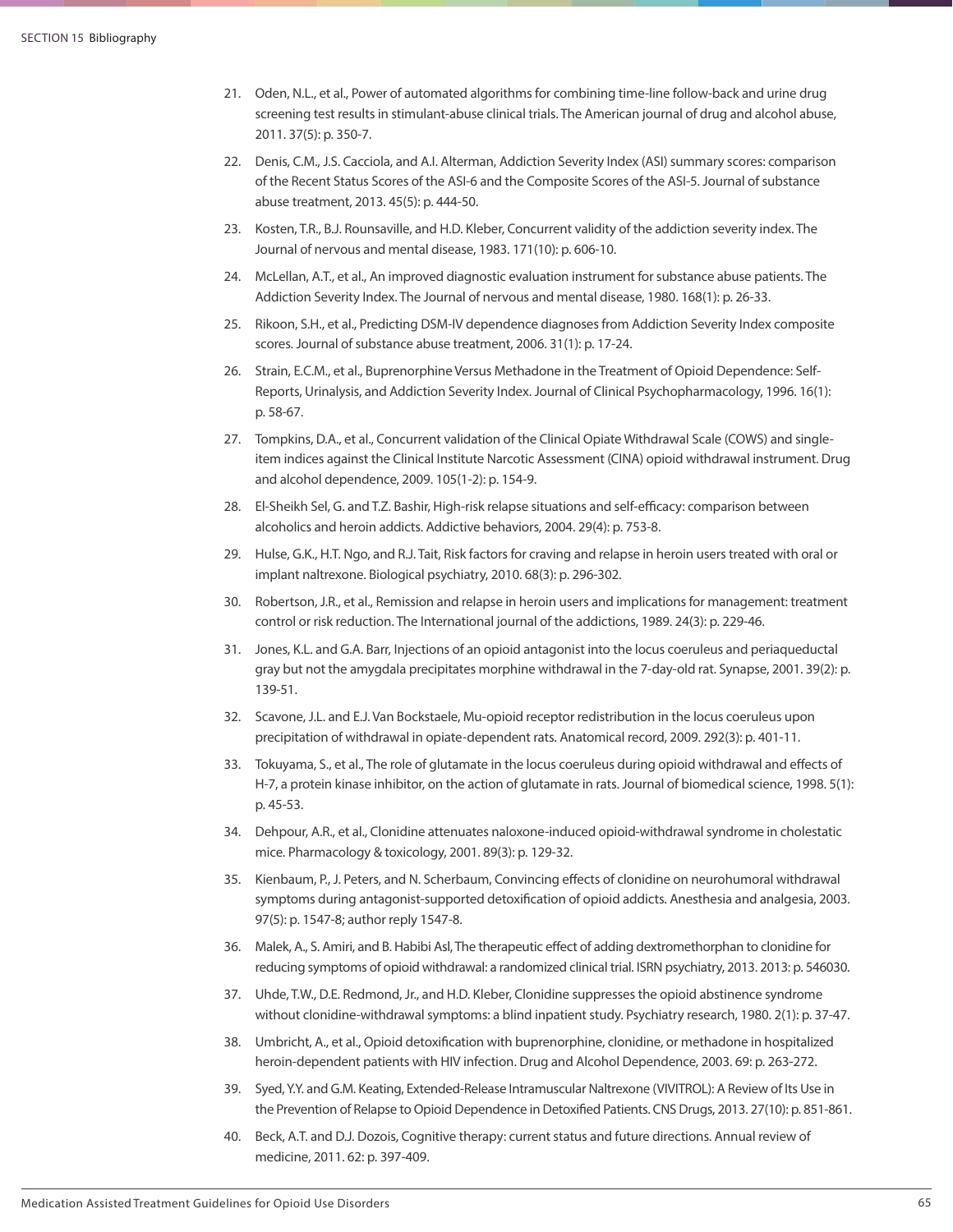- 21. Oden, N.L., et al., Power of automated algorithms for combining time-line follow-back and urine drug screening test results in stimulant-abuse clinical trials. The American journal of drug and alcohol abuse, 2011. 37(5): p. 350-7.
- 22. Denis, C.M., J.S. Cacciola, and A.I. Alterman, Addiction Severity Index (ASI) summary scores: comparison of the Recent Status Scores of the ASI-6 and the Composite Scores of the ASI-5. Journal of substance abuse treatment, 2013. 45(5): p. 444-50.
- 23. Kosten, T.R., B.J. Rounsaville, and H.D. Kleber, Concurrent validity of the addiction severity index. The Journal of nervous and mental disease, 1983. 171(10): p. 606-10.
- 24. McLellan, A.T., et al., An improved diagnostic evaluation instrument for substance abuse patients. The Addiction Severity Index. The Journal of nervous and mental disease, 1980. 168(1): p. 26-33.
- 25. Rikoon, S.H., et al., Predicting DSM-IV dependence diagnoses from Addiction Severity Index composite scores. Journal of substance abuse treatment, 2006. 31(1): p. 17-24.
- 26. Strain, E.C.M., et al., Buprenorphine Versus Methadone in the Treatment of Opioid Dependence: Self-Reports, Urinalysis, and Addiction Severity Index. Journal of Clinical Psychopharmacology, 1996. 16(1): p. 58-67.
- 27. Tompkins, D.A., et al., Concurrent validation of the Clinical Opiate Withdrawal Scale (COWS) and singleitem indices against the Clinical Institute Narcotic Assessment (CINA) opioid withdrawal instrument. Drug and alcohol dependence, 2009. 105(1-2): p. 154-9.
- 28. El-Sheikh Sel, G. and T.Z. Bashir, High-risk relapse situations and self-efficacy: comparison between alcoholics and heroin addicts. Addictive behaviors, 2004. 29(4): p. 753-8.
- 29. Hulse, G.K., H.T. Ngo, and R.J. Tait, Risk factors for craving and relapse in heroin users treated with oral or implant naltrexone. Biological psychiatry, 2010. 68(3): p. 296-302.
- 30. Robertson, J.R., et al., Remission and relapse in heroin users and implications for management: treatment control or risk reduction. The International journal of the addictions, 1989. 24(3): p. 229-46.
- 31. Jones, K.L. and G.A. Barr, Injections of an opioid antagonist into the locus coeruleus and periaqueductal gray but not the amygdala precipitates morphine withdrawal in the 7-day-old rat. Synapse, 2001. 39(2): p. 139-51.
- 32. Scavone, J.L. and E.J. Van Bockstaele, Mu-opioid receptor redistribution in the locus coeruleus upon precipitation of withdrawal in opiate-dependent rats. Anatomical record, 2009. 292(3): p. 401-11.
- 33. Tokuyama, S., et al., The role of glutamate in the locus coeruleus during opioid withdrawal and effects of H-7, a protein kinase inhibitor, on the action of glutamate in rats. Journal of biomedical science, 1998. 5(1): p. 45-53.
- 34. Dehpour, A.R., et al., Clonidine attenuates naloxone-induced opioid-withdrawal syndrome in cholestatic mice. Pharmacology & toxicology, 2001. 89(3): p. 129-32.
- 35. Kienbaum, P., J. Peters, and N. Scherbaum, Convincing effects of clonidine on neurohumoral withdrawal symptoms during antagonist-supported detoxification of opioid addicts. Anesthesia and analgesia, 2003. 97(5): p. 1547-8; author reply 1547-8.
- 36. Malek, A., S. Amiri, and B. Habibi Asl, The therapeutic effect of adding dextromethorphan to clonidine for reducing symptoms of opioid withdrawal: a randomized clinical trial. ISRN psychiatry, 2013. 2013: p. 546030.
- 37. Uhde, T.W., D.E. Redmond, Jr., and H.D. Kleber, Clonidine suppresses the opioid abstinence syndrome without clonidine-withdrawal symptoms: a blind inpatient study. Psychiatry research, 1980. 2(1): p. 37-47.
- 38. Umbricht, A., et al., Opioid detoxification with buprenorphine, clonidine, or methadone in hospitalized heroin-dependent patients with HIV infection. Drug and Alcohol Dependence, 2003. 69: p. 263-272.
- 39. Syed, Y.Y. and G.M. Keating, Extended-Release Intramuscular Naltrexone (VIVITROL): A Review of Its Use in the Prevention of Relapse to Opioid Dependence in Detoxified Patients. CNS Drugs, 2013. 27(10): p. 851-861.
- 40. Beck, A.T. and D.J. Dozois, Cognitive therapy: current status and future directions. Annual review of medicine, 2011. 62: p. 397-409.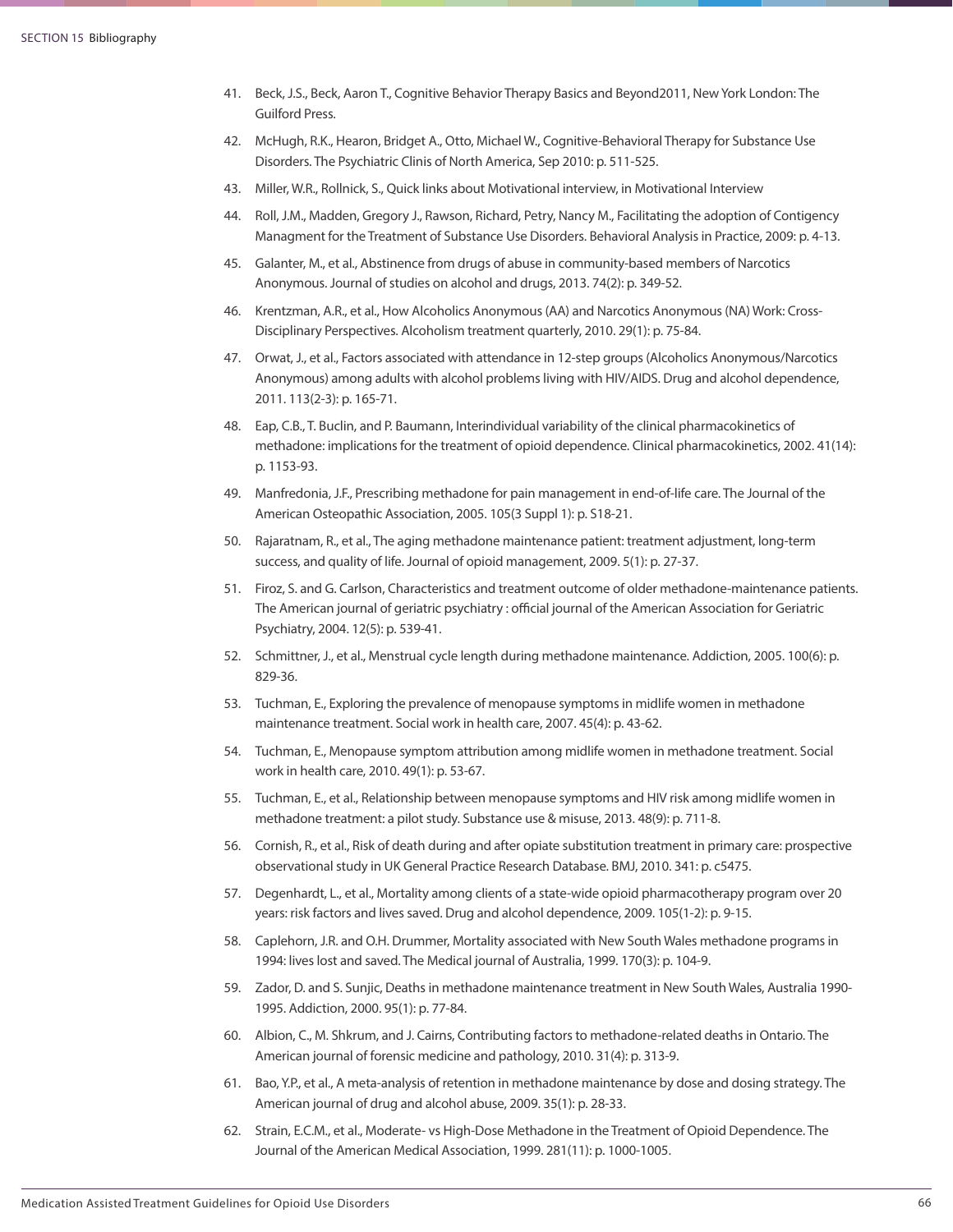- 41. Beck, J.S., Beck, Aaron T., Cognitive Behavior Therapy Basics and Beyond2011, New York London: The Guilford Press.
- 42. McHugh, R.K., Hearon, Bridget A., Otto, Michael W., Cognitive-Behavioral Therapy for Substance Use Disorders. The Psychiatric Clinis of North America, Sep 2010: p. 511-525.
- 43. Miller, W.R., Rollnick, S., Quick links about Motivational interview, in Motivational Interview
- 44. Roll, J.M., Madden, Gregory J., Rawson, Richard, Petry, Nancy M., Facilitating the adoption of Contigency Managment for the Treatment of Substance Use Disorders. Behavioral Analysis in Practice, 2009: p. 4-13.
- 45. Galanter, M., et al., Abstinence from drugs of abuse in community-based members of Narcotics Anonymous. Journal of studies on alcohol and drugs, 2013. 74(2): p. 349-52.
- 46. Krentzman, A.R., et al., How Alcoholics Anonymous (AA) and Narcotics Anonymous (NA) Work: Cross-Disciplinary Perspectives. Alcoholism treatment quarterly, 2010. 29(1): p. 75-84.
- 47. Orwat, J., et al., Factors associated with attendance in 12-step groups (Alcoholics Anonymous/Narcotics Anonymous) among adults with alcohol problems living with HIV/AIDS. Drug and alcohol dependence, 2011. 113(2-3): p. 165-71.
- 48. Eap, C.B., T. Buclin, and P. Baumann, Interindividual variability of the clinical pharmacokinetics of methadone: implications for the treatment of opioid dependence. Clinical pharmacokinetics, 2002. 41(14): p. 1153-93.
- 49. Manfredonia, J.F., Prescribing methadone for pain management in end-of-life care. The Journal of the American Osteopathic Association, 2005. 105(3 Suppl 1): p. S18-21.
- 50. Rajaratnam, R., et al., The aging methadone maintenance patient: treatment adjustment, long-term success, and quality of life. Journal of opioid management, 2009. 5(1): p. 27-37.
- 51. Firoz, S. and G. Carlson, Characteristics and treatment outcome of older methadone-maintenance patients. The American journal of geriatric psychiatry : official journal of the American Association for Geriatric Psychiatry, 2004. 12(5): p. 539-41.
- 52. Schmittner, J., et al., Menstrual cycle length during methadone maintenance. Addiction, 2005. 100(6): p. 829-36.
- 53. Tuchman, E., Exploring the prevalence of menopause symptoms in midlife women in methadone maintenance treatment. Social work in health care, 2007. 45(4): p. 43-62.
- 54. Tuchman, E., Menopause symptom attribution among midlife women in methadone treatment. Social work in health care, 2010. 49(1): p. 53-67.
- 55. Tuchman, E., et al., Relationship between menopause symptoms and HIV risk among midlife women in methadone treatment: a pilot study. Substance use & misuse, 2013. 48(9): p. 711-8.
- 56. Cornish, R., et al., Risk of death during and after opiate substitution treatment in primary care: prospective observational study in UK General Practice Research Database. BMJ, 2010. 341: p. c5475.
- 57. Degenhardt, L., et al., Mortality among clients of a state-wide opioid pharmacotherapy program over 20 years: risk factors and lives saved. Drug and alcohol dependence, 2009. 105(1-2): p. 9-15.
- 58. Caplehorn, J.R. and O.H. Drummer, Mortality associated with New South Wales methadone programs in 1994: lives lost and saved. The Medical journal of Australia, 1999. 170(3): p. 104-9.
- 59. Zador, D. and S. Sunjic, Deaths in methadone maintenance treatment in New South Wales, Australia 1990- 1995. Addiction, 2000. 95(1): p. 77-84.
- 60. Albion, C., M. Shkrum, and J. Cairns, Contributing factors to methadone-related deaths in Ontario. The American journal of forensic medicine and pathology, 2010. 31(4): p. 313-9.
- 61. Bao, Y.P., et al., A meta-analysis of retention in methadone maintenance by dose and dosing strategy. The American journal of drug and alcohol abuse, 2009. 35(1): p. 28-33.
- 62. Strain, E.C.M., et al., Moderate- vs High-Dose Methadone in the Treatment of Opioid Dependence. The Journal of the American Medical Association, 1999. 281(11): p. 1000-1005.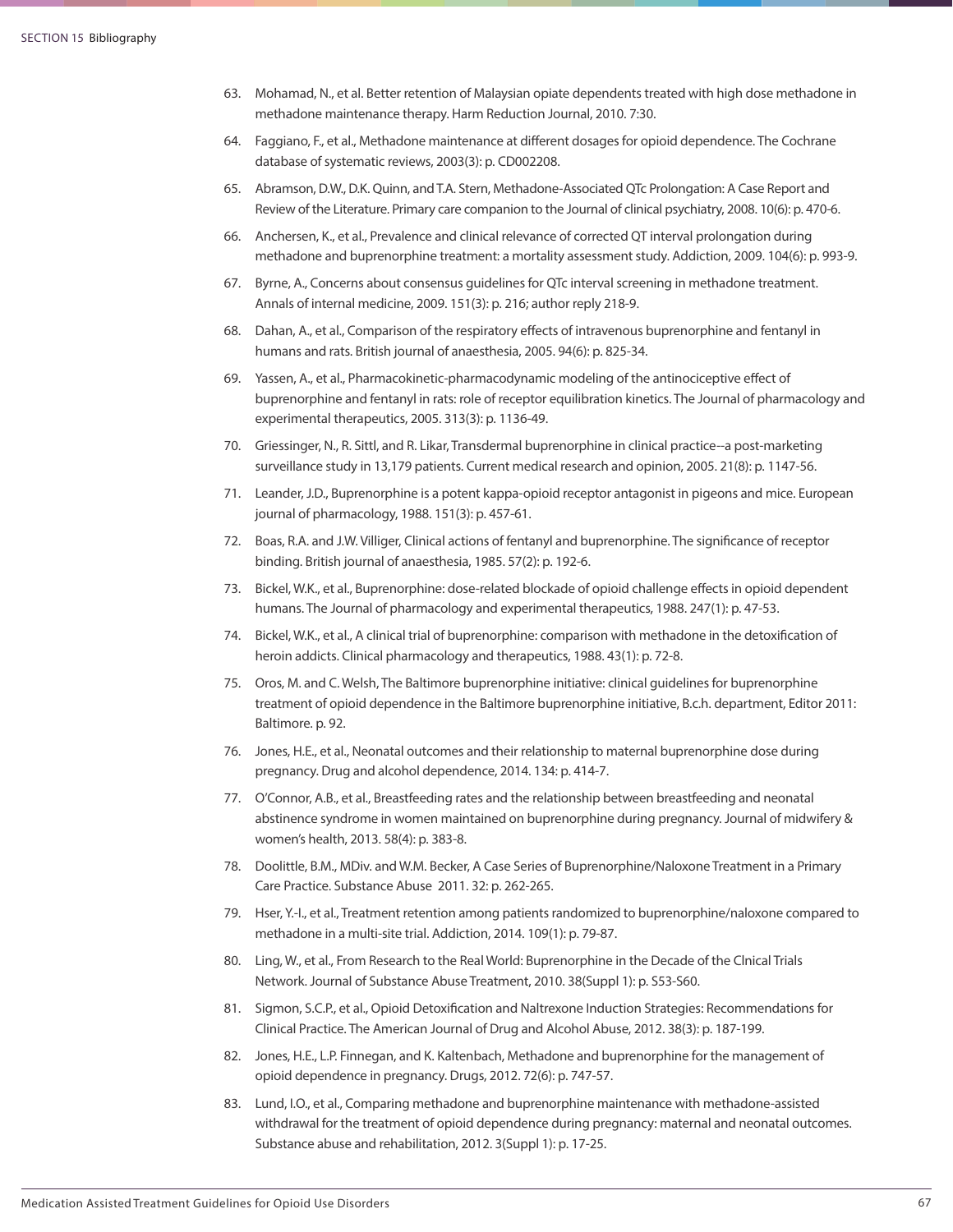- 63. Mohamad, N., et al. Better retention of Malaysian opiate dependents treated with high dose methadone in methadone maintenance therapy. Harm Reduction Journal, 2010. 7:30.
- 64. Faggiano, F., et al., Methadone maintenance at different dosages for opioid dependence. The Cochrane database of systematic reviews, 2003(3): p. CD002208.
- 65. Abramson, D.W., D.K. Quinn, and T.A. Stern, Methadone-Associated QTc Prolongation: A Case Report and Review of the Literature. Primary care companion to the Journal of clinical psychiatry, 2008. 10(6): p. 470-6.
- 66. Anchersen, K., et al., Prevalence and clinical relevance of corrected QT interval prolongation during methadone and buprenorphine treatment: a mortality assessment study. Addiction, 2009. 104(6): p. 993-9.
- 67. Byrne, A., Concerns about consensus guidelines for QTc interval screening in methadone treatment. Annals of internal medicine, 2009. 151(3): p. 216; author reply 218-9.
- 68. Dahan, A., et al., Comparison of the respiratory effects of intravenous buprenorphine and fentanyl in humans and rats. British journal of anaesthesia, 2005. 94(6): p. 825-34.
- 69. Yassen, A., et al., Pharmacokinetic-pharmacodynamic modeling of the antinociceptive effect of buprenorphine and fentanyl in rats: role of receptor equilibration kinetics. The Journal of pharmacology and experimental therapeutics, 2005. 313(3): p. 1136-49.
- 70. Griessinger, N., R. Sittl, and R. Likar, Transdermal buprenorphine in clinical practice--a post-marketing surveillance study in 13,179 patients. Current medical research and opinion, 2005. 21(8): p. 1147-56.
- 71. Leander, J.D., Buprenorphine is a potent kappa-opioid receptor antagonist in pigeons and mice. European journal of pharmacology, 1988. 151(3): p. 457-61.
- 72. Boas, R.A. and J.W. Villiger, Clinical actions of fentanyl and buprenorphine. The significance of receptor binding. British journal of anaesthesia, 1985. 57(2): p. 192-6.
- 73. Bickel, W.K., et al., Buprenorphine: dose-related blockade of opioid challenge effects in opioid dependent humans. The Journal of pharmacology and experimental therapeutics, 1988. 247(1): p. 47-53.
- 74. Bickel, W.K., et al., A clinical trial of buprenorphine: comparison with methadone in the detoxification of heroin addicts. Clinical pharmacology and therapeutics, 1988. 43(1): p. 72-8.
- 75. Oros, M. and C. Welsh, The Baltimore buprenorphine initiative: clinical guidelines for buprenorphine treatment of opioid dependence in the Baltimore buprenorphine initiative, B.c.h. department, Editor 2011: Baltimore. p. 92.
- 76. Jones, H.E., et al., Neonatal outcomes and their relationship to maternal buprenorphine dose during pregnancy. Drug and alcohol dependence, 2014. 134: p. 414-7.
- 77. O'Connor, A.B., et al., Breastfeeding rates and the relationship between breastfeeding and neonatal abstinence syndrome in women maintained on buprenorphine during pregnancy. Journal of midwifery & women's health, 2013. 58(4): p. 383-8.
- 78. Doolittle, B.M., MDiv. and W.M. Becker, A Case Series of Buprenorphine/Naloxone Treatment in a Primary Care Practice. Substance Abuse 2011. 32: p. 262-265.
- 79. Hser, Y.-I., et al., Treatment retention among patients randomized to buprenorphine/naloxone compared to methadone in a multi-site trial. Addiction, 2014. 109(1): p. 79-87.
- 80. Ling, W., et al., From Research to the Real World: Buprenorphine in the Decade of the Clnical Trials Network. Journal of Substance Abuse Treatment, 2010. 38(Suppl 1): p. S53-S60.
- 81. Sigmon, S.C.P., et al., Opioid Detoxification and Naltrexone Induction Strategies: Recommendations for Clinical Practice. The American Journal of Drug and Alcohol Abuse, 2012. 38(3): p. 187-199.
- 82. Jones, H.E., L.P. Finnegan, and K. Kaltenbach, Methadone and buprenorphine for the management of opioid dependence in pregnancy. Drugs, 2012. 72(6): p. 747-57.
- 83. Lund, I.O., et al., Comparing methadone and buprenorphine maintenance with methadone-assisted withdrawal for the treatment of opioid dependence during pregnancy: maternal and neonatal outcomes. Substance abuse and rehabilitation, 2012. 3(Suppl 1): p. 17-25.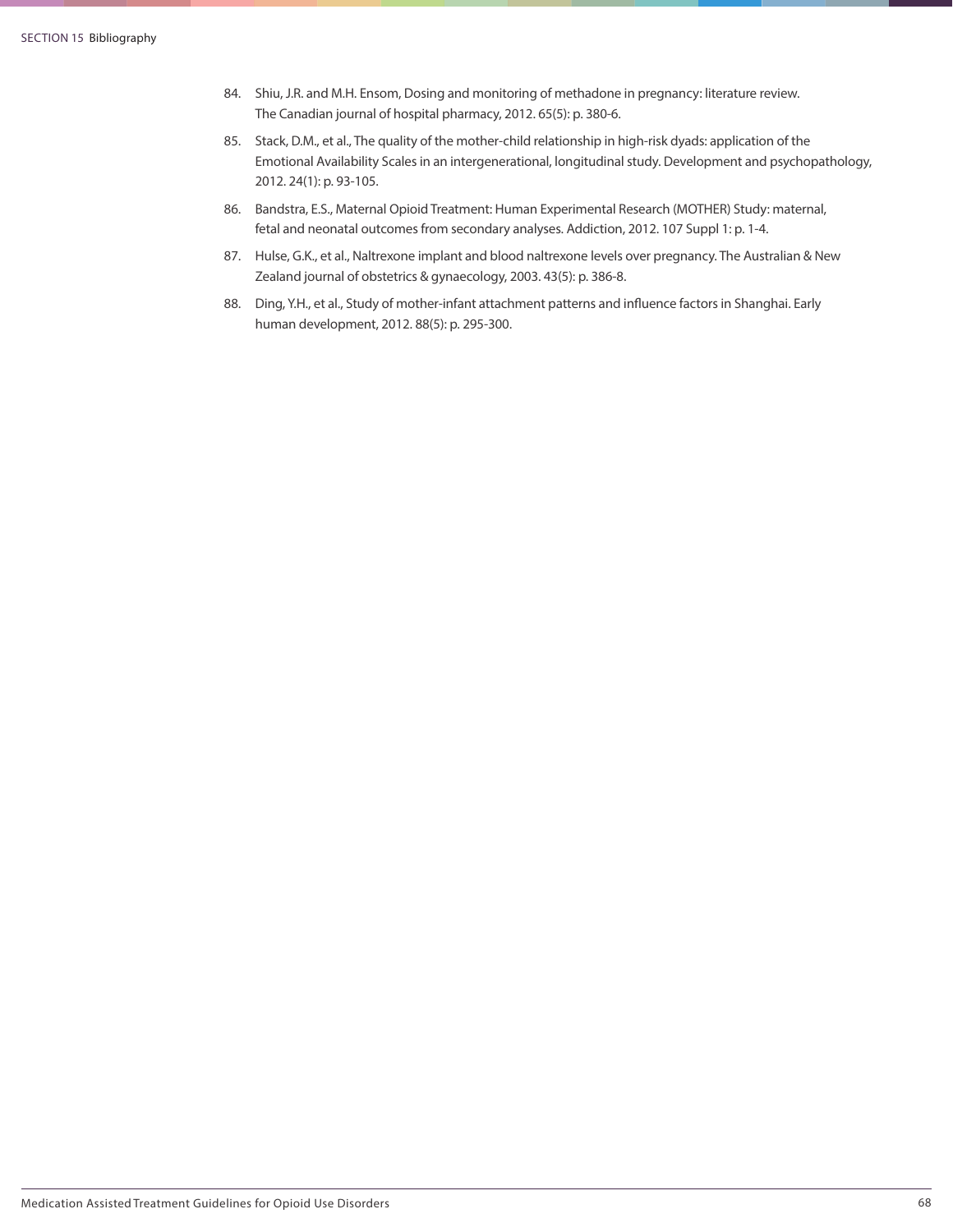- 84. Shiu, J.R. and M.H. Ensom, Dosing and monitoring of methadone in pregnancy: literature review. The Canadian journal of hospital pharmacy, 2012. 65(5): p. 380-6.
- 85. Stack, D.M., et al., The quality of the mother-child relationship in high-risk dyads: application of the Emotional Availability Scales in an intergenerational, longitudinal study. Development and psychopathology, 2012. 24(1): p. 93-105.
- 86. Bandstra, E.S., Maternal Opioid Treatment: Human Experimental Research (MOTHER) Study: maternal, fetal and neonatal outcomes from secondary analyses. Addiction, 2012. 107 Suppl 1: p. 1-4.
- 87. Hulse, G.K., et al., Naltrexone implant and blood naltrexone levels over pregnancy. The Australian & New Zealand journal of obstetrics & gynaecology, 2003. 43(5): p. 386-8.
- 88. Ding, Y.H., et al., Study of mother-infant attachment patterns and influence factors in Shanghai. Early human development, 2012. 88(5): p. 295-300.